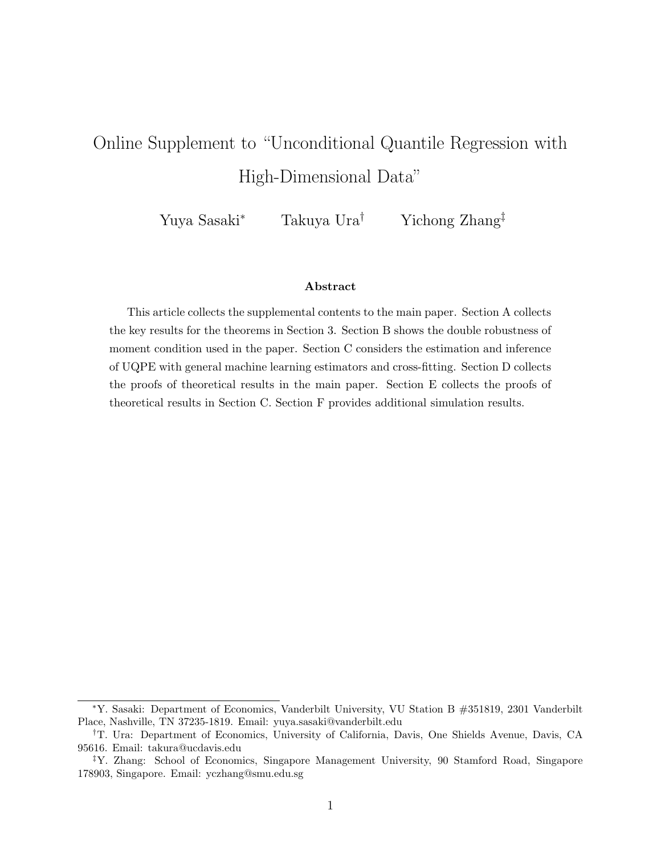# <span id="page-0-0"></span>Online Supplement to "Unconditional Quantile Regression with High-Dimensional Data"

Yuya Sasaki<sup>∗</sup> Takuya Ura† Yichong Zhang‡

#### Abstract

This article collects the supplemental contents to the main paper. Section [A](#page-1-0) collects the key results for the theorems in Section [3.](#page-3-0) Section [B](#page-2-0) shows the double robustness of moment condition used in the paper. Section [C](#page-3-0) considers the estimation and inference of UQPE with general machine learning estimators and cross-fitting. Section [D](#page-7-0) collects the proofs of theoretical results in the main paper. Section [E](#page-24-0) collects the proofs of theoretical results in Section [C.](#page-3-0) Section [F](#page-33-0) provides additional simulation results.

<sup>∗</sup>Y. Sasaki: Department of Economics, Vanderbilt University, VU Station B #351819, 2301 Vanderbilt Place, Nashville, TN 37235-1819. Email: yuya.sasaki@vanderbilt.edu

<sup>†</sup>T. Ura: Department of Economics, University of California, Davis, One Shields Avenue, Davis, CA 95616. Email: takura@ucdavis.edu

<sup>‡</sup>Y. Zhang: School of Economics, Singapore Management University, 90 Stamford Road, Singapore 178903, Singapore. Email: yczhang@smu.edu.sg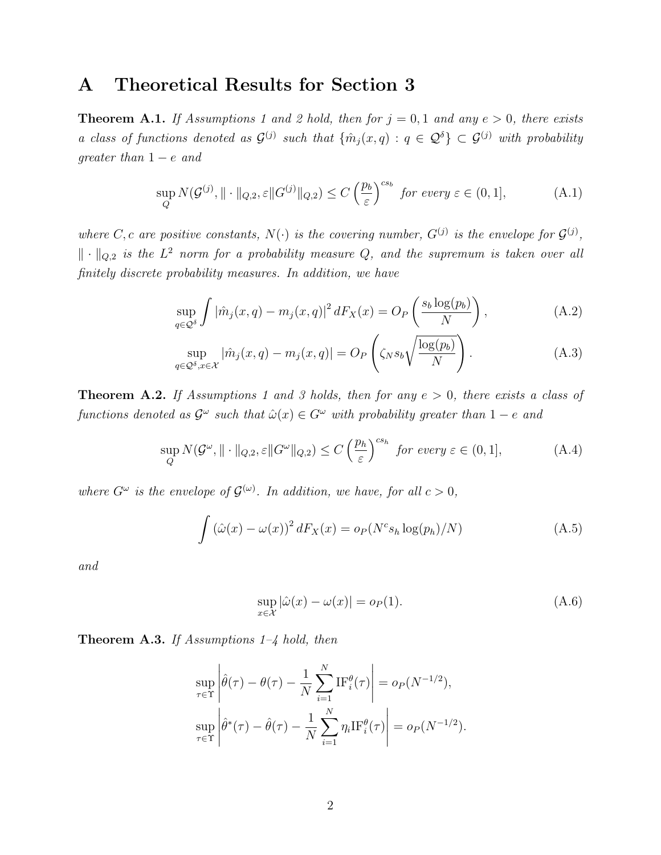# <span id="page-1-0"></span>A Theoretical Results for Section [3](#page-3-0)

<span id="page-1-2"></span>**Theorem A.1.** If Assumptions [1](#page-0-0) and [2](#page-0-0) hold, then for  $j = 0, 1$  and any  $e > 0$ , there exists a class of functions denoted as  $\mathcal{G}^{(j)}$  such that  $\{\hat{m}_j(x,q): q \in \mathcal{Q}^{\delta}\} \subset \mathcal{G}^{(j)}$  with probability qreater than  $1 - e$  and

$$
\sup_{Q} N(\mathcal{G}^{(j)}, \|\cdot\|_{Q,2}, \varepsilon \|G^{(j)}\|_{Q,2}) \le C\left(\frac{p_b}{\varepsilon}\right)^{cs_b} \text{ for every } \varepsilon \in (0,1],\tag{A.1}
$$

where C, c are positive constants,  $N(\cdot)$  is the covering number,  $G^{(j)}$  is the envelope for  $G^{(j)}$ ,  $\|\cdot\|_{Q,2}$  is the  $L^2$  norm for a probability measure Q, and the supremum is taken over all finitely discrete probability measures. In addition, we have

<span id="page-1-3"></span><span id="page-1-1"></span>
$$
\sup_{q \in \mathcal{Q}^\delta} \int |\hat{m}_j(x, q) - m_j(x, q)|^2 dF_X(x) = O_P\left(\frac{s_b \log(p_b)}{N}\right),\tag{A.2}
$$

<span id="page-1-4"></span>
$$
\sup_{q \in \mathcal{Q}^{\delta}, x \in \mathcal{X}} |\hat{m}_j(x, q) - m_j(x, q)| = O_P\left(\zeta_N s_b \sqrt{\frac{\log(p_b)}{N}}\right). \tag{A.3}
$$

<span id="page-1-5"></span>**Theorem A.2.** If Assumptions [1](#page-0-0) and [3](#page-0-0) holds, then for any  $e > 0$ , there exists a class of functions denoted as  $\mathcal{G}^{\omega}$  such that  $\hat{\omega}(x) \in \mathcal{G}^{\omega}$  with probability greater than  $1-e$  and

$$
\sup_{Q} N(\mathcal{G}^{\omega}, \|\cdot\|_{Q,2}, \varepsilon \|G^{\omega}\|_{Q,2}) \le C\left(\frac{p_h}{\varepsilon}\right)^{c s_h} \text{ for every } \varepsilon \in (0,1],\tag{A.4}
$$

where  $G^{\omega}$  is the envelope of  $\mathcal{G}^{(\omega)}$ . In addition, we have, for all  $c > 0$ ,

$$
\int \left(\hat{\omega}(x) - \omega(x)\right)^2 dF_X(x) = o_P(N^c s_h \log(p_h)/N) \tag{A.5}
$$

and

<span id="page-1-8"></span><span id="page-1-7"></span><span id="page-1-6"></span>
$$
\sup_{x \in \mathcal{X}} |\hat{\omega}(x) - \omega(x)| = o_P(1). \tag{A.6}
$$

<span id="page-1-9"></span>**Theorem A.3.** If Assumptions  $1-\frac{1}{4}$  hold, then

$$
\sup_{\tau \in \Upsilon} \left| \hat{\theta}(\tau) - \theta(\tau) - \frac{1}{N} \sum_{i=1}^{N} \mathrm{IF}_{i}^{\theta}(\tau) \right| = o_{P}(N^{-1/2}),
$$
  
\n
$$
\sup_{\tau \in \Upsilon} \left| \hat{\theta}^{*}(\tau) - \hat{\theta}(\tau) - \frac{1}{N} \sum_{i=1}^{N} \eta_{i} \mathrm{IF}_{i}^{\theta}(\tau) \right| = o_{P}(N^{-1/2}).
$$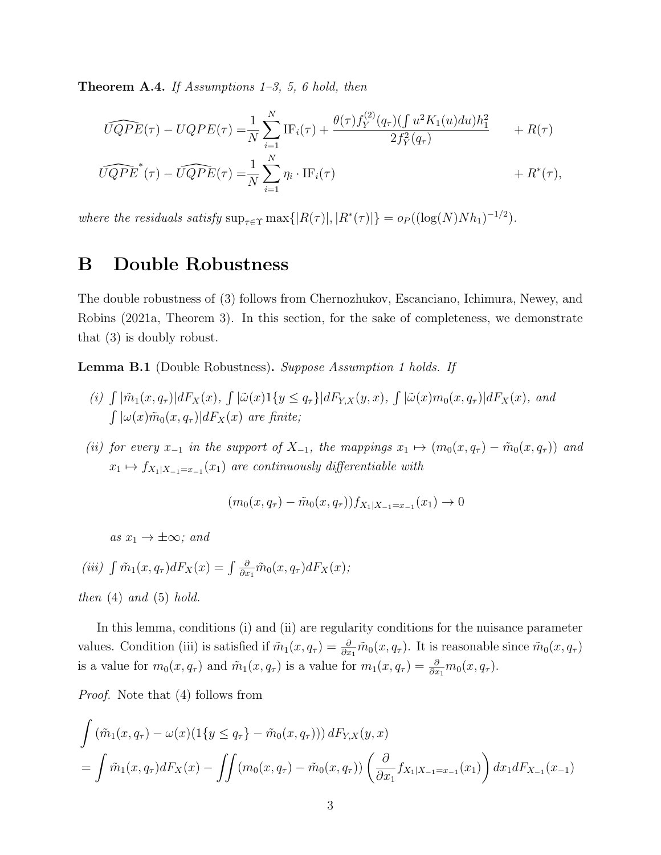<span id="page-2-1"></span>**Theorem A.4.** If Assumptions  $1-3$ , 5, 6 hold, then

$$
\widehat{UQPE}(\tau) - UQPE(\tau) = \frac{1}{N} \sum_{i=1}^{N} \text{IF}_{i}(\tau) + \frac{\theta(\tau) f_{Y}^{(2)}(q_{\tau})(\int u^{2} K_{1}(u) du) h_{1}^{2}}{2 f_{Y}^{2}(q_{\tau})} + R(\tau)
$$
  

$$
\widehat{UQPE}^{*}(\tau) - \widehat{UQPE}(\tau) = \frac{1}{N} \sum_{i=1}^{N} \eta_{i} \cdot \text{IF}_{i}(\tau) + R^{*}(\tau),
$$

where the residuals satisfy  $\sup_{\tau \in \Upsilon} \max\{|R(\tau)|, |R^*(\tau)|\} = o_P((\log(N)Nh_1)^{-1/2}).$ 

# <span id="page-2-0"></span>B Double Robustness

The double robustness of [\(3\)](#page-0-0) follows from [Chernozhukov, Escanciano, Ichimura, Newey, and](#page-38-0) [Robins](#page-38-0) [\(2021a,](#page-38-0) Theorem 3). In this section, for the sake of completeness, we demonstrate that [\(3\)](#page-0-0) is doubly robust.

Lemma B.1 (Double Robustness). Suppose Assumption [1](#page-0-0) holds. If

- (i)  $\int |\tilde{m}_1(x, q_\tau)| dF_X(x)$ ,  $\int |\tilde{\omega}(x)1\{y \leq q_\tau\}| dF_{Y,X}(y, x)$ ,  $\int |\tilde{\omega}(x) m_0(x, q_\tau)| dF_X(x)$ , and  $\int |\omega(x)\tilde{m}_0(x,q_\tau)|dF_X(x)$  are finite;
- (ii) for every  $x_{-1}$  in the support of  $X_{-1}$ , the mappings  $x_1 \mapsto (m_0(x, q_\tau) \tilde{m}_0(x, q_\tau))$  and  $x_1 \mapsto f_{X_1|X_{-1}=x_{-1}}(x_1)$  are continuously differentiable with

$$
(m_0(x, q_\tau) - \tilde{m}_0(x, q_\tau)) f_{X_1|X_{-1} = x_{-1}}(x_1) \to 0
$$

as  $x_1 \rightarrow \pm \infty$ ; and

$$
(iii) \int \tilde{m}_1(x, q_\tau) dF_X(x) = \int \frac{\partial}{\partial x_1} \tilde{m}_0(x, q_\tau) dF_X(x);
$$

then  $(4)$  and  $(5)$  hold.

In this lemma, conditions (i) and (ii) are regularity conditions for the nuisance parameter values. Condition (iii) is satisfied if  $\tilde{m}_1(x, q_\tau) = \frac{\partial}{\partial x_1} \tilde{m}_0(x, q_\tau)$ . It is reasonable since  $\tilde{m}_0(x, q_\tau)$ is a value for  $m_0(x, q_\tau)$  and  $\tilde{m}_1(x, q_\tau)$  is a value for  $m_1(x, q_\tau) = \frac{\partial}{\partial x_1} m_0(x, q_\tau)$ .

Proof. Note that [\(4\)](#page-0-0) follows from

$$
\int (\tilde{m}_1(x, q_\tau) - \omega(x)(1\{y \le q_\tau\} - \tilde{m}_0(x, q_\tau))) dF_{Y, X}(y, x)
$$
\n
$$
= \int \tilde{m}_1(x, q_\tau) dF_X(x) - \iint (m_0(x, q_\tau) - \tilde{m}_0(x, q_\tau)) \left(\frac{\partial}{\partial x_1} f_{X_1|X_{-1} = x_{-1}}(x_1)\right) dx_1 dF_{X_{-1}}(x_{-1})
$$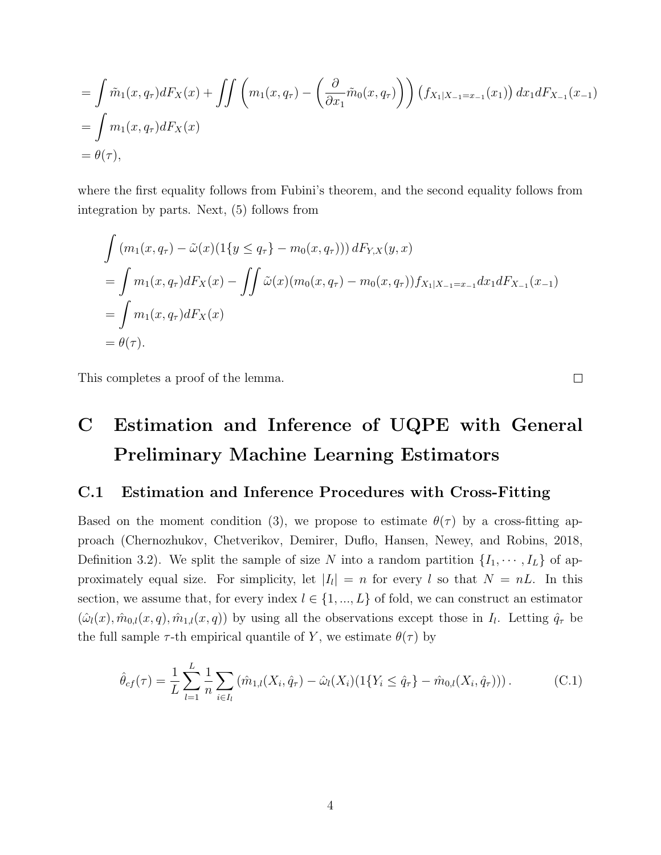$$
= \int \tilde{m}_1(x, q_\tau) dF_X(x) + \iint \left( m_1(x, q_\tau) - \left( \frac{\partial}{\partial x_1} \tilde{m}_0(x, q_\tau) \right) \right) (f_{X_1|X_{-1} = x_{-1}}(x_1)) dx_1 dF_{X_{-1}}(x_{-1})
$$
  
= 
$$
\int m_1(x, q_\tau) dF_X(x)
$$
  
= 
$$
\theta(\tau),
$$

where the first equality follows from Fubini's theorem, and the second equality follows from integration by parts. Next, [\(5\)](#page-0-0) follows from

$$
\int (m_1(x, q_\tau) - \tilde{\omega}(x)(1\{y \le q_\tau\} - m_0(x, q_\tau))) dF_{Y,X}(y, x)
$$
  
= 
$$
\int m_1(x, q_\tau) dF_X(x) - \iint \tilde{\omega}(x)(m_0(x, q_\tau) - m_0(x, q_\tau)) f_{X_1|X_{-1} = x_{-1}} dx_1 dF_{X_{-1}}(x_{-1})
$$
  
= 
$$
\int m_1(x, q_\tau) dF_X(x)
$$
  
= 
$$
\theta(\tau).
$$

This completes a proof of the lemma.

# <span id="page-3-0"></span>C Estimation and Inference of UQPE with General Preliminary Machine Learning Estimators

### C.1 Estimation and Inference Procedures with Cross-Fitting

Based on the moment condition [\(3\)](#page-0-0), we propose to estimate  $\theta(\tau)$  by a cross-fitting approach [\(Chernozhukov, Chetverikov, Demirer, Duflo, Hansen, Newey, and Robins, 2018,](#page-38-1) Definition 3.2). We split the sample of size N into a random partition  $\{I_1, \dots, I_L\}$  of approximately equal size. For simplicity, let  $|I_l| = n$  for every l so that  $N = nL$ . In this section, we assume that, for every index  $l \in \{1, ..., L\}$  of fold, we can construct an estimator  $(\hat{\omega}_l(x), \hat{m}_{0,l}(x,q), \hat{m}_{1,l}(x,q))$  by using all the observations except those in  $I_l$ . Letting  $\hat{q}_\tau$  be the full sample  $\tau$ -th empirical quantile of Y, we estimate  $\theta(\tau)$  by

$$
\hat{\theta}_{cf}(\tau) = \frac{1}{L} \sum_{l=1}^{L} \frac{1}{n} \sum_{i \in I_l} (\hat{m}_{1,l}(X_i, \hat{q}_\tau) - \hat{\omega}_l(X_i)(1\{Y_i \leq \hat{q}_\tau\} - \hat{m}_{0,l}(X_i, \hat{q}_\tau))) . \tag{C.1}
$$

<span id="page-3-1"></span> $\Box$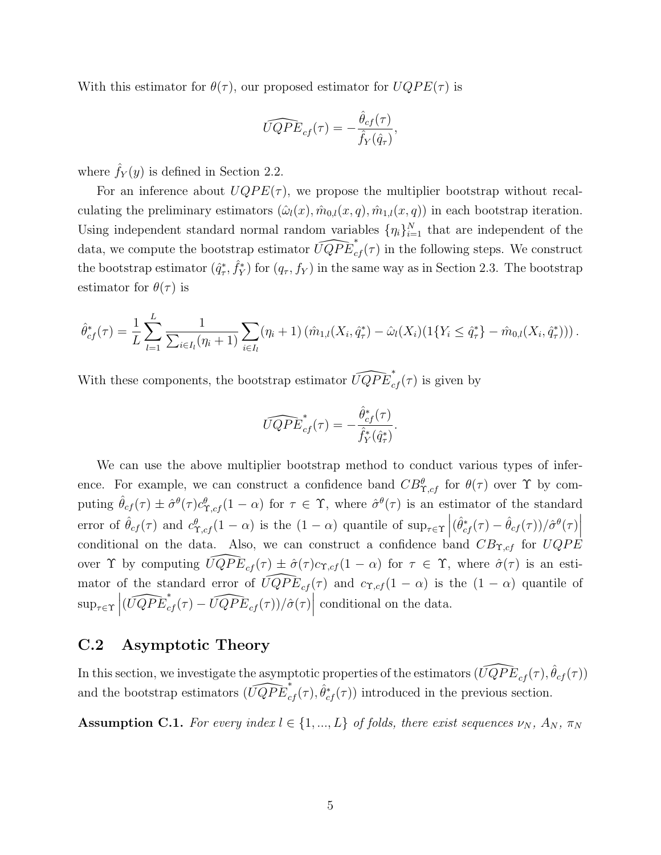With this estimator for  $\theta(\tau)$ , our proposed estimator for  $UQPE(\tau)$  is

$$
\widehat{UQPE}_{cf}(\tau) = -\frac{\hat{\theta}_{cf}(\tau)}{\hat{f}_Y(\hat{q}_\tau)},
$$

where  $\hat{f}_Y(y)$  is defined in Section [2.2.](#page-0-0)

For an inference about  $UQPE(\tau)$ , we propose the multiplier bootstrap without recalculating the preliminary estimators  $(\hat{\omega}_l(x), \hat{m}_{0,l}(x, q), \hat{m}_{1,l}(x, q))$  in each bootstrap iteration. Using independent standard normal random variables  $\{\eta_i\}_{i=1}^N$  that are independent of the data, we compute the bootstrap estimator  $\widehat{UQPE}_{cf}^*(\tau)$  in the following steps. We construct the bootstrap estimator  $(\hat{q}_\tau^*, \hat{f}_Y^*)$  for  $(q_\tau, f_Y)$  in the same way as in Section [2.3.](#page-0-0) The bootstrap estimator for  $\theta(\tau)$  is

$$
\hat{\theta}_{cf}^*(\tau) = \frac{1}{L} \sum_{l=1}^L \frac{1}{\sum_{i \in I_l} (\eta_i + 1)} \sum_{i \in I_l} (\eta_i + 1) (\hat{m}_{1,l}(X_i, \hat{q}_{\tau}^*) - \hat{\omega}_l(X_i) (1\{Y_i \leq \hat{q}_{\tau}^*\} - \hat{m}_{0,l}(X_i, \hat{q}_{\tau}^*))).
$$

With these components, the bootstrap estimator  $\widehat{UQPE}_{cf}^*(\tau)$  is given by

$$
\widehat{UQPE}_{cf}^*(\tau) = -\frac{\hat{\theta}_{cf}^*(\tau)}{\hat{f}_Y^*(\hat{q}_\tau^*)}.
$$

We can use the above multiplier bootstrap method to conduct various types of inference. For example, we can construct a confidence band  $CB^{\theta}_{\Upsilon,cf}$  for  $\theta(\tau)$  over  $\Upsilon$  by computing  $\hat{\theta}_{cf}(\tau) \pm \hat{\sigma}^{\theta}(\tau) c_{\Upsilon,cf}^{\theta}(1-\alpha)$  for  $\tau \in \Upsilon$ , where  $\hat{\sigma}^{\theta}(\tau)$  is an estimator of the standard error of  $\hat{\theta}_{cf}(\tau)$  and  $c^{\theta}_{\Upsilon,cf}(1-\alpha)$  is the  $(1-\alpha)$  quantile of  $\sup_{\tau \in \Upsilon} |(\hat{\theta}_{cf}^*(\tau) - \hat{\theta}_{cf}(\tau))/\hat{\sigma}^{\theta}(\tau)|$ conditional on the data. Also, we can construct a confidence band  $CB_{\Upsilon,cf}$  for  $UQPE$ over  $\Upsilon$  by computing  $\widehat{UQPE}_{cf}(\tau) \pm \hat{\sigma}(\tau)c_{\Upsilon,cf} (1-\alpha)$  for  $\tau \in \Upsilon$ , where  $\hat{\sigma}(\tau)$  is an estimator of the standard error of  $\widehat{UQPE}_{cf}(\tau)$  and  $c_{\Upsilon,cf} (1-\alpha)$  is the  $(1-\alpha)$  quantile of  $\sup_{\tau \in \Upsilon} \left| (\widehat{UQPE}_{cf}^*(\tau) - \widehat{UQPE}_{cf}(\tau))/\hat{\sigma}(\tau) \right|$ conditional on the data.

### C.2 Asymptotic Theory

In this section, we investigate the asymptotic properties of the estimators  $(\widehat{UQPE}_{cf}(\tau), \hat{\theta}_{cf}(\tau))$ and the bootstrap estimators  $(\widehat{UQPE}_{cf}^*(\tau), \hat{\theta}_{cf}^*(\tau))$  introduced in the previous section.

<span id="page-4-0"></span>**Assumption C.1.** For every index  $l \in \{1, ..., L\}$  of folds, there exist sequences  $\nu_N$ ,  $A_N$ ,  $\pi_N$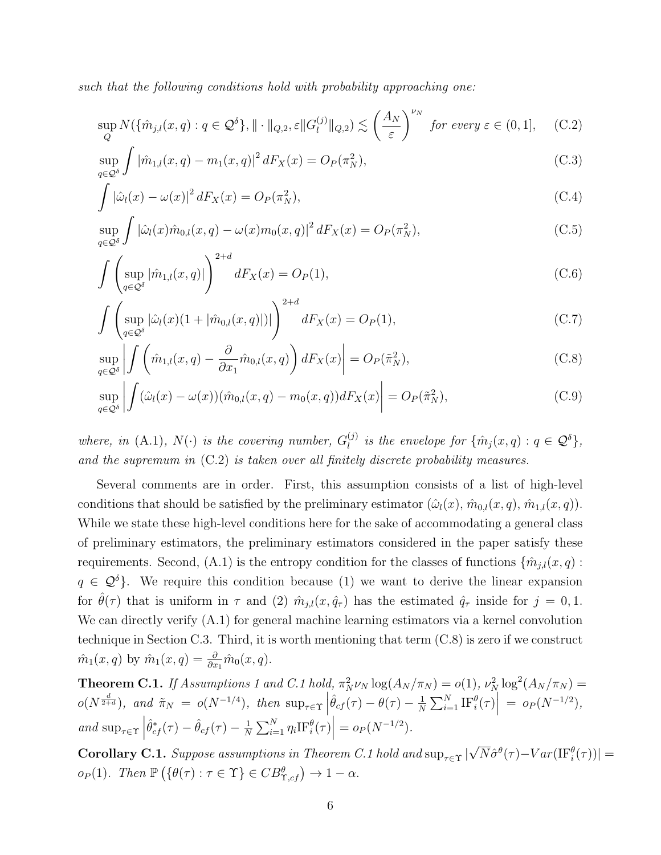such that the following conditions hold with probability approaching one:

<span id="page-5-0"></span>
$$
\sup_{Q} N(\{\hat{m}_{j,l}(x,q) : q \in \mathcal{Q}^{\delta}\}, \|\cdot\|_{Q,2}, \varepsilon \|G_{l}^{(j)}\|_{Q,2}) \lesssim \left(\frac{A_N}{\varepsilon}\right)^{\nu_N} \text{ for every } \varepsilon \in (0,1], \quad (C.2)
$$

$$
\sup_{q \in \mathcal{Q}^\delta} \int |\hat{m}_{1,l}(x,q) - m_1(x,q)|^2 \, dF_X(x) = O_P(\pi_N^2),\tag{C.3}
$$

<span id="page-5-5"></span><span id="page-5-4"></span>
$$
\int |\hat{\omega}_l(x) - \omega(x)|^2 dF_X(x) = O_P(\pi_N^2),\tag{C.4}
$$

$$
\sup_{q \in \mathcal{Q}^\delta} \int |\hat{\omega}_l(x)\hat{m}_{0,l}(x,q) - \omega(x)m_0(x,q)|^2 dF_X(x) = O_P(\pi_N^2),
$$
\n(C.5)

<span id="page-5-6"></span>
$$
\int \left( \sup_{q \in \mathcal{Q}^\delta} |\hat{m}_{1,l}(x,q)| \right)^{2+d} dF_X(x) = O_P(1), \tag{C.6}
$$

<span id="page-5-7"></span>
$$
\int \left( \sup_{q \in \mathcal{Q}^{\delta}} |\hat{\omega}_l(x)(1 + |\hat{m}_{0,l}(x, q)|)| \right)^{2+d} dF_X(x) = O_P(1), \tag{C.7}
$$

<span id="page-5-1"></span>
$$
\sup_{q \in \mathcal{Q}^\delta} \left| \int \left( \hat{m}_{1,l}(x, q) - \frac{\partial}{\partial x_1} \hat{m}_{0,l}(x, q) \right) dF_X(x) \right| = O_P(\tilde{\pi}_N^2), \tag{C.8}
$$

<span id="page-5-3"></span>
$$
\sup_{q \in \mathcal{Q}^\delta} \left| \int (\hat{\omega}_l(x) - \omega(x)) (\hat{m}_{0,l}(x, q) - m_0(x, q)) dF_X(x) \right| = O_P(\tilde{\pi}_N^2), \tag{C.9}
$$

where, in [\(A.1\)](#page-1-1),  $N(\cdot)$  is the covering number,  $G_l^{(j)}$  $\widehat{l}_l^{(j)}$  is the envelope for  $\{\widehat{m}_j(x,q): q \in \mathcal{Q}^\delta\},$ and the supremum in [\(C.2\)](#page-5-0) is taken over all finitely discrete probability measures.

Several comments are in order. First, this assumption consists of a list of high-level conditions that should be satisfied by the preliminary estimator  $(\hat{\omega}_l(x), \hat{m}_{0,l}(x, q), \hat{m}_{1,l}(x, q)).$ While we state these high-level conditions here for the sake of accommodating a general class of preliminary estimators, the preliminary estimators considered in the paper satisfy these requirements. Second, [\(A.1\)](#page-1-1) is the entropy condition for the classes of functions  $\{\hat{m}_{i,l}(x, q):$  $q \in \mathcal{Q}^{\delta}$ . We require this condition because (1) we want to derive the linear expansion for  $\hat{\theta}(\tau)$  that is uniform in  $\tau$  and (2)  $\hat{m}_{j,l}(x, \hat{q}_{\tau})$  has the estimated  $\hat{q}_{\tau}$  inside for  $j = 0, 1$ . We can directly verify  $(A.1)$  for general machine learning estimators via a kernel convolution technique in Section [C.3.](#page-6-0) Third, it is worth mentioning that term [\(C.8\)](#page-5-1) is zero if we construct  $\hat{m}_1(x,q)$  by  $\hat{m}_1(x,q) = \frac{\partial}{\partial x_1} \hat{m}_0(x,q)$ .

<span id="page-5-2"></span>**Theorem [C.1](#page-4-0).** If Assumptions [1](#page-0-0) and C.1 hold,  $\pi_N^2 \nu_N \log(A_N/\pi_N) = o(1)$ ,  $\nu_N^2 \log^2(A_N/\pi_N) = o(1)$  $o(N^{\frac{d}{2+d}})$ , and  $\tilde{\pi}_N = o(N^{-1/4})$ , then  $\sup_{\tau \in \Upsilon}$  $\hat{\theta}_{cf}(\tau)-\theta(\tau)-\frac{1}{N}$  $\frac{1}{N} \sum_{i=1}^{N} \text{IF}_{i}^{\theta}(\tau) \Big| = o_{P}(N^{-1/2}),$ and  $\sup_{\tau \in \Upsilon}$  $\hat{\theta}_{cf}^*(\tau) - \hat{\theta}_{cf}(\tau) - \frac{1}{N}$  $\frac{1}{N} \sum_{i=1}^{N} \eta_i \text{IF}_{i}^{\theta}(\tau) \Big| = o_P(N^{-1/2}).$ √

**Corollary [C.1](#page-5-2).** Suppose assumptions in Theorem C.1 hold and  $\sup_{\tau \in \Upsilon}$  $\overline{N}\hat{\sigma}^{\theta}(\tau) - Var(\text{IF}^{\theta}_{i}(\tau))| =$  $o_P(1)$ . Then  $\mathbb{P}\left(\{\theta(\tau): \tau \in \Upsilon\} \in CB_{\Upsilon, cf}^{\theta}\right) \to 1 - \alpha$ .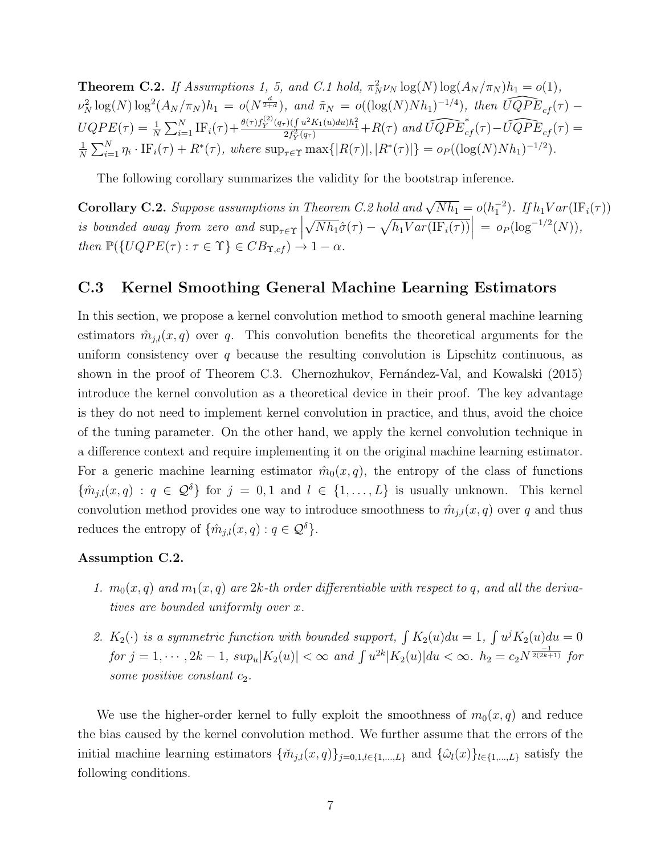<span id="page-6-1"></span>**Theorem C.2.** If Assumptions [1, 5,](#page-0-0) and [C.1](#page-4-0) hold,  $\pi_N^2 \nu_N \log(N) \log(A_N / \pi_N) h_1 = o(1)$ ,  $\nu_N^2 \log(N) \log^2(A_N/\pi_N) h_1 = o(N^{\frac{d}{2+d}})$ , and  $\tilde{\pi}_N = o((\log(N)Nh_1)^{-1/4})$ , then  $\widehat{UQPE}_{cf}(\tau)$  –  $UQPE(\tau) = \frac{1}{N} \sum_{i=1}^{N} \text{IF}_{i}(\tau) + \frac{\theta(\tau) f_{Y}^{(2)}(q_{\tau})(\int u^{2}K_{1}(u)du)h_{1}^{2}}{2f_{Y}^{2}(q_{\tau})} + R(\tau) \text{ and } \widehat{UQPE}_{cf}^{*}(\tau) - \widehat{UQPE}_{cf}(\tau) =$ 1  $\frac{1}{N} \sum_{i=1}^{N} \eta_i \cdot \text{IF}_i(\tau) + R^*(\tau)$ , where  $\sup_{\tau \in \Upsilon} \max\{|R(\tau)|, |R^*(\tau)|\} = o_P((\log(N)Nh_1)^{-1/2})$ .

The following corollary summarizes the validity for the bootstrap inference.

**Corollary [C.2](#page-6-1).** Suppose assumptions in Theorem C.2 hold and  $\sqrt{Nh_1} = o(h_1^{-2})$ . If  $h_1Var(\text{IF}_i(\tau))$ is bounded away from zero and  $\sup_{\tau \in \Upsilon}$ √  $\overline{Nh_1}\hat{\sigma}(\tau) - \sqrt{h_1Var(\text{IF}_i(\tau))}\Big| = o_P(\log^{-1/2}(N)),$ then  $\mathbb{P}(\lbrace UQPE(\tau) : \tau \in \Upsilon \rbrace \in CB_{\Upsilon, cf}) \to 1 - \alpha$ .

### <span id="page-6-0"></span>C.3 Kernel Smoothing General Machine Learning Estimators

In this section, we propose a kernel convolution method to smooth general machine learning estimators  $\hat{m}_{i,l}(x, q)$  over q. This convolution benefits the theoretical arguments for the uniform consistency over  $q$  because the resulting convolution is Lipschitz continuous, as shown in the proof of Theorem [C.3.](#page-7-1) Chernozhukov, Fernández-Val, and Kowalski [\(2015\)](#page-38-2) introduce the kernel convolution as a theoretical device in their proof. The key advantage is they do not need to implement kernel convolution in practice, and thus, avoid the choice of the tuning parameter. On the other hand, we apply the kernel convolution technique in a difference context and require implementing it on the original machine learning estimator. For a generic machine learning estimator  $\hat{m}_0(x, q)$ , the entropy of the class of functions  ${\lbrace \hat{m}_{j,l}(x,q) : q \in \mathcal{Q}^{\delta} \rbrace}$  for  $j = 0,1$  and  $l \in \lbrace 1,\ldots,L \rbrace$  is usually unknown. This kernel convolution method provides one way to introduce smoothness to  $\hat{m}_{j,l}(x, q)$  over q and thus reduces the entropy of  $\{\hat{m}_{j,l}(x,q): q \in \mathcal{Q}^{\delta}\}.$ 

#### Assumption C.2.

- 1.  $m_0(x, q)$  and  $m_1(x, q)$  are  $2k$ -th order differentiable with respect to q, and all the derivatives are bounded uniformly over x.
- <span id="page-6-2"></span>2.  $K_2(\cdot)$  is a symmetric function with bounded support,  $\int K_2(u)du = 1$ ,  $\int u^jK_2(u)du = 0$  $for \ j = 1, \cdots, 2k-1, \ sup_{u} |K_2(u)| < \infty \ and \ \int u^{2k} |K_2(u)| du < \infty. \ \ h_2 = c_2 N^{\frac{-1}{2(2k+1)}} \ \ for$ some positive constant  $c_2$ .

We use the higher-order kernel to fully exploit the smoothness of  $m_0(x, q)$  and reduce the bias caused by the kernel convolution method. We further assume that the errors of the initial machine learning estimators  $\{\tilde{m}_{j,l}(x,q)\}_{j=0,1,l\in\{1,\dots,L\}}$  and  $\{\hat{\omega}_l(x)\}_{l\in\{1,\dots,L\}}$  satisfy the following conditions.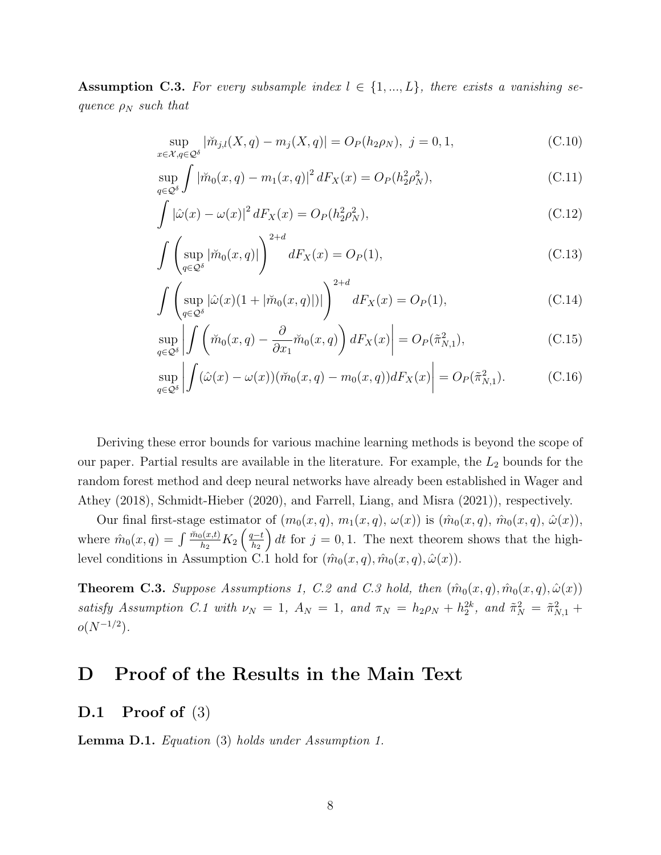**Assumption C.3.** For every subsample index  $l \in \{1, ..., L\}$ , there exists a vanishing sequence  $\rho_N$  such that

<span id="page-7-3"></span>
$$
\sup_{x \in \mathcal{X}, q \in \mathcal{Q}^\delta} |\breve{m}_{j,l}(X, q) - m_j(X, q)| = O_P(h_2 \rho_N), \ j = 0, 1,
$$
\n(C.10)

$$
\sup_{q \in \mathcal{Q}^\delta} \int |\breve{m}_0(x, q) - m_1(x, q)|^2 \, dF_X(x) = O_P(h_2^2 \rho_N^2),\tag{C.11}
$$

<span id="page-7-4"></span>
$$
\int |\hat{\omega}(x) - \omega(x)|^2 dF_X(x) = O_P(h_2^2 \rho_N^2),
$$
\n(C.12)

$$
\int \left( \sup_{q \in \mathcal{Q}^\delta} |\breve{m}_0(x, q)| \right)^{2+a} dF_X(x) = O_P(1), \tag{C.13}
$$

$$
\int \left( \sup_{q \in \mathcal{Q}^{\delta}} |\hat{\omega}(x)(1 + |\breve{m}_0(x, q)|)| \right)^{2+d} dF_X(x) = O_P(1), \tag{C.14}
$$

<span id="page-7-2"></span>
$$
\sup_{q \in \mathcal{Q}^\delta} \left| \int \left( \breve{m}_0(x, q) - \frac{\partial}{\partial x_1} \breve{m}_0(x, q) \right) dF_X(x) \right| = O_P(\tilde{\pi}_{N, 1}^2), \tag{C.15}
$$

$$
\sup_{q\in\mathcal{Q}^\delta} \left| \int (\hat{\omega}(x) - \omega(x)) (\breve{m}_0(x, q) - m_0(x, q)) dF_X(x) \right| = O_P(\tilde{\pi}_{N,1}^2). \tag{C.16}
$$

Deriving these error bounds for various machine learning methods is beyond the scope of our paper. Partial results are available in the literature. For example, the  $L_2$  bounds for the random forest method and deep neural networks have already been established in [Wager and](#page-38-3) [Athey](#page-38-3) [\(2018\)](#page-38-3), [Schmidt-Hieber](#page-38-4) [\(2020\)](#page-38-4), and [Farrell, Liang, and Misra](#page-38-5) [\(2021\)](#page-38-5)), respectively.

Our final first-stage estimator of  $(m_0(x,q), m_1(x,q), \omega(x))$  is  $(\hat{m}_0(x,q), \hat{m}_0(x,q), \hat{\omega}(x))$ , where  $\hat{m}_0(x,q) = \int \frac{\check{m}_0(x,t)}{h_2} K_2 \left( \frac{q-t}{h_2} \right)$  $_{h_2}$ dt for  $j = 0, 1$ . The next theorem shows that the high-level conditions in Assumption [C.1](#page-4-0) hold for  $(\hat{m}_0(x,q), \hat{m}_0(x,q), \hat{\omega}(x))$ .

<span id="page-7-1"></span>**Theorem [C.3](#page-7-2).** Suppose Assumptions [1,](#page-0-0) [C.2](#page-6-2) and C.3 hold, then  $(\hat{m}_0(x,q), \hat{m}_0(x,q), \hat{\omega}(x))$ satisfy Assumption [C.1](#page-4-0) with  $\nu_N = 1$ ,  $A_N = 1$ , and  $\pi_N = h_2 \rho_N + h_2^{2k}$ , and  $\tilde{\pi}_N^2 = \tilde{\pi}_{N,1}^2 +$  $o(N^{-1/2})$ .

# <span id="page-7-0"></span>D Proof of the Results in the Main Text

### D.1 Proof of  $(3)$

Lemma D.1. Equation [\(3\)](#page-0-0) holds under Assumption [1.](#page-0-0)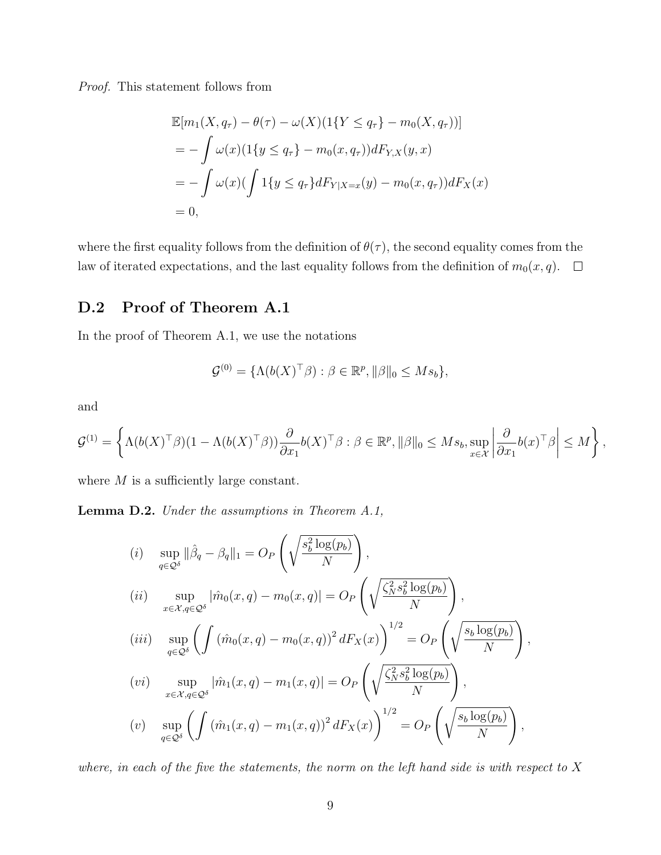Proof. This statement follows from

$$
\mathbb{E}[m_1(X, q_\tau) - \theta(\tau) - \omega(X)(1\{Y \le q_\tau\} - m_0(X, q_\tau))]
$$
  
= 
$$
- \int \omega(x)(1\{y \le q_\tau\} - m_0(x, q_\tau))dF_{Y,X}(y, x)
$$
  
= 
$$
- \int \omega(x)(\int 1\{y \le q_\tau\}dF_{Y|X=x}(y) - m_0(x, q_\tau))dF_X(x)
$$
  
= 0,

where the first equality follows from the definition of  $\theta(\tau)$ , the second equality comes from the law of iterated expectations, and the last equality follows from the definition of  $m_0(x, q)$ .  $\Box$ 

## D.2 Proof of Theorem [A.1](#page-1-2)

In the proof of Theorem [A.1,](#page-1-2) we use the notations

$$
\mathcal{G}^{(0)} = \{ \Lambda(b(X)^{\top}\beta) : \beta \in \mathbb{R}^p, \|\beta\|_0 \leq M s_b \},\
$$

and

$$
\mathcal{G}^{(1)} = \left\{ \Lambda(b(X)^{\top}\beta)(1 - \Lambda(b(X)^{\top}\beta))\frac{\partial}{\partial x_1}b(X)^{\top}\beta : \beta \in \mathbb{R}^p, \|\beta\|_0 \leq Ms_b, \sup_{x \in \mathcal{X}} \left|\frac{\partial}{\partial x_1}b(x)^{\top}\beta\right| \leq M \right\},\
$$

where  $M$  is a sufficiently large constant.

<span id="page-8-0"></span>Lemma D.2. Under the assumptions in Theorem [A.1,](#page-1-2)

(i) 
$$
\sup_{q \in \mathcal{Q}^\delta} ||\hat{\beta}_q - \beta_q||_1 = O_P\left(\sqrt{\frac{s_b^2 \log(p_b)}{N}}\right),
$$
  
\n(ii) 
$$
\sup_{x \in \mathcal{X}, q \in \mathcal{Q}^\delta} |\hat{m}_0(x, q) - m_0(x, q)| = O_P\left(\sqrt{\frac{\zeta_N^2 s_b^2 \log(p_b)}{N}}\right),
$$
  
\n(iii) 
$$
\sup_{q \in \mathcal{Q}^\delta} \left(\int (\hat{m}_0(x, q) - m_0(x, q))^2 dF_X(x)\right)^{1/2} = O_P\left(\sqrt{\frac{s_b \log(p_b)}{N}}\right),
$$
  
\n(vi) 
$$
\sup_{x \in \mathcal{X}, q \in \mathcal{Q}^\delta} |\hat{m}_1(x, q) - m_1(x, q)| = O_P\left(\sqrt{\frac{\zeta_N^2 s_b^2 \log(p_b)}{N}}\right),
$$
  
\n(v) 
$$
\sup_{q \in \mathcal{Q}^\delta} \left(\int (\hat{m}_1(x, q) - m_1(x, q))^2 dF_X(x)\right)^{1/2} = O_P\left(\sqrt{\frac{s_b \log(p_b)}{N}}\right),
$$

where, in each of the five the statements, the norm on the left hand side is with respect to X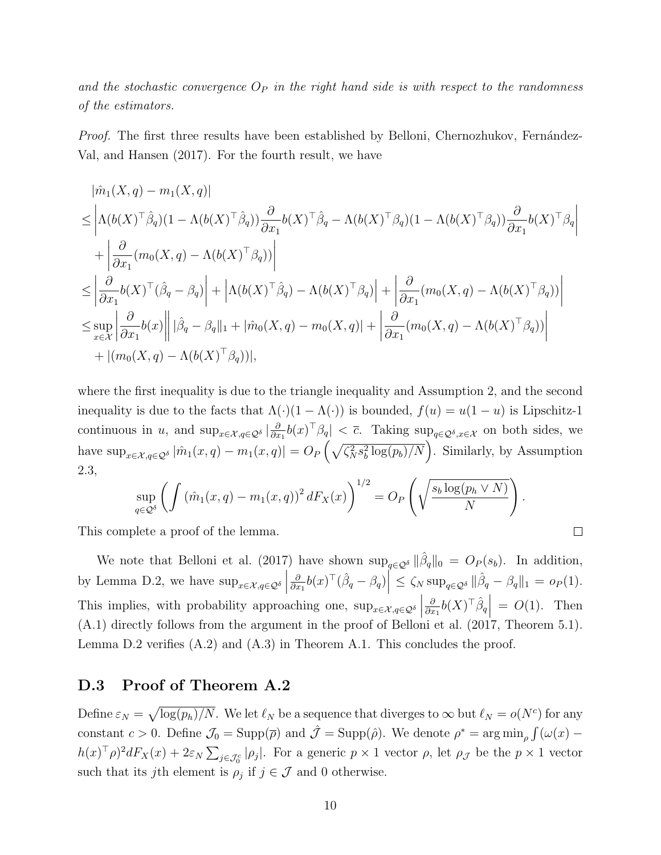and the stochastic convergence  $O_P$  in the right hand side is with respect to the randomness of the estimators.

Proof. The first three results have been established by Belloni, Chernozhukov, Fernández-[Val, and Hansen](#page-38-6) [\(2017\)](#page-38-6). For the fourth result, we have

$$
\begin{split}\n&|\hat{m}_1(X,q) - m_1(X,q)| \\
&\leq \left| \Lambda(b(X)^\top \hat{\beta}_q)(1 - \Lambda(b(X)^\top \hat{\beta}_q)) \frac{\partial}{\partial x_1} b(X)^\top \hat{\beta}_q - \Lambda(b(X)^\top \beta_q)(1 - \Lambda(b(X)^\top \beta_q)) \frac{\partial}{\partial x_1} b(X)^\top \beta_q \right| \\
&+ \left| \frac{\partial}{\partial x_1} (m_0(X,q) - \Lambda(b(X)^\top \beta_q)) \right| \\
&\leq \left| \frac{\partial}{\partial x_1} b(X)^\top (\hat{\beta}_q - \beta_q) \right| + \left| \Lambda(b(X)^\top \hat{\beta}_q) - \Lambda(b(X)^\top \beta_q) \right| + \left| \frac{\partial}{\partial x_1} (m_0(X,q) - \Lambda(b(X)^\top \beta_q)) \right| \\
&\leq \sup_{x \in \mathcal{X}} \left| \frac{\partial}{\partial x_1} b(x) \right| \left| \hat{\beta}_q - \beta_q \right| |_1 + |\hat{m}_0(X,q) - m_0(X,q)| + \left| \frac{\partial}{\partial x_1} (m_0(X,q) - \Lambda(b(X)^\top \beta_q)) \right| \\
&+ |(m_0(X,q) - \Lambda(b(X)^\top \beta_q))|, \n\end{split}
$$

where the first inequality is due to the triangle inequality and Assumption [2,](#page-0-0) and the second inequality is due to the facts that  $\Lambda(\cdot)(1 - \Lambda(\cdot))$  is bounded,  $f(u) = u(1 - u)$  is Lipschitz-1 continuous in u, and  $\sup_{x \in \mathcal{X}, q \in \mathcal{Q}^\delta} |\frac{\partial}{\partial x}$  $\frac{\partial}{\partial x_1} b(x)^\top \beta_q \vert < \overline{c}$ . Taking sup<sub>q∈Q</sub><sub>δ,x∈</sub> on both sides, we have  $\sup_{x \in \mathcal{X}, q \in \mathcal{Q}^\delta} |\hat{m}_1(x,q) - m_1(x,q)| = O_P\left(\sqrt{\zeta_N^2 s_b^2 \log(p_b)/N}\right)$ . Similarly, by Assumption [2.](#page-0-0)3,

$$
\sup_{q\in\mathcal{Q}^\delta}\left(\int \left(\hat{m}_1(x,q)-m_1(x,q)\right)^2 dF_X(x)\right)^{1/2} = O_P\left(\sqrt{\frac{s_b\log(p_h\vee N)}{N}}\right).
$$

 $\Box$ 

This complete a proof of the lemma.

We note that [Belloni et al.](#page-38-6) [\(2017\)](#page-38-6) have shown  $\sup_{q\in\mathcal{Q}^\delta} \|\hat{\beta}_q\|_0 = O_P(s_b)$ . In addition, by Lemma [D.2,](#page-8-0) we have  $\sup_{x \in \mathcal{X}, q \in \mathcal{Q}^\delta}$ ∂  $\frac{\partial}{\partial x_1} b(x)^\top (\hat{\beta}_q - \beta_q) \Big| \leq \zeta_N \sup_{q \in \mathcal{Q}^\delta} ||\hat{\beta}_q - \beta_q||_1 = o_P(1).$ This implies, with probability approaching one,  $\sup_{x \in \mathcal{X}, q \in \mathcal{Q}^\delta}$ ∂  $\frac{\partial}{\partial x_1} b(X)^\top \hat{\beta}_q = O(1)$ . Then [\(A.1\)](#page-1-1) directly follows from the argument in the proof of [Belloni et al.](#page-38-6) [\(2017,](#page-38-6) Theorem 5.1). Lemma [D.2](#page-8-0) verifies  $(A.2)$  and  $(A.3)$  in Theorem [A.1.](#page-1-2) This concludes the proof.

### D.3 Proof of Theorem [A.2](#page-1-5)

Define  $\varepsilon_N = \sqrt{\log(p_h)/N}$ . We let  $\ell_N$  be a sequence that diverges to  $\infty$  but  $\ell_N = o(N^c)$  for any constant  $c > 0$ . Define  $\mathcal{J}_0 = \text{Supp}(\bar{\rho})$  and  $\hat{\mathcal{J}} = \text{Supp}(\hat{\rho})$ . We denote  $\rho^* = \arg \min_{\rho} \int (\omega(x) - \bar{\omega}) e^{-\mu(x)} d\bar{\rho}$  $h(x)$ <sup>T</sup> $\rho$ <sup>2</sup> $dF_X(x) + 2\varepsilon_N \sum_{j \in \mathcal{J}_0^c} |\rho_j|$ . For a generic  $p \times 1$  vector  $\rho$ , let  $\rho_{\mathcal{J}}$  be the  $p \times 1$  vector such that its jth element is  $\rho_j$  if  $j \in \mathcal{J}$  and 0 otherwise.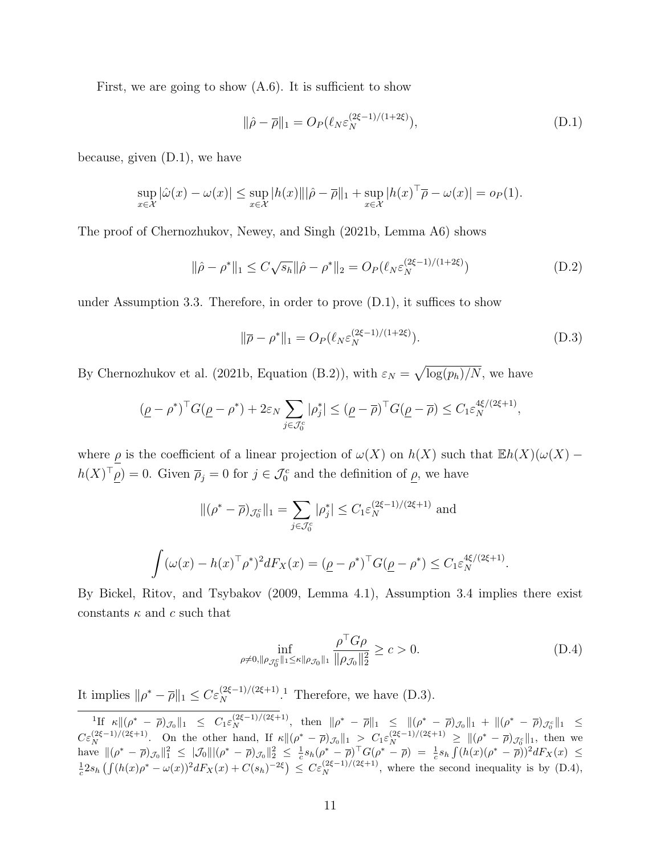First, we are going to show  $(A.6)$ . It is sufficient to show

<span id="page-10-0"></span>
$$
\|\hat{\rho} - \overline{\rho}\|_1 = O_P(\ell_N \varepsilon_N^{(2\xi - 1)/(1 + 2\xi)}),\tag{D.1}
$$

because, given [\(D.1\)](#page-10-0), we have

$$
\sup_{x \in \mathcal{X}} |\hat{\omega}(x) - \omega(x)| \le \sup_{x \in \mathcal{X}} |h(x)| ||\hat{\rho} - \overline{\rho}||_1 + \sup_{x \in \mathcal{X}} |h(x)^{\top} \overline{\rho} - \omega(x)| = o_P(1).
$$

The proof of [Chernozhukov, Newey, and Singh](#page-38-7) [\(2021b,](#page-38-7) Lemma A6) shows

$$
\|\hat{\rho} - \rho^*\|_1 \le C\sqrt{s_h} \|\hat{\rho} - \rho^*\|_2 = O_P(\ell_N \varepsilon_N^{(2\xi - 1)/(1 + 2\xi)})
$$
(D.2)

under Assumption [3.](#page-0-0)3. Therefore, in order to prove [\(D.1\)](#page-10-0), it suffices to show

<span id="page-10-4"></span><span id="page-10-2"></span>
$$
\|\overline{\rho} - \rho^*\|_1 = O_P(\ell_N \varepsilon_N^{(2\xi - 1)/(1 + 2\xi)}).
$$
 (D.3)

By [Chernozhukov et al.](#page-38-7) [\(2021b,](#page-38-7) Equation (B.2)), with  $\varepsilon_N = \sqrt{\log(p_h)/N}$ , we have

$$
(\underline{\rho} - \rho^*)^{\top} G(\underline{\rho} - \rho^*) + 2\varepsilon_N \sum_{j \in \mathcal{J}_0^c} |\rho_j^*| \leq (\underline{\rho} - \overline{\rho})^{\top} G(\underline{\rho} - \overline{\rho}) \leq C_1 \varepsilon_N^{4\xi/(2\xi+1)},
$$

where  $\rho$  is the coefficient of a linear projection of  $\omega(X)$  on  $h(X)$  such that  $\mathbb{E}h(X)(\omega(X)$  $h(X)^\top \rho = 0$ . Given  $\overline{\rho}_j = 0$  for  $j \in \mathcal{J}_0^c$  and the definition of  $\rho$ , we have

$$
\|(\rho^* - \overline{\rho})_{\mathcal{J}_0^c}\|_1 = \sum_{j \in \mathcal{J}_0^c} |\rho_j^*| \le C_1 \varepsilon_N^{(2\xi - 1)/(2\xi + 1)}
$$
 and  

$$
\int (\omega(x) - h(x)^\top \rho^*)^2 dF_X(x) = (\underline{\rho} - \rho^*)^\top G(\underline{\rho} - \rho^*) \le C_1 \varepsilon_N^{4\xi/(2\xi + 1)}.
$$

By [Bickel, Ritov, and Tsybakov](#page-38-8) [\(2009,](#page-38-8) Lemma 4.1), Assumption [3.](#page-0-0)4 implies there exist constants  $\kappa$  and c such that

<span id="page-10-3"></span>
$$
\inf_{\rho \neq 0, \|\rho_{\mathcal{J}_0^c}\|_1 \le \kappa \|\rho_{\mathcal{J}_0}\|_1} \frac{\rho^{\top} G \rho}{\|\rho_{\mathcal{J}_0}\|_2^2} \ge c > 0.
$$
\n(D.4)

It implies  $\|\rho^* - \overline{\rho}\|_1 \leq C \varepsilon_N^{(2\xi - 1)/(2\xi + 1)}$  $\|\rho^* - \overline{\rho}\|_1 \leq C \varepsilon_N^{(2\xi - 1)/(2\xi + 1)}$  $\|\rho^* - \overline{\rho}\|_1 \leq C \varepsilon_N^{(2\xi - 1)/(2\xi + 1)}$ . Therefore, we have [\(D.3\)](#page-10-2).

<span id="page-10-1"></span> ${}^{1}H \kappa \| (\rho^* - \overline{\rho})_{\mathcal{J}_0} \|_1 \leq C_1 \varepsilon_N^{(2\xi - 1)/(2\xi + 1)},$  then  $\|\rho^* - \overline{\rho}\|_1 \leq \|(\rho^* - \overline{\rho})_{\mathcal{J}_0} \|_1 + \|(\rho^* - \overline{\rho})_{\mathcal{J}_0} \|_1 \leq$  $C\varepsilon_N^{(2\xi-1)/(2\xi+1)}$ . On the other hand, If  $\kappa \|(\rho^* - \overline{\rho})_{\mathcal{J}_0}\|_1 > C_1\varepsilon_N^{(2\xi-1)/(2\xi+1)} \ge \|(\rho^* - \overline{\rho})_{\mathcal{J}_0} \|_1$ , then we have  $\|(\rho^* - \overline{\rho})_{\mathcal{J}_0}\|_1^2 \leq |\mathcal{J}_0||(\rho^* - \overline{\rho})_{\mathcal{J}_0}\|_2^2 \leq \frac{1}{c} s_h(\rho^* - \overline{\rho})^\top G(\rho^* - \overline{\rho}) = \frac{1}{c} s_h \int (h(x)(\rho^* - \overline{\rho}))^2 dF_X(x) \leq$  $\frac{1}{c} 2s_h \left( \int (h(x)\rho^* - \omega(x))^2 dF_X(x) + C(s_h)^{-2\xi} \right) \leq C\varepsilon_N^{(2\xi-1)/(2\xi+1)}$ , where the second inequality is by [\(D.4\)](#page-10-3),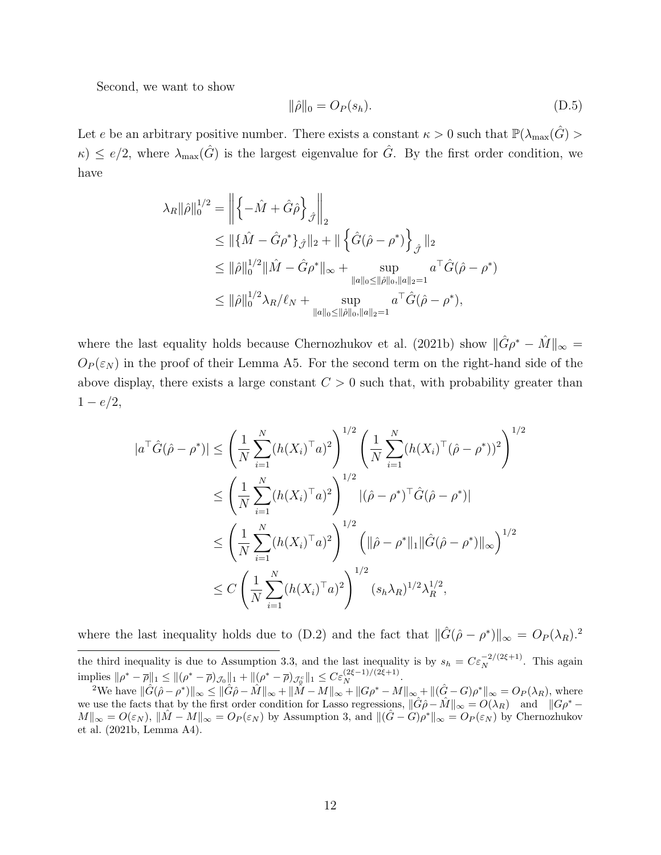Second, we want to show

<span id="page-11-1"></span>
$$
\|\hat{\rho}\|_0 = O_P(s_h). \tag{D.5}
$$

Let e be an arbitrary positive number. There exists a constant  $\kappa > 0$  such that  $\mathbb{P}(\lambda_{\max}(\hat{G}) >$  $\kappa$ )  $\leq e/2$ , where  $\lambda_{\max}(\hat{G})$  is the largest eigenvalue for  $\hat{G}$ . By the first order condition, we have

$$
\lambda_R \|\hat{\rho}\|_0^{1/2} = \left\| \left\{ -\hat{M} + \hat{G}\hat{\rho} \right\}_{\hat{\mathcal{J}}} \right\|_2
$$
  
\n
$$
\leq \| \{\hat{M} - \hat{G}\rho^* \}_{\hat{\mathcal{J}}} \|_2 + \| \left\{ \hat{G}(\hat{\rho} - \rho^*) \right\}_{\hat{\mathcal{J}}} \|_2
$$
  
\n
$$
\leq \| \hat{\rho} \|_0^{1/2} \| \hat{M} - \hat{G}\rho^* \|_{\infty} + \sup_{\|a\|_0 \leq \|\hat{\rho}\|_0, \|a\|_2 = 1} a^{\top} \hat{G}(\hat{\rho} - \rho^*)
$$
  
\n
$$
\leq \| \hat{\rho} \|_0^{1/2} \lambda_R / \ell_N + \sup_{\|a\|_0 \leq \|\hat{\rho}\|_0, \|a\|_2 = 1} a^{\top} \hat{G}(\hat{\rho} - \rho^*),
$$

where the last equality holds because [Chernozhukov et al.](#page-38-7) [\(2021b\)](#page-38-7) show  $\|\hat{G}\rho^* - \hat{M}\|_{\infty} =$  $O_P(\varepsilon_N)$  in the proof of their Lemma A5. For the second term on the right-hand side of the above display, there exists a large constant  $C > 0$  such that, with probability greater than  $1 - e/2$ ,

$$
|a^{T}\hat{G}(\hat{\rho} - \rho^{*})| \leq \left(\frac{1}{N} \sum_{i=1}^{N} (h(X_{i})^{T} a)^{2}\right)^{1/2} \left(\frac{1}{N} \sum_{i=1}^{N} (h(X_{i})^{T} (\hat{\rho} - \rho^{*}))^{2}\right)^{1/2}
$$
  

$$
\leq \left(\frac{1}{N} \sum_{i=1}^{N} (h(X_{i})^{T} a)^{2}\right)^{1/2} |(\hat{\rho} - \rho^{*})^{T}\hat{G}(\hat{\rho} - \rho^{*})|
$$
  

$$
\leq \left(\frac{1}{N} \sum_{i=1}^{N} (h(X_{i})^{T} a)^{2}\right)^{1/2} \left(\|\hat{\rho} - \rho^{*}\|_{1} \|\hat{G}(\hat{\rho} - \rho^{*})\|_{\infty}\right)^{1/2}
$$
  

$$
\leq C \left(\frac{1}{N} \sum_{i=1}^{N} (h(X_{i})^{T} a)^{2}\right)^{1/2} (s_{h} \lambda_{R})^{1/2} \lambda_{R}^{1/2},
$$

where the last inequality holds due to [\(D.2\)](#page-10-4) and the fact that  $\|\hat{G}(\hat{\rho} - \rho^*)\|_{\infty} = O_P(\lambda_R)^2$  $\|\hat{G}(\hat{\rho} - \rho^*)\|_{\infty} = O_P(\lambda_R)^2$ .

the third inequality is due to Assumption [3.](#page-0-0)3, and the last inequality is by  $s_h = C \epsilon_N^{-2/(2\xi+1)}$ . This again implies  $\|\rho^* - \overline{\rho}\|_1 \le \|(\rho^* - \overline{\rho})_{\mathcal{J}_0}\|_1 + \|(\rho^* - \overline{\rho})_{\mathcal{J}_0} \|_1 \le C \varepsilon_N^{(2\xi - 1)/(2\xi + 1)}.$ 

<span id="page-11-0"></span> $e^{2}$ We have  $\|\hat{G}(\hat{\rho}-\rho^*)\|_{\infty} \leq \|\hat{G}\hat{\rho}-\hat{M}\|_{\infty} + \|\check{M}-M\|_{\infty} + \|G\rho^*-M\|_{\infty} + \|(\hat{G}-G)\rho^*\|_{\infty} = O_P(\lambda_R)$ , where we use the facts that by the first order condition for Lasso regressions,  $\|\hat{G}\hat{\rho} - \hat{M}\|_{\infty} = O(\lambda_R)$  and  $\|G\rho^* M\|_{\infty} = O(\varepsilon_N)$ ,  $\|\hat{M} - M\|_{\infty} = O_P(\varepsilon_N)$  by Assumption [3,](#page-0-0) and  $\|(\hat{G} - G)\rho^*\|_{\infty} = O_P(\varepsilon_N)$  by [Chernozhukov](#page-38-7) [et al.](#page-38-7) [\(2021b,](#page-38-7) Lemma A4).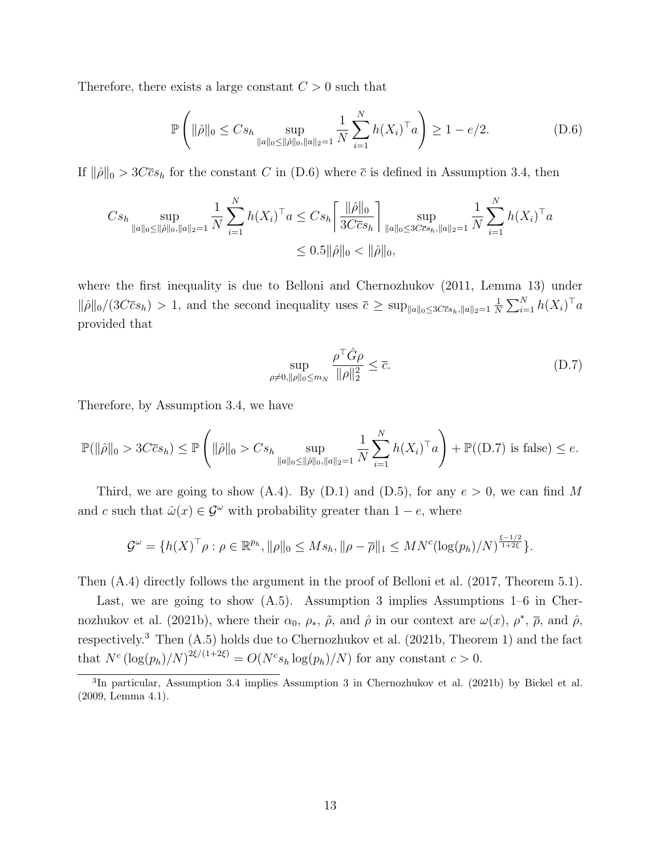Therefore, there exists a large constant  $C > 0$  such that

<span id="page-12-0"></span>
$$
\mathbb{P}\left(\|\hat{\rho}\|_{0} \leq Cs_{h} \sup_{\|a\|_{0} \leq \|\hat{\rho}\|_{0},\|a\|_{2}=1} \frac{1}{N} \sum_{i=1}^{N} h(X_{i})^{\top} a\right) \geq 1 - e/2.
$$
 (D.6)

If  $\|\hat{\rho}\|_0 > 3C\bar{c}s_h$  for the constant C in [\(D.6\)](#page-12-0) where  $\bar{c}$  is defined in Assumption [3.](#page-0-0)4, then

$$
Cs_{h} \sup_{\|a\|_{0} \le \|\hat{\rho}\|_{0},\|a\|_{2}=1} \frac{1}{N} \sum_{i=1}^{N} h(X_{i})^{\top} a \le Cs_{h} \left[ \frac{\|\hat{\rho}\|_{0}}{3C\bar{c}s_{h}} \right] \sup_{\|a\|_{0} \le 3C\bar{c}s_{h},\|a\|_{2}=1} \frac{1}{N} \sum_{i=1}^{N} h(X_{i})^{\top} a
$$
  

$$
\le 0.5 \|\hat{\rho}\|_{0} < \|\hat{\rho}\|_{0},
$$

where the first inequality is due to [Belloni and Chernozhukov](#page-37-0) [\(2011,](#page-37-0) Lemma 13) under  $\|\hat{\rho}\|_0/(3C\bar{c}s_h) > 1$ , and the second inequality uses  $\bar{c} \geq \sup_{\|a\|_0 \leq 3C\bar{c}s_h, \|a\|_2=1} \frac{1}{N}$  $\frac{1}{N} \sum_{i=1}^{N} h(X_i)^\top a$ provided that

<span id="page-12-1"></span>
$$
\sup_{\rho \neq 0, \|\rho\|_0 \le m_N} \frac{\rho^\top \hat{G} \rho}{\|\rho\|_2^2} \le \overline{c}.\tag{D.7}
$$

Therefore, by Assumption [3.](#page-0-0)4, we have

$$
\mathbb{P}(\|\hat{\rho}\|_{0} > 3C\overline{c}s_{h}) \le \mathbb{P}\left(\|\hat{\rho}\|_{0} > Cs_{h} \sup_{\|a\|_{0} \le \|\hat{\rho}\|_{0},\|a\|_{2}=1} \frac{1}{N} \sum_{i=1}^{N} h(X_{i})^{\top} a\right) + \mathbb{P}((D.7) \text{ is false}) \le e.
$$

Third, we are going to show [\(A.4\)](#page-1-7). By [\(D.1\)](#page-10-0) and [\(D.5\)](#page-11-1), for any  $e > 0$ , we can find M and c such that  $\hat{\omega}(x) \in \mathcal{G}^{\omega}$  with probability greater than  $1 - e$ , where

$$
\mathcal{G}^{\omega} = \{h(X)^{\top} \rho : \rho \in \mathbb{R}^{p_h}, \|\rho\|_0 \leq M s_h, \|\rho - \overline{\rho}\|_1 \leq M N^c (\log(p_h)/N)^{\frac{\xi - 1/2}{1 + 2\xi}}\}.
$$

Then [\(A.4\)](#page-1-7) directly follows the argument in the proof of [Belloni et al.](#page-38-6) [\(2017,](#page-38-6) Theorem 5.1).

Last, we are going to show [\(A.5\)](#page-1-8). Assumption [3](#page-0-0) implies Assumptions 1–6 in [Cher](#page-38-7)[nozhukov et al.](#page-38-7) [\(2021b\)](#page-38-7), where their  $\alpha_0, \rho_*, \tilde{\rho}$ , and  $\hat{\rho}$  in our context are  $\omega(x), \rho^*, \overline{\rho}$ , and  $\hat{\rho}$ , respectively.[3](#page-12-2) Then [\(A.5\)](#page-1-8) holds due to [Chernozhukov et al.](#page-38-7) [\(2021b,](#page-38-7) Theorem 1) and the fact that  $N^c (\log(p_h)/N)^{2\xi/(1+2\xi)} = O(N^c s_h \log(p_h)/N)$  for any constant  $c > 0$ .

<span id="page-12-2"></span><sup>3</sup> In particular, Assumption [3.](#page-0-0)4 implies Assumption 3 in [Chernozhukov et al.](#page-38-7) [\(2021b\)](#page-38-7) by [Bickel et al.](#page-38-8) [\(2009,](#page-38-8) Lemma 4.1).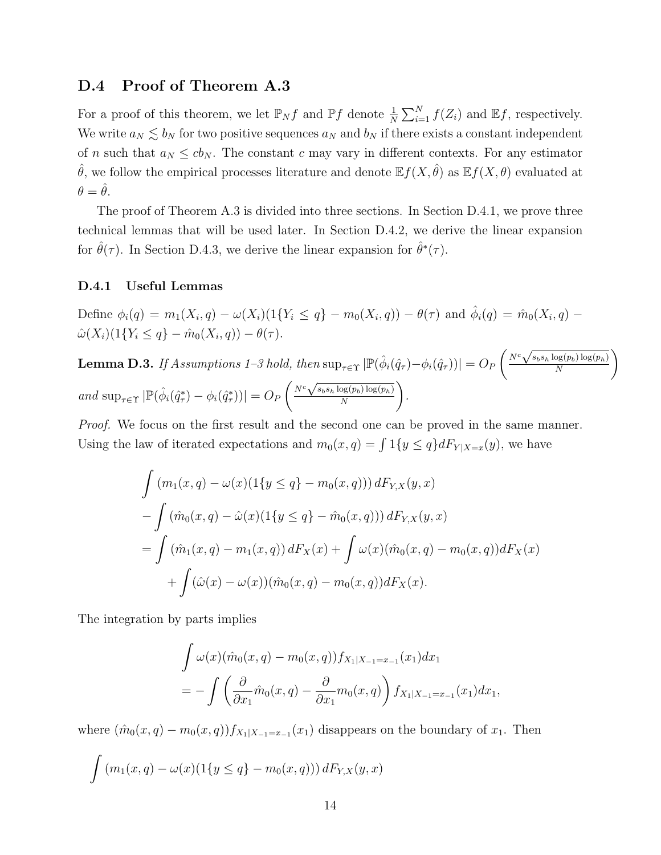### D.4 Proof of Theorem [A.3](#page-1-9)

For a proof of this theorem, we let  $\mathbb{P}_N f$  and  $\mathbb{P} f$  denote  $\frac{1}{N} \sum_{i=1}^N f(Z_i)$  and  $\mathbb{E} f$ , respectively. We write  $a_N \lesssim b_N$  for two positive sequences  $a_N$  and  $b_N$  if there exists a constant independent of n such that  $a_N \leq cb_N$ . The constant c may vary in different contexts. For any estimator  $\hat{\theta}$ , we follow the empirical processes literature and denote  $\mathbb{E} f(X, \hat{\theta})$  as  $\mathbb{E} f(X, \theta)$  evaluated at  $\theta = \hat{\theta}$ .

The proof of Theorem [A.3](#page-1-9) is divided into three sections. In Section [D.4.1,](#page-13-0) we prove three technical lemmas that will be used later. In Section [D.4.2,](#page-17-0) we derive the linear expansion for  $\hat{\theta}(\tau)$ . In Section [D.4.3,](#page-18-0) we derive the linear expansion for  $\hat{\theta}^*(\tau)$ .

#### <span id="page-13-0"></span>D.4.1 Useful Lemmas

Define  $\phi_i(q) = m_1(X_i, q) - \omega(X_i)(1\{Y_i \le q\} - m_0(X_i, q)) - \theta(\tau)$  and  $\hat{\phi}_i(q) = \hat{m}_0(X_i, q) - \theta(\tau)$  $\hat{\omega}(X_i)(1\{Y_i \leq q\} - \hat{m}_0(X_i, q)) - \theta(\tau).$ 

<span id="page-13-1"></span> ${\bf Lemma \ D.3.}$  If Assumptions [1–3](#page-0-0) hold, then  $\sup_{\tau \in \Upsilon}|\mathbb{P}(\hat{\phi}_i(\hat{q}_\tau)-\phi_i(\hat{q}_\tau))|=O_P$  $\sqrt{N^c}$  $s_b s_h \log(p_b) \log(p_h)$ N  $\setminus$ and  $\sup_{\tau \in \Upsilon} |\mathbb{P}(\hat{\phi}_i(\hat{q}^*_{\tau}) - \phi_i(\hat{q}^*_{\tau}))| = O_F$  $\sqrt{N^c}$  $s_b s_h \log(p_b) \log(p_h)$ N  $\setminus$ .

Proof. We focus on the first result and the second one can be proved in the same manner. Using the law of iterated expectations and  $m_0(x,q) = \int 1\{y \leq q\} dF_{Y|X=x}(y)$ , we have

$$
\int (m_1(x, q) - \omega(x)(1\{y \le q\} - m_0(x, q))) dF_{Y,X}(y, x)
$$
  
\n
$$
- \int (\hat{m}_0(x, q) - \hat{\omega}(x)(1\{y \le q\} - \hat{m}_0(x, q))) dF_{Y,X}(y, x)
$$
  
\n
$$
= \int (\hat{m}_1(x, q) - m_1(x, q)) dF_X(x) + \int \omega(x)(\hat{m}_0(x, q) - m_0(x, q)) dF_X(x)
$$
  
\n
$$
+ \int (\hat{\omega}(x) - \omega(x))(\hat{m}_0(x, q) - m_0(x, q)) dF_X(x).
$$

The integration by parts implies

$$
\int \omega(x)(\hat{m}_0(x,q) - m_0(x,q)) f_{X_1|X_{-1} = x_{-1}}(x_1) dx_1
$$
  
= 
$$
- \int \left(\frac{\partial}{\partial x_1} \hat{m}_0(x,q) - \frac{\partial}{\partial x_1} m_0(x,q)\right) f_{X_1|X_{-1} = x_{-1}}(x_1) dx_1,
$$

where  $(\hat{m}_0(x,q) - m_0(x,q)) f_{X_1|X_{-1}=x_{-1}}(x_1)$  disappears on the boundary of  $x_1$ . Then

$$
\int (m_1(x, q) - \omega(x)(1\{y \le q\} - m_0(x, q))) dF_{Y,X}(y, x)
$$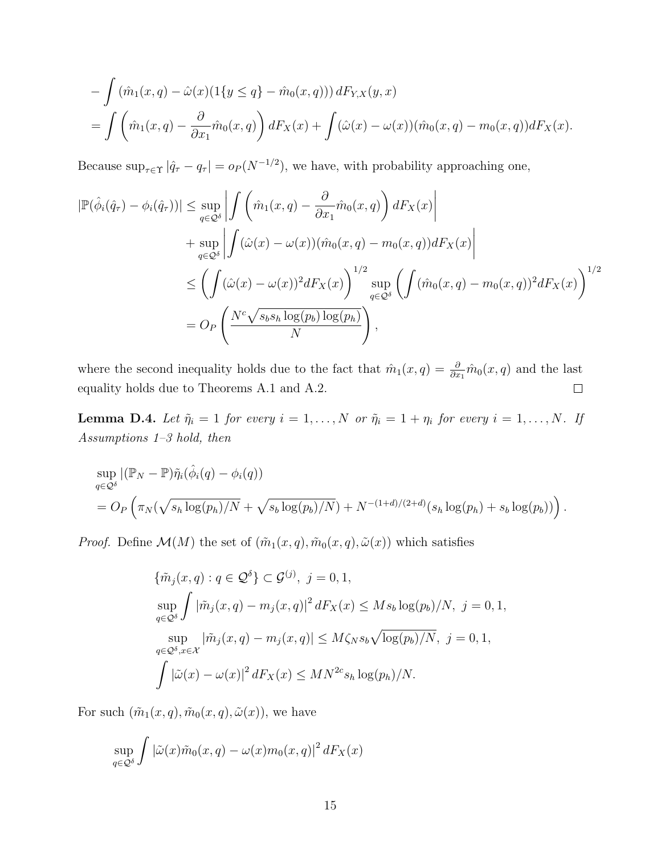$$
- \int (\hat{m}_1(x, q) - \hat{\omega}(x)(1\{y \le q\} - \hat{m}_0(x, q))) dF_{Y,X}(y, x)
$$
  
= 
$$
\int (\hat{m}_1(x, q) - \frac{\partial}{\partial x_1} \hat{m}_0(x, q)) dF_X(x) + \int (\hat{\omega}(x) - \omega(x))(\hat{m}_0(x, q) - m_0(x, q)) dF_X(x).
$$

Because  $\sup_{\tau \in \Upsilon} |\hat{q}_{\tau} - q_{\tau}| = o_P(N^{-1/2})$ , we have, with probability approaching one,

$$
|\mathbb{P}(\hat{\phi}_i(\hat{q}_\tau) - \phi_i(\hat{q}_\tau))| \le \sup_{q \in \mathcal{Q}^\delta} \left| \int \left( \hat{m}_1(x, q) - \frac{\partial}{\partial x_1} \hat{m}_0(x, q) \right) dF_X(x) \right|
$$
  
+ 
$$
\sup_{q \in \mathcal{Q}^\delta} \left| \int (\hat{\omega}(x) - \omega(x)) (\hat{m}_0(x, q) - m_0(x, q)) dF_X(x) \right|
$$
  

$$
\le \left( \int (\hat{\omega}(x) - \omega(x))^2 dF_X(x) \right)^{1/2} \sup_{q \in \mathcal{Q}^\delta} \left( \int (\hat{m}_0(x, q) - m_0(x, q))^2 dF_X(x) \right)^{1/2}
$$
  
= 
$$
O_P \left( \frac{N^c \sqrt{s_b s_h \log(p_b) \log(p_h)}}{N} \right),
$$

where the second inequality holds due to the fact that  $\hat{m}_1(x,q) = \frac{\partial}{\partial x_1} \hat{m}_0(x,q)$  and the last equality holds due to Theorems [A.1](#page-1-2) and [A.2.](#page-1-5)  $\Box$ 

<span id="page-14-0"></span>**Lemma D.4.** Let  $\tilde{\eta}_i = 1$  for every  $i = 1, ..., N$  or  $\tilde{\eta}_i = 1 + \eta_i$  for every  $i = 1, ..., N$ . If Assumptions [1–3](#page-0-0) hold, then

$$
\sup_{q\in\mathcal{Q}^\delta} |(\mathbb{P}_N - \mathbb{P})\tilde{\eta}_i(\hat{\phi}_i(q) - \phi_i(q))
$$
  
=  $O_P\left(\pi_N(\sqrt{s_h\log(p_h)/N} + \sqrt{s_b\log(p_b)/N}) + N^{-(1+d)/(2+d)}(s_h\log(p_h) + s_b\log(p_b))\right).$ 

*Proof.* Define  $\mathcal{M}(M)$  the set of  $(\tilde{m}_1(x,q), \tilde{m}_0(x,q), \tilde{\omega}(x))$  which satisfies

$$
\{\tilde{m}_j(x, q) : q \in \mathcal{Q}^\delta\} \subset \mathcal{G}^{(j)}, \ j = 0, 1,
$$
  
\n
$$
\sup_{q \in \mathcal{Q}^\delta} \int |\tilde{m}_j(x, q) - m_j(x, q)|^2 dF_X(x) \leq M s_b \log(p_b)/N, \ j = 0, 1,
$$
  
\n
$$
\sup_{q \in \mathcal{Q}^\delta, x \in \mathcal{X}} |\tilde{m}_j(x, q) - m_j(x, q)| \leq M \zeta_N s_b \sqrt{\log(p_b)/N}, \ j = 0, 1,
$$
  
\n
$$
\int |\tilde{\omega}(x) - \omega(x)|^2 dF_X(x) \leq M N^{2c} s_h \log(p_h)/N.
$$

For such  $(\tilde{m}_1(x,q), \tilde{m}_0(x,q), \tilde{\omega}(x))$ , we have

$$
\sup_{q \in \mathcal{Q}^\delta} \int |\tilde{\omega}(x)\tilde{m}_0(x, q) - \omega(x)m_0(x, q)|^2 dF_X(x)
$$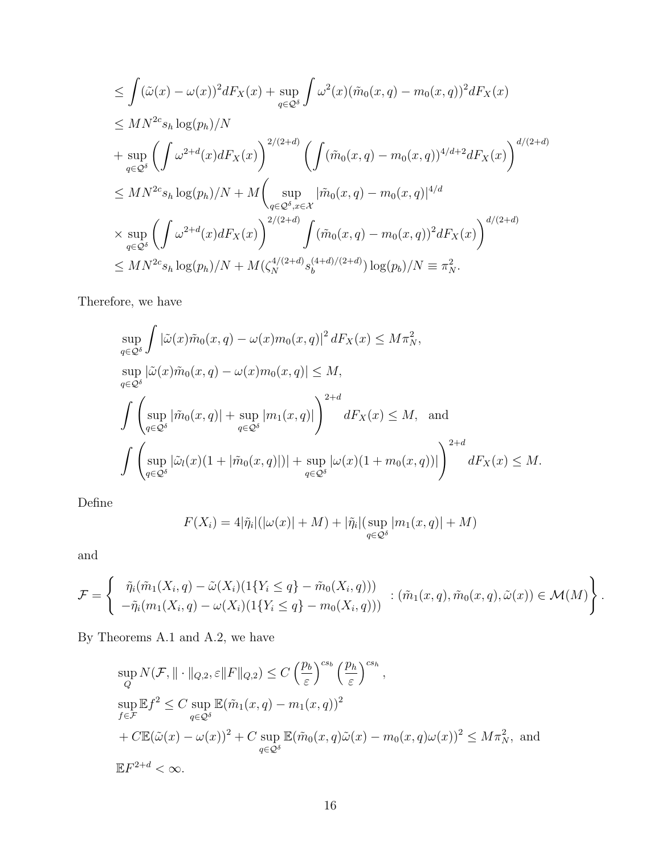$$
\leq \int (\tilde{\omega}(x) - \omega(x))^2 dF_X(x) + \sup_{q \in \mathcal{Q}^\delta} \int \omega^2(x) (\tilde{m}_0(x, q) - m_0(x, q))^2 dF_X(x)
$$
  
\n
$$
\leq MN^{2c} s_h \log(p_h)/N
$$
  
\n
$$
+ \sup_{q \in \mathcal{Q}^\delta} \left( \int \omega^{2+d}(x) dF_X(x) \right)^{2/(2+d)} \left( \int (\tilde{m}_0(x, q) - m_0(x, q))^{4/d+2} dF_X(x) \right)^{d/(2+d)}
$$
  
\n
$$
\leq MN^{2c} s_h \log(p_h)/N + M \left( \sup_{q \in \mathcal{Q}^\delta, x \in \mathcal{X}} |\tilde{m}_0(x, q) - m_0(x, q)|^{4/d}
$$
  
\n
$$
\times \sup_{q \in \mathcal{Q}^\delta} \left( \int \omega^{2+d}(x) dF_X(x) \right)^{2/(2+d)} \int (\tilde{m}_0(x, q) - m_0(x, q))^2 dF_X(x) \right)^{d/(2+d)}
$$
  
\n
$$
\leq MN^{2c} s_h \log(p_h)/N + M(\zeta_N^{4/(2+d)} s_b^{(4+d)/(2+d)}) \log(p_b)/N \equiv \pi_N^2.
$$

Therefore, we have

$$
\sup_{q\in\mathcal{Q}^\delta} \int |\tilde{\omega}(x)\tilde{m}_0(x, q) - \omega(x)m_0(x, q)|^2 dF_X(x) \le M\pi_N^2,
$$
  
\n
$$
\sup_{q\in\mathcal{Q}^\delta} |\tilde{\omega}(x)\tilde{m}_0(x, q) - \omega(x)m_0(x, q)| \le M,
$$
  
\n
$$
\int \left( \sup_{q\in\mathcal{Q}^\delta} |\tilde{m}_0(x, q)| + \sup_{q\in\mathcal{Q}^\delta} |m_1(x, q)| \right)^{2+d} dF_X(x) \le M,
$$
 and  
\n
$$
\int \left( \sup_{q\in\mathcal{Q}^\delta} |\tilde{\omega}_l(x)(1 + |\tilde{m}_0(x, q)|)| + \sup_{q\in\mathcal{Q}^\delta} |\omega(x)(1 + m_0(x, q))| \right)^{2+d} dF_X(x) \le M.
$$

Define

$$
F(X_i) = 4|\tilde{\eta}_i|(|\omega(x)| + M) + |\tilde{\eta}_i|(\sup_{q \in \mathcal{Q}^\delta} |m_1(x, q)| + M)
$$

and

$$
\mathcal{F} = \left\{ \begin{array}{l} \tilde{\eta}_i(\tilde{m}_1(X_i, q) - \tilde{\omega}(X_i)(1\{Y_i \leq q\} - \tilde{m}_0(X_i, q))) \\ -\tilde{\eta}_i(m_1(X_i, q) - \omega(X_i)(1\{Y_i \leq q\} - m_0(X_i, q))) \end{array} : (\tilde{m}_1(x, q), \tilde{m}_0(x, q), \tilde{\omega}(x)) \in \mathcal{M}(M) \right\}.
$$

By Theorems [A.1](#page-1-2) and [A.2,](#page-1-5) we have

$$
\sup_{Q} N(\mathcal{F}, \|\cdot\|_{Q,2}, \varepsilon \|F\|_{Q,2}) \le C \left(\frac{p_b}{\varepsilon}\right)^{c s_b} \left(\frac{p_h}{\varepsilon}\right)^{c s_h},
$$
\n
$$
\sup_{f \in \mathcal{F}} \mathbb{E} f^2 \le C \sup_{q \in \mathcal{Q}^\delta} \mathbb{E}(\tilde{m}_1(x, q) - m_1(x, q))^2
$$
\n
$$
+ C \mathbb{E}(\tilde{\omega}(x) - \omega(x))^2 + C \sup_{q \in \mathcal{Q}^\delta} \mathbb{E}(\tilde{m}_0(x, q)\tilde{\omega}(x) - m_0(x, q)\omega(x))^2 \le M \pi_N^2,
$$
\nand\n
$$
\mathbb{E} F^{2+d} < \infty.
$$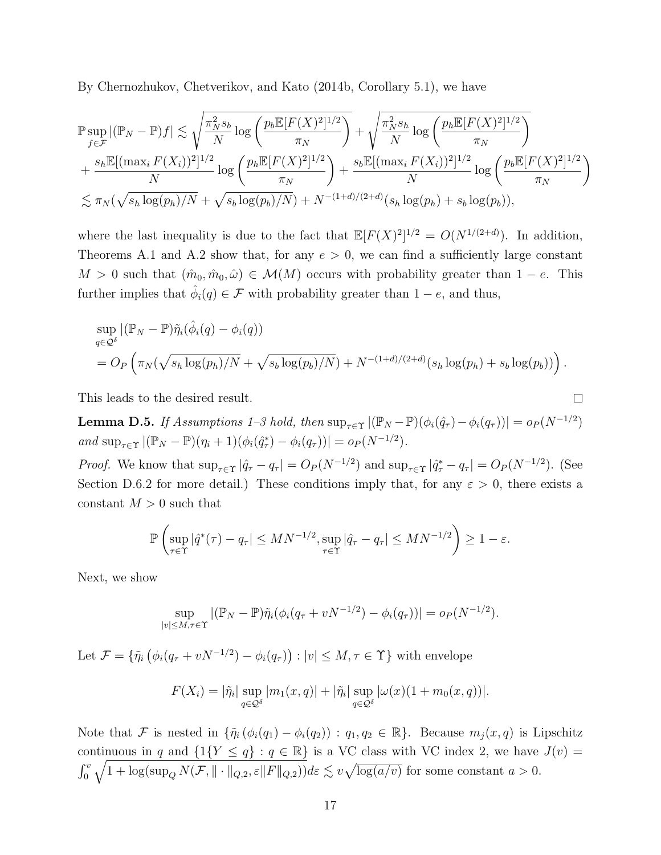By [Chernozhukov, Chetverikov, and Kato](#page-38-9) [\(2014b,](#page-38-9) Corollary 5.1), we have

$$
\mathbb{P}\sup_{f\in\mathcal{F}} |(\mathbb{P}_N - \mathbb{P})f| \lesssim \sqrt{\frac{\pi_N^2 s_b}{N} \log \left(\frac{p_b \mathbb{E}[F(X)^2]^{1/2}}{\pi_N}\right)} + \sqrt{\frac{\pi_N^2 s_h}{N} \log \left(\frac{p_h \mathbb{E}[F(X)^2]^{1/2}}{\pi_N}\right)} + \frac{s_h \mathbb{E}[(\max_i F(X_i))^2]^{1/2}}{N} \log \left(\frac{p_h \mathbb{E}[F(X)^2]^{1/2}}{\pi_N}\right) + \frac{s_b \mathbb{E}[(\max_i F(X_i))^2]^{1/2}}{N} \log \left(\frac{p_b \mathbb{E}[F(X)^2]^{1/2}}{\pi_N}\right) \leq \pi_N(\sqrt{s_h \log(p_h)/N} + \sqrt{s_b \log(p_b)/N}) + N^{-(1+d)/(2+d)}(s_h \log(p_h) + s_b \log(p_b)),
$$

where the last inequality is due to the fact that  $\mathbb{E}[F(X)^2]^{1/2} = O(N^{1/(2+d)})$ . In addition, Theorems [A.1](#page-1-2) and [A.2](#page-1-5) show that, for any  $e > 0$ , we can find a sufficiently large constant  $M > 0$  such that  $(\hat{m}_0, \hat{m}_0, \hat{\omega}) \in \mathcal{M}(M)$  occurs with probability greater than  $1 - e$ . This further implies that  $\hat{\phi}_i(q) \in \mathcal{F}$  with probability greater than  $1 - e$ , and thus,

$$
\sup_{q\in\mathcal{Q}^\delta} |(\mathbb{P}_N - \mathbb{P})\tilde{\eta}_i(\hat{\phi}_i(q) - \phi_i(q))
$$
  
=  $O_P\left(\pi_N(\sqrt{s_h\log(p_h)/N} + \sqrt{s_b\log(p_b)/N}) + N^{-(1+d)/(2+d)}(s_h\log(p_h) + s_b\log(p_b))\right).$ 

This leads to the desired result.

<span id="page-16-0"></span>**Lemma D.5.** If Assumptions [1–3](#page-0-0) hold, then  $\sup_{\tau \in \Upsilon} |(\mathbb{P}_N - \mathbb{P})(\phi_i(\hat{q}_\tau) - \phi_i(q_\tau))| = o_P(N^{-1/2})$ and  $\sup_{\tau \in \Upsilon} |(\mathbb{P}_N - \mathbb{P})(\eta_i + 1)(\phi_i(\hat{q}_\tau^*) - \phi_i(q_\tau))| = o_P(N^{-1/2}).$ 

 $\Box$ 

*Proof.* We know that  $\sup_{\tau \in \Upsilon} |\hat{q}_{\tau} - q_{\tau}| = O_P(N^{-1/2})$  and  $\sup_{\tau \in \Upsilon} |\hat{q}_{\tau}^* - q_{\tau}| = O_P(N^{-1/2})$ . (See Section [D.6.2](#page-21-0) for more detail.) These conditions imply that, for any  $\varepsilon > 0$ , there exists a constant  $M > 0$  such that

$$
\mathbb{P}\left(\sup_{\tau\in\Upsilon}|\hat{q}^*(\tau)-q_{\tau}|\leq MN^{-1/2},\sup_{\tau\in\Upsilon}|\hat{q}_{\tau}-q_{\tau}|\leq MN^{-1/2}\right)\geq 1-\varepsilon.
$$

Next, we show

$$
\sup_{|v| \le M, \tau \in \Upsilon} |(\mathbb{P}_N - \mathbb{P}) \tilde{\eta}_i(\phi_i(q_\tau + vN^{-1/2}) - \phi_i(q_\tau))| = o_P(N^{-1/2}).
$$

Let  $\mathcal{F} = \{ \tilde{\eta}_i \left( \phi_i (q_\tau + vN^{-1/2}) - \phi_i (q_\tau) \right) : |v| \leq M, \tau \in \Upsilon \}$  with envelope

$$
F(X_i) = |\tilde{\eta}_i| \sup_{q \in \mathcal{Q}^\delta} |m_1(x, q)| + |\tilde{\eta}_i| \sup_{q \in \mathcal{Q}^\delta} |\omega(x)(1 + m_0(x, q))|.
$$

Note that F is nested in  $\{\tilde{\eta}_i(\phi_i(q_1) - \phi_i(q_2)) : q_1, q_2 \in \mathbb{R}\}\.$  Because  $m_j(x, q)$  is Lipschitz continuous in q and  $\{1\{Y \le q\} : q \in \mathbb{R}\}\$  is a VC class with VC index 2, we have  $J(v) =$  $\int_0^v \sqrt{1 + \log(\sup_Q N(\mathcal{F}, \|\cdot\|_{Q,2}, \varepsilon \|F\|_{Q,2}))} d\varepsilon \lesssim v \sqrt{\log(a/v)}$  for some constant  $a > 0$ .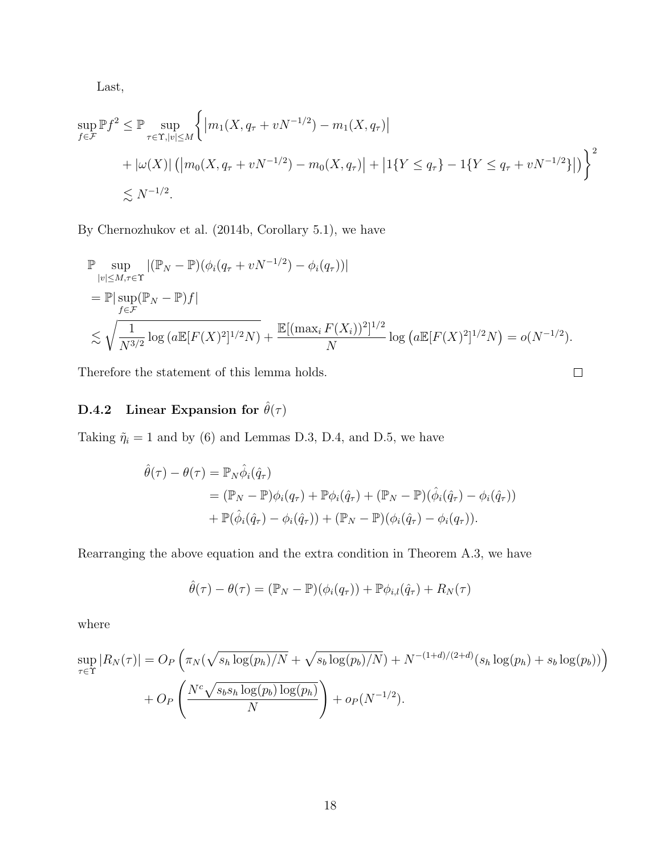Last,

$$
\sup_{f \in \mathcal{F}} \mathbb{P} f^2 \le \mathbb{P} \sup_{\tau \in \Upsilon, |v| \le M} \left\{ \left| m_1(X, q_\tau + vN^{-1/2}) - m_1(X, q_\tau) \right|
$$
  
+  $|\omega(X)| \left( \left| m_0(X, q_\tau + vN^{-1/2}) - m_0(X, q_\tau) \right| + \left| 1\{Y \le q_\tau\} - 1\{Y \le q_\tau + vN^{-1/2}\} \right| \right) \right\}^2$   
 $\lesssim N^{-1/2}.$ 

By [Chernozhukov et al.](#page-38-9) [\(2014b,](#page-38-9) Corollary 5.1), we have

$$
\mathbb{P} \sup_{|v| \le M, \tau \in \Upsilon} |(\mathbb{P}_N - \mathbb{P})(\phi_i(q_\tau + vN^{-1/2}) - \phi_i(q_\tau))|
$$
  
= 
$$
\mathbb{P} |\sup_{f \in \mathcal{F}} (\mathbb{P}_N - \mathbb{P})f|
$$
  

$$
\lesssim \sqrt{\frac{1}{N^{3/2}} \log (a \mathbb{E}[F(X)^2]^{1/2} N)} + \frac{\mathbb{E}[(\max_i F(X_i))^2]^{1/2}}{N} \log (a \mathbb{E}[F(X)^2]^{1/2} N) = o(N^{-1/2}).
$$

Therefore the statement of this lemma holds.

# <span id="page-17-0"></span>D.4.2 Linear Expansion for  $\hat{\theta}(\tau)$

Taking  $\tilde{\eta}_i = 1$  and by [\(6\)](#page-0-0) and Lemmas [D.3,](#page-13-1) [D.4,](#page-14-0) and [D.5,](#page-16-0) we have

$$
\hat{\theta}(\tau) - \theta(\tau) = \mathbb{P}_N \hat{\phi}_i(\hat{q}_\tau)
$$
  
=  $(\mathbb{P}_N - \mathbb{P})\phi_i(q_\tau) + \mathbb{P}\phi_i(\hat{q}_\tau) + (\mathbb{P}_N - \mathbb{P})(\hat{\phi}_i(\hat{q}_\tau) - \phi_i(\hat{q}_\tau))$   
+  $\mathbb{P}(\hat{\phi}_i(\hat{q}_\tau) - \phi_i(\hat{q}_\tau)) + (\mathbb{P}_N - \mathbb{P})(\phi_i(\hat{q}_\tau) - \phi_i(q_\tau)).$ 

Rearranging the above equation and the extra condition in Theorem [A.3,](#page-1-9) we have

$$
\hat{\theta}(\tau) - \theta(\tau) = (\mathbb{P}_N - \mathbb{P})(\phi_i(q_\tau)) + \mathbb{P}\phi_{i,l}(\hat{q}_\tau) + R_N(\tau)
$$

where

$$
\sup_{\tau \in \Upsilon} |R_N(\tau)| = O_P\left(\pi_N(\sqrt{s_h \log(p_h)/N} + \sqrt{s_b \log(p_b)/N}) + N^{-(1+d)/(2+d)}(s_h \log(p_h) + s_b \log(p_b))\right) + O_P\left(\frac{N^c \sqrt{s_b s_h \log(p_b) \log(p_h)}}{N}\right) + o_P(N^{-1/2}).
$$

 $\Box$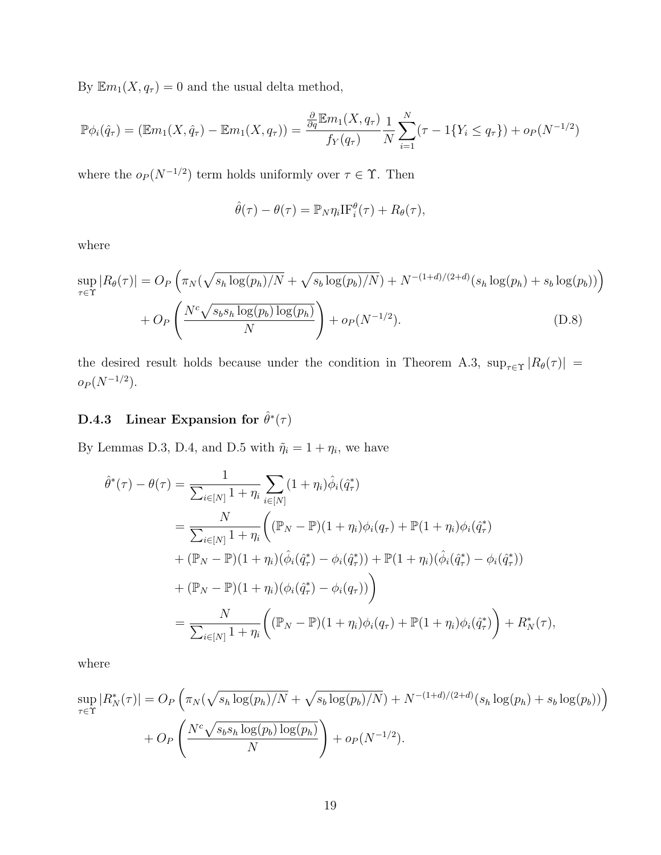By  $\mathbb{E}m_1(X, q_\tau) = 0$  and the usual delta method,

$$
\mathbb{P}\phi_i(\hat{q}_\tau) = (\mathbb{E}m_1(X, \hat{q}_\tau) - \mathbb{E}m_1(X, q_\tau)) = \frac{\frac{\partial}{\partial q} \mathbb{E}m_1(X, q_\tau)}{f_Y(q_\tau)} \frac{1}{N} \sum_{i=1}^N (\tau - 1\{Y_i \le q_\tau\}) + o_P(N^{-1/2})
$$

where the  $o_P (N^{-1/2})$  term holds uniformly over  $\tau \in \Upsilon$ . Then

<span id="page-18-1"></span>
$$
\hat{\theta}(\tau) - \theta(\tau) = \mathbb{P}_N \eta_i \mathrm{IF}_i^{\theta}(\tau) + R_{\theta}(\tau),
$$

where

$$
\sup_{\tau \in \Upsilon} |R_{\theta}(\tau)| = O_P\left(\pi_N(\sqrt{s_h \log(p_h)/N} + \sqrt{s_b \log(p_b)/N}) + N^{-(1+d)/(2+d)}(s_h \log(p_h) + s_b \log(p_b))\right) + O_P\left(\frac{N^c \sqrt{s_b s_h \log(p_b) \log(p_h)}}{N}\right) + o_P(N^{-1/2}).
$$
\n(D.8)

the desired result holds because under the condition in Theorem [A.3,](#page-1-9)  $\sup_{\tau \in \Upsilon} |R_{\theta}(\tau)| =$  $o_P(N^{-1/2})$ .

## <span id="page-18-0"></span>D.4.3 Linear Expansion for  $\hat{\theta}^*(\tau)$

By Lemmas [D.3,](#page-13-1) [D.4,](#page-14-0) and [D.5](#page-16-0) with  $\tilde{\eta}_i = 1 + \eta_i$ , we have

$$
\hat{\theta}^*(\tau) - \theta(\tau) = \frac{1}{\sum_{i \in [N]} 1 + \eta_i} \sum_{i \in [N]} (1 + \eta_i) \hat{\phi}_i(\hat{q}^*_{\tau})
$$
  
\n
$$
= \frac{N}{\sum_{i \in [N]} 1 + \eta_i} \left( (\mathbb{P}_N - \mathbb{P})(1 + \eta_i) \phi_i(q_{\tau}) + \mathbb{P}(1 + \eta_i) \phi_i(\hat{q}^*_{\tau}) + (\mathbb{P}_N - \mathbb{P})(1 + \eta_i) (\hat{\phi}_i(\hat{q}^*_{\tau}) - \phi_i(\hat{q}^*_{\tau})) + \mathbb{P}(1 + \eta_i) (\hat{\phi}_i(\hat{q}^*_{\tau}) - \phi_i(\hat{q}^*_{\tau})) \right)
$$
  
\n
$$
+ (\mathbb{P}_N - \mathbb{P})(1 + \eta_i) (\phi_i(\hat{q}^*_{\tau}) - \phi_i(q_{\tau}))
$$
  
\n
$$
= \frac{N}{\sum_{i \in [N]} 1 + \eta_i} \left( (\mathbb{P}_N - \mathbb{P})(1 + \eta_i) \phi_i(q_{\tau}) + \mathbb{P}(1 + \eta_i) \phi_i(\hat{q}^*_{\tau}) \right) + R_N^*(\tau),
$$

where

$$
\sup_{\tau \in \Upsilon} |R_N^*(\tau)| = O_P\left(\pi_N(\sqrt{s_h \log(p_h)/N} + \sqrt{s_b \log(p_b)/N}) + N^{-(1+d)/(2+d)}(s_h \log(p_h) + s_b \log(p_b))\right) + O_P\left(\frac{N^c \sqrt{s_b s_h \log(p_b) \log(p_h)}}{N}\right) + o_P(N^{-1/2}).
$$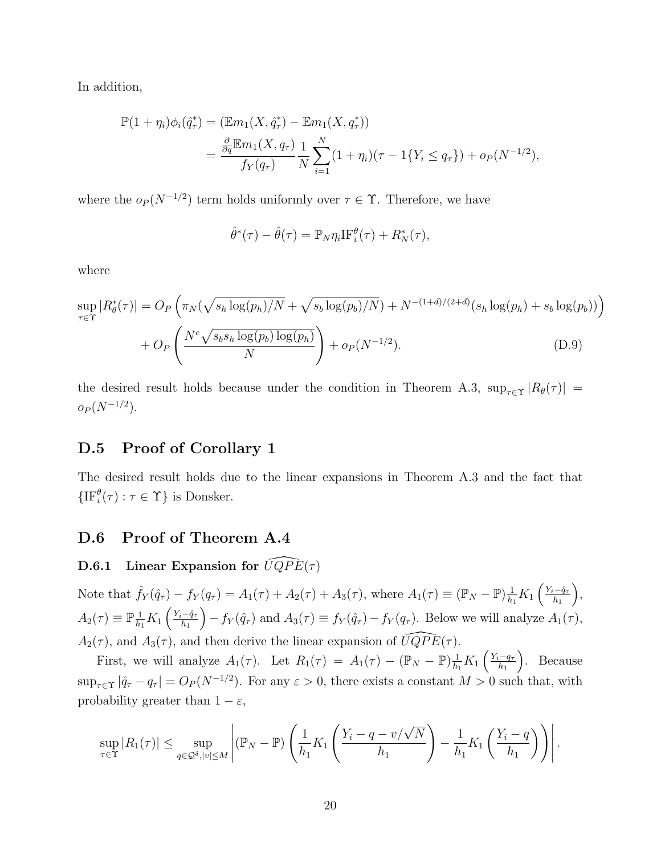In addition,

$$
\mathbb{P}(1 + \eta_i)\phi_i(\hat{q}_\tau^*) = (\mathbb{E}m_1(X, \hat{q}_\tau^*) - \mathbb{E}m_1(X, q_\tau^*))
$$
  
= 
$$
\frac{\frac{\partial}{\partial q}\mathbb{E}m_1(X, q_\tau)}{f_Y(q_\tau)} \frac{1}{N} \sum_{i=1}^N (1 + \eta_i)(\tau - 1\{Y_i \le q_\tau\}) + o_P(N^{-1/2}),
$$

where the  $o_P (N^{-1/2})$  term holds uniformly over  $\tau \in \Upsilon$ . Therefore, we have

$$
\hat{\theta}^*(\tau) - \hat{\theta}(\tau) = \mathbb{P}_N \eta_i \text{IF}_i^{\theta}(\tau) + R_N^*(\tau),
$$

where

$$
\sup_{\tau \in \Upsilon} |R_{\theta}^{*}(\tau)| = O_{P}\left(\pi_{N}(\sqrt{s_{h} \log(p_{h})/N} + \sqrt{s_{b} \log(p_{b})/N}) + N^{-(1+d)/(2+d)}(s_{h} \log(p_{h}) + s_{b} \log(p_{b}))\right) + O_{P}\left(\frac{N^{c}\sqrt{s_{b}s_{h} \log(p_{b}) \log(p_{h})}}{N}\right) + o_{P}(N^{-1/2}).
$$
\n(D.9)

the desired result holds because under the condition in Theorem [A.3,](#page-1-9)  $\sup_{\tau \in \Upsilon} |R_{\theta}(\tau)| =$  $o_P (N^{-1/2}).$ 

### D.5 Proof of Corollary [1](#page-0-0)

The desired result holds due to the linear expansions in Theorem [A.3](#page-1-9) and the fact that  $\{\text{IF}_{i}^{\theta}(\tau) : \tau \in \Upsilon\}$  is Donsker.

### D.6 Proof of Theorem [A.4](#page-2-1)

### <span id="page-19-0"></span>D.6.1 Linear Expansion for  $\widehat{UQPE}(\tau )$

Note that  $\hat{f}_Y(\hat{q}_\tau) - f_Y(q_\tau) = A_1(\tau) + A_2(\tau) + A_3(\tau)$ , where  $A_1(\tau) \equiv (\mathbb{P}_N - \mathbb{P})\frac{1}{h_1}$  $\frac{1}{h_1}K_1\left(\frac{Y_i-\hat{q}_\tau}{h_1}\right)$  $h_1$  ,  $A_2(\tau) \equiv \mathbb{P}_{\overline{h}_1}^{\ \underline{1}}$  $\frac{1}{h_1}K_1\left(\frac{Y_i-\hat{q}_\tau}{h_1}\right)$  $h_1$  $(-f_Y(\hat{q}_\tau)$  and  $A_3(\tau) \equiv f_Y(\hat{q}_\tau) - f_Y(q_\tau)$ . Below we will analyze  $A_1(\tau)$ ,  $A_2(\tau)$ , and  $A_3(\tau)$ , and then derive the linear expansion of  $\widehat{UQPE}(\tau)$ .

First, we will analyze  $A_1(\tau)$ . Let  $R_1(\tau) = A_1(\tau) - (\mathbb{P}_N - \mathbb{P})\frac{1}{h}$  $\frac{1}{h_1}K_1\left(\frac{Y_i-q_{\tau}}{h_1}\right)$  $h_1$  . Because  $\sup_{\tau \in \Upsilon} |\hat{q}_{\tau} - q_{\tau}| = O_P(N^{-1/2})$ . For any  $\varepsilon > 0$ , there exists a constant  $M > 0$  such that, with probability greater than  $1 - \varepsilon$ ,

$$
\sup_{\tau \in \Upsilon} |R_1(\tau)| \leq \sup_{q \in \mathcal{Q}^\delta, |v| \leq M} \left| (\mathbb{P}_N - \mathbb{P}) \left( \frac{1}{h_1} K_1 \left( \frac{Y_i - q - v/\sqrt{N}}{h_1} \right) - \frac{1}{h_1} K_1 \left( \frac{Y_i - q}{h_1} \right) \right) \right|.
$$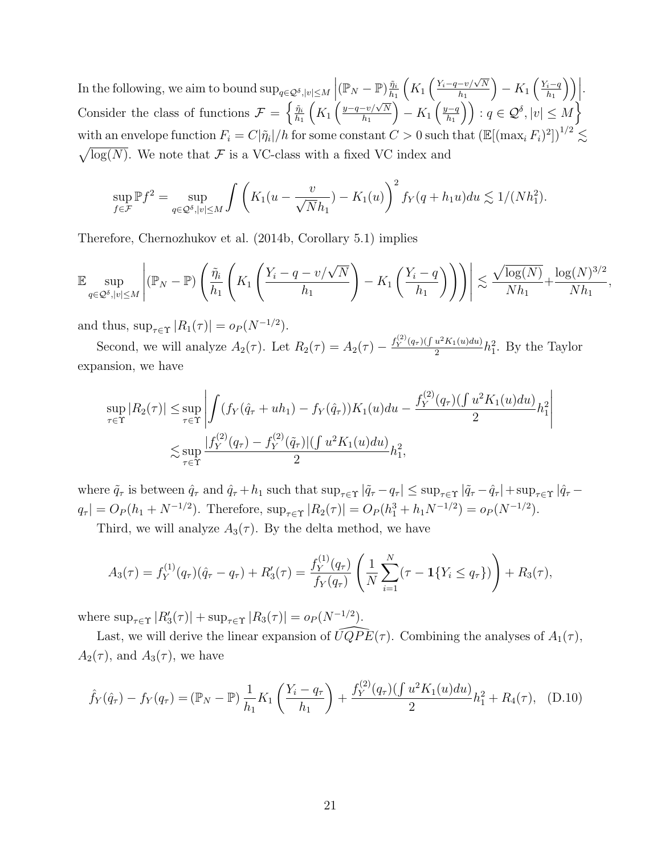In the following, we aim to bound  $\sup_{q\in\mathcal{Q}^\delta,|v|\leq M}\Big|({\mathbb{P}}_N-{\mathbb{P}})\frac{\tilde{n}_i}{h_1}$  $h_1$  $\left(K_1\left(\frac{Y_i-q-v}{h_1}\right)\right)$  $h_1$  $- K_1 \left( \frac{Y_i-q}{h_1} \right)$  $h_1$  $\Big)\Big).$ Consider the class of functions  $\mathcal{F} = \begin{cases} \frac{\tilde{\eta}_i}{h_i} & \text{if } i \leq n \end{cases}$  $h_1$  $\left(K_1\left(\frac{y-q-v}{h_1}\right)\right)$  $h_1$  $- K_1 \left( \frac{y-q}{h_1} \right)$  $\left(\frac{q-q}{h_1}\right)$  :  $q \in \mathcal{Q}^{\delta}, |v| \leq M$ with an envelope function  $F_i = C|\tilde{\eta}_i|/h$  for some constant  $C>0$  such that  $\left(\mathbb{E}[(\max_i F_i)^2]\right)^{1/2} \lesssim$  $\sqrt{\log(N)}$ . We note that F is a VC-class with a fixed VC index and

$$
\sup_{f \in \mathcal{F}} \mathbb{P} f^2 = \sup_{q \in \mathcal{Q}^\delta, |v| \le M} \int \left( K_1(u - \frac{v}{\sqrt{N}h_1}) - K_1(u) \right)^2 f_Y(q + h_1 u) du \lesssim 1/(Nh_1^2).
$$

Therefore, [Chernozhukov et al.](#page-38-9) [\(2014b,](#page-38-9) Corollary 5.1) implies

$$
\mathbb{E}\sup_{q\in\mathcal{Q}^\delta,|v|\leq M}\left|(\mathbb{P}_N-\mathbb{P})\left(\frac{\tilde{\eta}_i}{h_1}\left(K_1\left(\frac{Y_i-q-v/\sqrt{N}}{h_1}\right)-K_1\left(\frac{Y_i-q}{h_1}\right)\right)\right)\right|\lesssim \frac{\sqrt{\log(N)}}{Nh_1}+\frac{\log(N)^{3/2}}{Nh_1},
$$

and thus,  $\sup_{\tau \in \Upsilon} |R_1(\tau)| = o_P(N^{-1/2}).$ 

Second, we will analyze  $A_2(\tau)$ . Let  $R_2(\tau) = A_2(\tau) - \frac{f_Y^{(2)}(q_{\tau})(\int u^2 K_1(u) du)}{2}$  $\frac{u^2 K_1(u) du}{2} h_1^2$ . By the Taylor expansion, we have

$$
\sup_{\tau \in \Upsilon} |R_2(\tau)| \le \sup_{\tau \in \Upsilon} \left| \int (f_Y(\hat{q}_\tau + uh_1) - f_Y(\hat{q}_\tau)) K_1(u) du - \frac{f_Y^{(2)}(q_\tau)(\int u^2 K_1(u) du)}{2} h_1^2 \right|
$$
  

$$
\lesssim \sup_{\tau \in \Upsilon} \frac{|f_Y^{(2)}(q_\tau) - f_Y^{(2)}(\tilde{q}_\tau)| (\int u^2 K_1(u) du)}{2} h_1^2,
$$

where  $\tilde{q}_{\tau}$  is between  $\hat{q}_{\tau}$  and  $\hat{q}_{\tau} + h_1$  such that  $\sup_{\tau \in \Upsilon} |\tilde{q}_{\tau} - q_{\tau}| \leq \sup_{\tau \in \Upsilon} |\tilde{q}_{\tau} - \hat{q}_{\tau}| + \sup_{\tau \in \Upsilon} |\hat{q}_{\tau} - \hat{q}_{\tau}|$  $q_{\tau} | = O_P(h_1 + N^{-1/2})$ . Therefore,  $\sup_{\tau \in \Upsilon} |R_2(\tau)| = O_P(h_1^3 + h_1 N^{-1/2}) = o_P(N^{-1/2})$ .

Third, we will analyze  $A_3(\tau)$ . By the delta method, we have

<span id="page-20-0"></span>
$$
A_3(\tau) = f_Y^{(1)}(q_\tau)(\hat{q}_\tau - q_\tau) + R'_3(\tau) = \frac{f_Y^{(1)}(q_\tau)}{f_Y(q_\tau)} \left( \frac{1}{N} \sum_{i=1}^N (\tau - \mathbf{1}\{Y_i \le q_\tau\}) \right) + R_3(\tau),
$$

where  $\sup_{\tau \in \Upsilon} |R'_3(\tau)| + \sup_{\tau \in \Upsilon} |R_3(\tau)| = o_P(N^{-1/2}).$ 

Last, we will derive the linear expansion of  $\widehat{UQPE}(\tau)$ . Combining the analyses of  $A_1(\tau)$ ,  $A_2(\tau)$ , and  $A_3(\tau)$ , we have

$$
\hat{f}_Y(\hat{q}_\tau) - f_Y(q_\tau) = (\mathbb{P}_N - \mathbb{P}) \frac{1}{h_1} K_1 \left( \frac{Y_i - q_\tau}{h_1} \right) + \frac{f_Y^{(2)}(q_\tau) (\int u^2 K_1(u) du)}{2} h_1^2 + R_4(\tau), \quad (D.10)
$$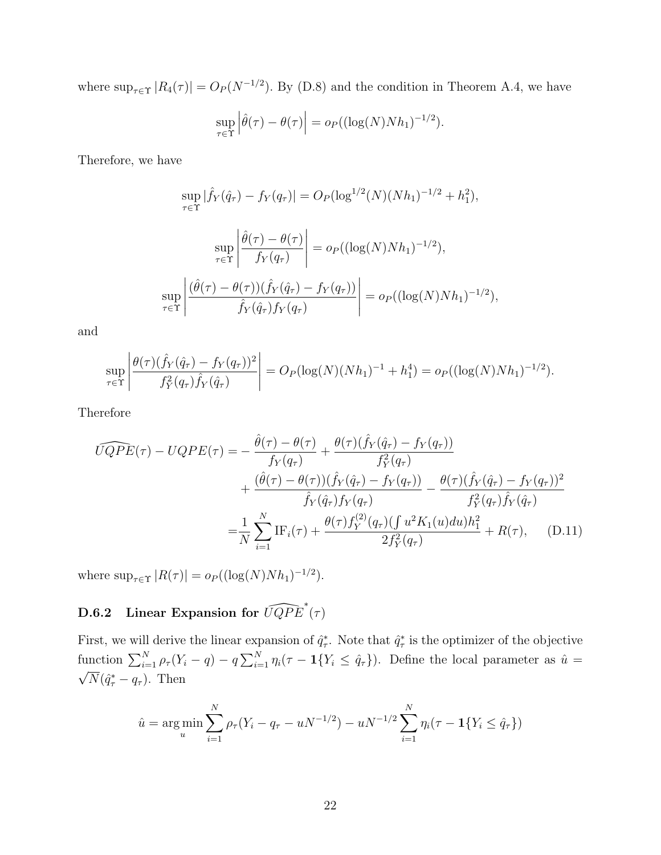where  $\sup_{\tau \in \Upsilon} |R_4(\tau)| = O_P(N^{-1/2})$ . By [\(D.8\)](#page-18-1) and the condition in Theorem [A.4,](#page-2-1) we have

$$
\sup_{\tau \in \Upsilon} \left| \hat{\theta}(\tau) - \theta(\tau) \right| = o_P((\log(N)Nh_1)^{-1/2}).
$$

Therefore, we have

$$
\sup_{\tau \in \Upsilon} |\hat{f}_Y(\hat{q}_\tau) - f_Y(q_\tau)| = O_P(\log^{1/2}(N)(Nh_1)^{-1/2} + h_1^2),
$$
  

$$
\sup_{\tau \in \Upsilon} \left| \frac{\hat{\theta}(\tau) - \theta(\tau)}{f_Y(q_\tau)} \right| = o_P((\log(N)Nh_1)^{-1/2}),
$$
  

$$
\sup_{\tau \in \Upsilon} \left| \frac{(\hat{\theta}(\tau) - \theta(\tau))(\hat{f}_Y(\hat{q}_\tau) - f_Y(q_\tau))}{\hat{f}_Y(\hat{q}_\tau)f_Y(q_\tau)} \right| = o_P((\log(N)Nh_1)^{-1/2}),
$$

and

$$
\sup_{\tau \in \Upsilon} \left| \frac{\theta(\tau)(\hat{f}_Y(\hat{q}_\tau) - f_Y(q_\tau))^2}{f_Y^2(q_\tau)\hat{f}_Y(\hat{q}_\tau)} \right| = O_P(\log(N)(Nh_1)^{-1} + h_1^4) = o_P((\log(N)Nh_1)^{-1/2}).
$$

Therefore

$$
\widehat{UQPE}(\tau) - UQPE(\tau) = -\frac{\hat{\theta}(\tau) - \theta(\tau)}{f_Y(q_\tau)} + \frac{\theta(\tau)(\hat{f}_Y(\hat{q}_\tau) - f_Y(q_\tau))}{f_Y^2(q_\tau)} \n+ \frac{(\hat{\theta}(\tau) - \theta(\tau))(\hat{f}_Y(\hat{q}_\tau) - f_Y(q_\tau))}{\hat{f}_Y(\hat{q}_\tau)f_Y(q_\tau)} - \frac{\theta(\tau)(\hat{f}_Y(\hat{q}_\tau) - f_Y(q_\tau))^2}{f_Y^2(q_\tau)\hat{f}_Y(\hat{q}_\tau)} \n= \frac{1}{N} \sum_{i=1}^N \text{IF}_i(\tau) + \frac{\theta(\tau)f_Y^{(2)}(q_\tau)(\int u^2 K_1(u) du)h_1^2}{2f_Y^2(q_\tau)} + R(\tau), \quad \text{(D.11)}
$$

where  $\sup_{\tau \in \Upsilon} |R(\tau)| = o_P((\log(N)Nh_1)^{-1/2}).$ 

# <span id="page-21-0"></span>**D.6.2** Linear Expansion for  $\widehat{UQPE}^*(\tau)$

First, we will derive the linear expansion of  $\hat{q}^*_{\tau}$ . Note that  $\hat{q}^*_{\tau}$  is the optimizer of the objective  $\tau$ . rote that  $q_{\tau}$ function  $\sum_{i=1}^{N} \rho_{\tau}(Y_i - q) - q \sum_{i=1}^{N} \eta_i (\tau - 1\{Y_i \leq \hat{q}_{\tau}\})$ . Define the local parameter as  $\hat{u} = \sqrt{\sum_{i=1}^{N} \rho_{\tau}(Y_i - q)} - q \sum_{i=1}^{N} \eta_i (\tau - 1\{Y_i \leq \hat{q}_{\tau}\})$ .  $\overline{N}(\hat{q}^*_\tau - q_\tau)$ . Then

<span id="page-21-1"></span>
$$
\hat{u} = \arg\min_{u} \sum_{i=1}^{N} \rho_{\tau}(Y_i - q_{\tau} - uN^{-1/2}) - uN^{-1/2} \sum_{i=1}^{N} \eta_i(\tau - 1\{Y_i \leq \hat{q}_{\tau}\})
$$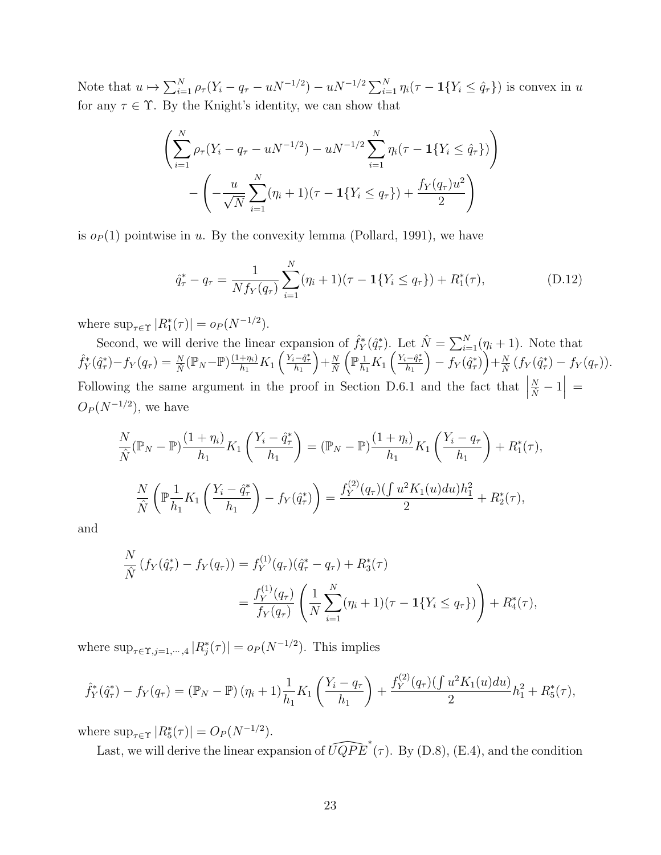Note that  $u \mapsto \sum_{i=1}^{N} \rho_{\tau} (Y_i - q_{\tau} - uN^{-1/2}) - uN^{-1/2} \sum_{i=1}^{N} \eta_i (\tau - 1\{Y_i \le \hat{q}_{\tau}\})$  is convex in u for any  $\tau \in \Upsilon$ . By the Knight's identity, we can show that

$$
\left(\sum_{i=1}^{N} \rho_{\tau}(Y_i - q_{\tau} - uN^{-1/2}) - uN^{-1/2} \sum_{i=1}^{N} \eta_i(\tau - 1\{Y_i \le \hat{q}_{\tau}\})\right) - \left(-\frac{u}{\sqrt{N}} \sum_{i=1}^{N} (\eta_i + 1)(\tau - 1\{Y_i \le q_{\tau}\}) + \frac{f_Y(q_{\tau})u^2}{2}\right)
$$

is  $o_P(1)$  pointwise in u. By the convexity lemma [\(Pollard, 1991\)](#page-38-10), we have

<span id="page-22-0"></span>
$$
\hat{q}_{\tau}^* - q_{\tau} = \frac{1}{Nf_Y(q_{\tau})} \sum_{i=1}^N (\eta_i + 1)(\tau - 1\{Y_i \le q_{\tau}\}) + R_1^*(\tau), \tag{D.12}
$$

where  $\sup_{\tau \in \Upsilon} |R_1^*(\tau)| = o_P(N^{-1/2}).$ 

Second, we will derive the linear expansion of  $\hat{f}_Y^*(\hat{q}_\tau^*)$ . Let  $\hat{N} = \sum_{i=1}^N (\eta_i + 1)$ . Note that  $\hat{f}_{Y}^{*}(\hat{q}_{\tau}^{*})-f_{Y}(q_{\tau})=\frac{N}{\hat{N}}(\mathbb{P}_{N}-\mathbb{P})\frac{(1+\eta_{i})}{h_{1}}$  $\frac{+\eta_i)}{h_1}K_1\left(\frac{Y_i-\hat{q}^*_\tau}{h_1}\right)$  $+\frac{N}{\hat{N}}$  $(\mathbb{P}^{\frac{1}{n}})$  $\frac{1}{h_1}K_1\left(\frac{Y_i-\hat{q}^*_\tau}{h_1}\right)$  $\Big)-f_Y(\hat{q}_{\tau}^*\Big)+\frac{N}{\hat{N}}\big(f_Y(\hat{q}_{\tau}^*)-f_Y(q_{\tau})\big).$ Following the same argument in the proof in Section [D.6.1](#page-19-0) and the fact that  $\Big|$  $\frac{N}{\hat{N}}-1\Big| =$  $O_P(N^{-1/2})$ , we have

$$
\frac{N}{\hat{N}}(\mathbb{P}_N - \mathbb{P})\frac{(1+\eta_i)}{h_1}K_1\left(\frac{Y_i - \hat{q}_\tau^*}{h_1}\right) = (\mathbb{P}_N - \mathbb{P})\frac{(1+\eta_i)}{h_1}K_1\left(\frac{Y_i - q_\tau}{h_1}\right) + R_1^*(\tau),
$$
  

$$
\frac{N}{\hat{N}}\left(\mathbb{P}_{h_1}^{\frac{1}{\hat{N}}}K_1\left(\frac{Y_i - \hat{q}_\tau^*}{h_1}\right) - f_Y(\hat{q}_\tau^*)\right) = \frac{f_Y^{(2)}(q_\tau)\left(\int u^2K_1(u)du\right)h_1^2}{2} + R_2^*(\tau),
$$

and

$$
\frac{N}{\hat{N}}(f_Y(\hat{q}_\tau^*) - f_Y(q_\tau)) = f_Y^{(1)}(q_\tau)(\hat{q}_\tau^* - q_\tau) + R_3^*(\tau)
$$
\n
$$
= \frac{f_Y^{(1)}(q_\tau)}{f_Y(q_\tau)} \left(\frac{1}{N} \sum_{i=1}^N (\eta_i + 1)(\tau - 1\{Y_i \le q_\tau\})\right) + R_4^*(\tau),
$$

where  $\sup_{\tau \in \Upsilon, j=1,\dots,4} |R_j^*(\tau)| = o_P(N^{-1/2})$ . This implies

$$
\hat{f}_Y^*(\hat{q}_\tau^*) - f_Y(q_\tau) = (\mathbb{P}_N - \mathbb{P}) (\eta_i + 1) \frac{1}{h_1} K_1 \left( \frac{Y_i - q_\tau}{h_1} \right) + \frac{f_Y^{(2)}(q_\tau) (\int u^2 K_1(u) du)}{2} h_1^2 + R_5^*(\tau),
$$

where  $\sup_{\tau \in \Upsilon} |R_5^*(\tau)| = O_P(N^{-1/2}).$ 

Last, we will derive the linear expansion of  $\widehat{UQPE}^*(\tau)$ . By [\(D.8\)](#page-18-1), [\(E.4\)](#page-29-0), and the condition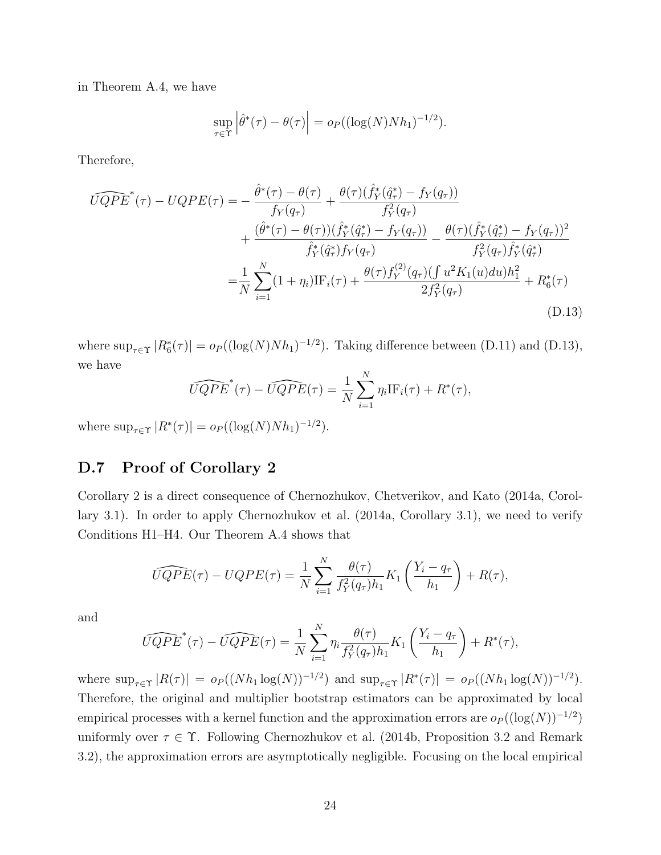in Theorem [A.4,](#page-2-1) we have

$$
\sup_{\tau \in \Upsilon} \left| \hat{\theta}^*(\tau) - \theta(\tau) \right| = o_P((\log(N)Nh_1)^{-1/2}).
$$

Therefore,

$$
\widehat{UQPE}^*(\tau) - UQPE(\tau) = -\frac{\hat{\theta}^*(\tau) - \theta(\tau)}{f_Y(q_\tau)} + \frac{\theta(\tau)(\hat{f}_Y^*(\hat{q}_\tau^*) - f_Y(q_\tau))}{f_Y^2(q_\tau)} \n+ \frac{(\hat{\theta}^*(\tau) - \theta(\tau))(\hat{f}_Y^*(\hat{q}_\tau^*) - f_Y(q_\tau))}{\hat{f}_Y^*(\hat{q}_\tau^*)f_Y(q_\tau)} - \frac{\theta(\tau)(\hat{f}_Y^*(\hat{q}_\tau^*) - f_Y(q_\tau))^2}{f_Y^2(q_\tau)\hat{f}_Y^*(\hat{q}_\tau^*)} \n= \frac{1}{N} \sum_{i=1}^N (1 + \eta_i)IF_i(\tau) + \frac{\theta(\tau)f_Y^{(2)}(q_\tau)(\int u^2 K_1(u) du)h_1^2}{2f_Y^2(q_\tau)} + R_6^*(\tau)
$$
\n(D.13)

where  $\sup_{\tau \in \Upsilon} |R_6^*(\tau)| = o_P((\log(N)Nh_1)^{-1/2})$ . Taking difference between [\(D.11\)](#page-21-1) and [\(D.13\)](#page-23-0), we have

<span id="page-23-0"></span>
$$
\widehat{UQPE}^*(\tau) - \widehat{UQPE}(\tau) = \frac{1}{N} \sum_{i=1}^N \eta_i \text{IF}_i(\tau) + R^*(\tau),
$$

where  $\sup_{\tau \in \Upsilon} |R^*(\tau)| = o_P((\log(N)Nh_1)^{-1/2}).$ 

## D.7 Proof of Corollary [2](#page-0-0)

Corollary [2](#page-0-0) is a direct consequence of [Chernozhukov, Chetverikov, and Kato](#page-38-11) [\(2014a,](#page-38-11) Corollary 3.1). In order to apply [Chernozhukov et al.](#page-38-11) [\(2014a,](#page-38-11) Corollary 3.1), we need to verify Conditions H1–H4. Our Theorem [A.4](#page-2-1) shows that

$$
\widehat{UQPE}(\tau) - UQPE(\tau) = \frac{1}{N} \sum_{i=1}^{N} \frac{\theta(\tau)}{f_Y^2(q_\tau)h_1} K_1\left(\frac{Y_i - q_\tau}{h_1}\right) + R(\tau),
$$

and

$$
\widehat{UQPE}^*(\tau) - \widehat{UQPE}(\tau) = \frac{1}{N} \sum_{i=1}^N \eta_i \frac{\theta(\tau)}{f_Y^2(q_\tau)h_1} K_1\left(\frac{Y_i - q_\tau}{h_1}\right) + R^*(\tau),
$$

where  $\sup_{\tau \in \Upsilon} |R(\tau)| = o_P((Nh_1 \log(N))^{-1/2})$  and  $\sup_{\tau \in \Upsilon} |R^*(\tau)| = o_P((Nh_1 \log(N))^{-1/2})$ . Therefore, the original and multiplier bootstrap estimators can be approximated by local empirical processes with a kernel function and the approximation errors are  $o_P((\log(N))^{-1/2})$ uniformly over  $\tau \in \Upsilon$ . Following [Chernozhukov et al.](#page-38-9) [\(2014b,](#page-38-9) Proposition 3.2 and Remark 3.2), the approximation errors are asymptotically negligible. Focusing on the local empirical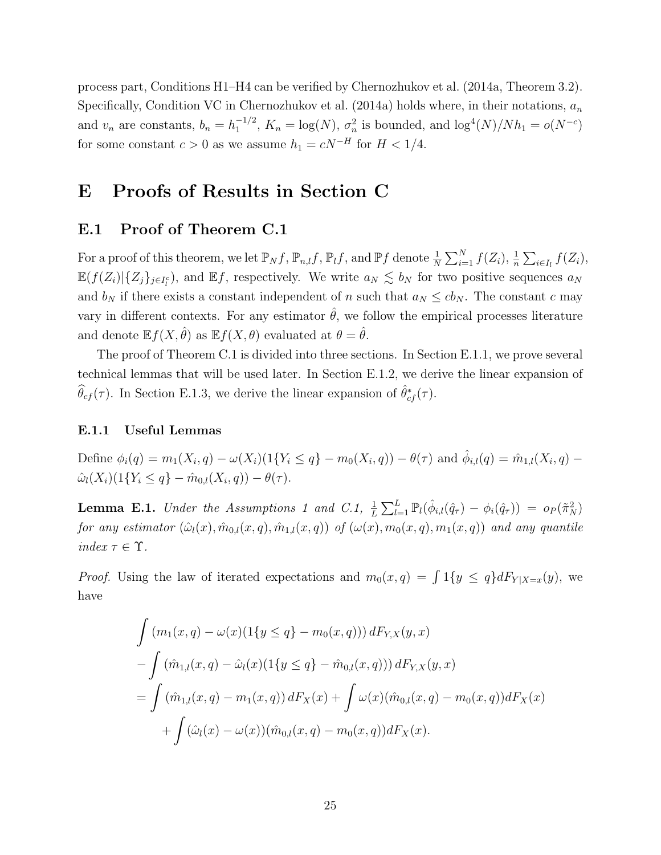process part, Conditions H1–H4 can be verified by [Chernozhukov et al.](#page-38-11) [\(2014a,](#page-38-11) Theorem 3.2). Specifically, Condition VC in [Chernozhukov et al.](#page-38-11) [\(2014a\)](#page-38-11) holds where, in their notations,  $a_n$ and  $v_n$  are constants,  $b_n = h_1^{-1/2}$  $\int_1^{-1/2}$ ,  $K_n = \log(N)$ ,  $\sigma_n^2$  is bounded, and  $\log^4(N)/Nh_1 = o(N^{-c})$ for some constant  $c > 0$  as we assume  $h_1 = cN^{-H}$  for  $H < 1/4$ .

# <span id="page-24-0"></span>E Proofs of Results in Section [C](#page-3-0)

### E.1 Proof of Theorem [C.1](#page-5-2)

For a proof of this theorem, we let  $\mathbb{P}_N f$ ,  $\mathbb{P}_{n,l} f$ ,  $\mathbb{P}_l f$ , and  $\mathbb{P} f$  denote  $\frac{1}{N} \sum_{i=1}^N f(Z_i)$ ,  $\frac{1}{n} \sum_{i \in I_l} f(Z_i)$ ,  $\mathbb{E}(f(Z_i)|\{Z_j\}_{j\in I_i^c})$ , and  $\mathbb{E}f$ , respectively. We write  $a_N \lesssim b_N$  for two positive sequences  $a_N$ and  $b_N$  if there exists a constant independent of n such that  $a_N \leq cb_N$ . The constant c may vary in different contexts. For any estimator  $\hat{\theta}$ , we follow the empirical processes literature and denote  $\mathbb{E} f(X, \hat{\theta})$  as  $\mathbb{E} f(X, \theta)$  evaluated at  $\theta = \hat{\theta}$ .

The proof of Theorem [C.1](#page-5-2) is divided into three sections. In Section [E.1.1,](#page-24-1) we prove several technical lemmas that will be used later. In Section [E.1.2,](#page-27-0) we derive the linear expansion of  $\widehat{\theta}_{cf}(\tau)$ . In Section [E.1.3,](#page-28-0) we derive the linear expansion of  $\widehat{\theta}_{cf}^*(\tau)$ .

#### <span id="page-24-1"></span>E.1.1 Useful Lemmas

Define  $\phi_i(q) = m_1(X_i, q) - \omega(X_i) (1\{Y_i \leq q\} - m_0(X_i, q)) - \theta(\tau)$  and  $\hat{\phi}_{i,l}(q) = \hat{m}_{1,l}(X_i, q) - \theta(\tau)$  $\hat{\omega}_l(X_i)(1\{Y_i \leq q\} - \hat{m}_{0,l}(X_i, q)) - \theta(\tau).$ 

<span id="page-24-2"></span>**Lemma E.1.** Under the Assumptions [1](#page-0-0) and [C.1,](#page-4-0)  $\frac{1}{L} \sum_{l=1}^{L} \mathbb{P}_l(\hat{\phi}_{i,l}(\hat{q}_\tau) - \phi_i(\hat{q}_\tau)) = o_P(\tilde{\pi}_N^2)$ for any estimator  $(\hat{\omega}_l(x), \hat{m}_{0,l}(x, q), \hat{m}_{1,l}(x, q))$  of  $(\omega(x), m_0(x, q), m_1(x, q))$  and any quantile index  $\tau \in \Upsilon$ .

*Proof.* Using the law of iterated expectations and  $m_0(x,q) = \int 1\{y \leq q\} dF_{Y|X=x}(y)$ , we have

$$
\int (m_1(x, q) - \omega(x)(1\{y \le q\} - m_0(x, q))) dF_{Y,X}(y, x)
$$
  
\n
$$
- \int (\hat{m}_{1,l}(x, q) - \hat{\omega}_l(x)(1\{y \le q\} - \hat{m}_{0,l}(x, q))) dF_{Y,X}(y, x)
$$
  
\n
$$
= \int (\hat{m}_{1,l}(x, q) - m_1(x, q)) dF_X(x) + \int \omega(x)(\hat{m}_{0,l}(x, q) - m_0(x, q)) dF_X(x)
$$
  
\n
$$
+ \int (\hat{\omega}_l(x) - \omega(x))(\hat{m}_{0,l}(x, q) - m_0(x, q)) dF_X(x).
$$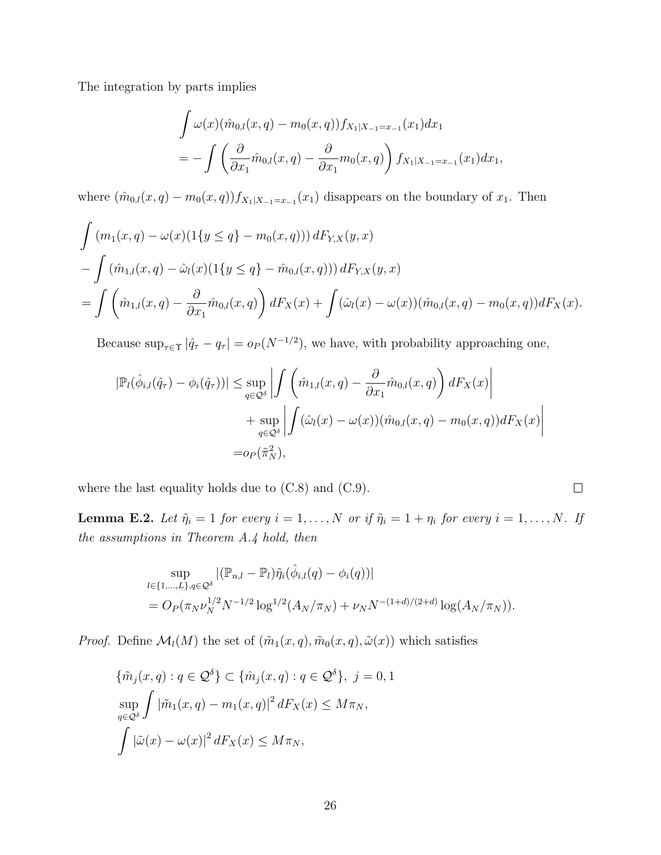The integration by parts implies

$$
\int \omega(x)(\hat{m}_{0,l}(x,q) - m_0(x,q))f_{X_1|X_{-1} = x_{-1}}(x_1)dx_1
$$
  
= 
$$
- \int \left(\frac{\partial}{\partial x_1}\hat{m}_{0,l}(x,q) - \frac{\partial}{\partial x_1}m_0(x,q)\right)f_{X_1|X_{-1} = x_{-1}}(x_1)dx_1,
$$

where  $(\hat{m}_{0,l}(x,q) - m_0(x,q)) f_{X_1|X_{-1}=x_{-1}}(x_1)$  disappears on the boundary of  $x_1$ . Then

$$
\int (m_1(x, q) - \omega(x)(1\{y \le q\} - m_0(x, q))) dF_{Y,X}(y, x)
$$
  
\n
$$
- \int (\hat{m}_{1,l}(x, q) - \hat{\omega}_l(x)(1\{y \le q\} - \hat{m}_{0,l}(x, q))) dF_{Y,X}(y, x)
$$
  
\n
$$
= \int (\hat{m}_{1,l}(x, q) - \frac{\partial}{\partial x_1} \hat{m}_{0,l}(x, q)) dF_X(x) + \int (\hat{\omega}_l(x) - \omega(x)) (\hat{m}_{0,l}(x, q) - m_0(x, q)) dF_X(x).
$$

Because  $\sup_{\tau \in \Upsilon} |\hat{q}_{\tau} - q_{\tau}| = o_P(N^{-1/2})$ , we have, with probability approaching one,

$$
|\mathbb{P}_{l}(\hat{\phi}_{i,l}(\hat{q}_{\tau}) - \phi_{i}(\hat{q}_{\tau}))| \le \sup_{q \in \mathcal{Q}^{\delta}} \left| \int \left( \hat{m}_{1,l}(x,q) - \frac{\partial}{\partial x_{1}} \hat{m}_{0,l}(x,q) \right) dF_{X}(x) \right|
$$
  
+ 
$$
\sup_{q \in \mathcal{Q}^{\delta}} \left| \int (\hat{\omega}_{l}(x) - \omega(x)) (\hat{m}_{0,l}(x,q) - m_{0}(x,q)) dF_{X}(x) \right|
$$
  
= 
$$
o_{P}(\tilde{\pi}_{N}^{2}),
$$

where the last equality holds due to [\(C.8\)](#page-5-1) and [\(C.9\)](#page-5-3).

<span id="page-25-0"></span>**Lemma E.2.** Let  $\tilde{\eta}_i = 1$  for every  $i = 1, ..., N$  or if  $\tilde{\eta}_i = 1 + \eta_i$  for every  $i = 1, ..., N$ . If the assumptions in Theorem [A.4](#page-2-1) hold, then

 $\Box$ 

$$
\sup_{l \in \{1,\ldots,L\}, q \in \mathcal{Q}^\delta} |(\mathbb{P}_{n,l} - \mathbb{P}_l) \tilde{\eta}_i(\hat{\phi}_{i,l}(q) - \phi_i(q))|
$$
  
=  $O_P(\pi_N \nu_N^{1/2} N^{-1/2} \log^{1/2}(A_N/\pi_N) + \nu_N N^{-(1+d)/(2+d)} \log(A_N/\pi_N)).$ 

*Proof.* Define  $\mathcal{M}_l(M)$  the set of  $(\tilde{m}_1(x,q), \tilde{m}_0(x,q), \tilde{\omega}(x))$  which satisfies

$$
\{\tilde{m}_j(x, q) : q \in \mathcal{Q}^\delta\} \subset \{\hat{m}_j(x, q) : q \in \mathcal{Q}^\delta\}, \ j = 0, 1
$$
  

$$
\sup_{q \in \mathcal{Q}^\delta} \int |\tilde{m}_1(x, q) - m_1(x, q)|^2 dF_X(x) \le M\pi_N,
$$
  

$$
\int |\tilde{\omega}(x) - \omega(x)|^2 dF_X(x) \le M\pi_N,
$$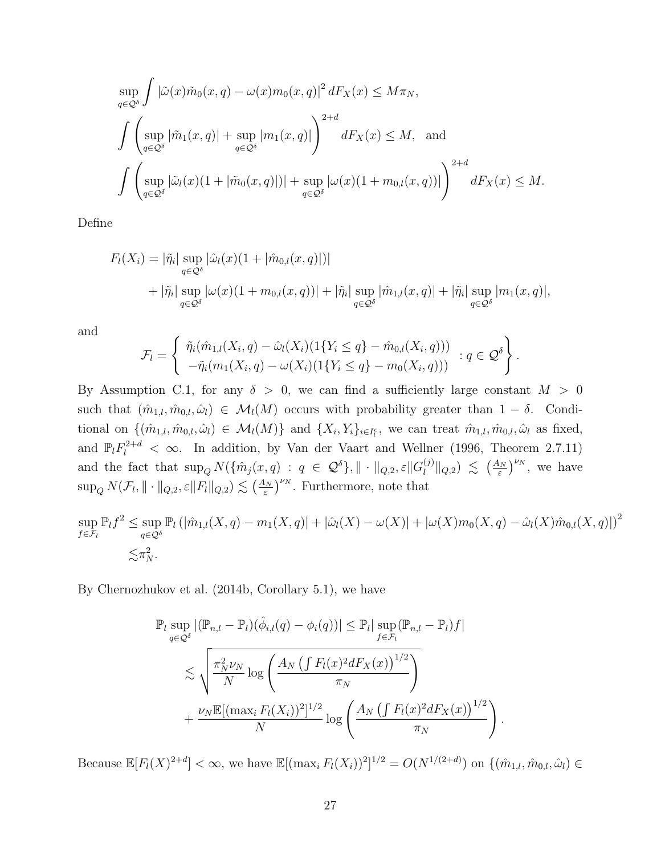$$
\sup_{q\in\mathcal{Q}^\delta} \int |\tilde{\omega}(x)\tilde{m}_0(x,q) - \omega(x)m_0(x,q)|^2 dF_X(x) \le M\pi_N,
$$
\n
$$
\int \left( \sup_{q\in\mathcal{Q}^\delta} |\tilde{m}_1(x,q)| + \sup_{q\in\mathcal{Q}^\delta} |m_1(x,q)| \right)^{2+d} dF_X(x) \le M, \text{ and}
$$
\n
$$
\int \left( \sup_{q\in\mathcal{Q}^\delta} |\tilde{\omega}_l(x)(1+|\tilde{m}_0(x,q)|)| + \sup_{q\in\mathcal{Q}^\delta} |\omega(x)(1+m_{0,l}(x,q))| \right)^{2+d} dF_X(x) \le M.
$$

Define

$$
F_l(X_i) = |\tilde{\eta}_i| \sup_{q \in \mathcal{Q}^\delta} |\hat{\omega}_l(x)(1 + |\hat{m}_{0,l}(x, q)|)|
$$
  
+  $|\tilde{\eta}_i| \sup_{q \in \mathcal{Q}^\delta} |\omega(x)(1 + m_{0,l}(x, q))| + |\tilde{\eta}_i| \sup_{q \in \mathcal{Q}^\delta} |\hat{m}_{1,l}(x, q)| + |\tilde{\eta}_i| \sup_{q \in \mathcal{Q}^\delta} |m_1(x, q)|,$ 

and

$$
\mathcal{F}_l = \left\{ \begin{array}{l} \tilde{\eta}_i(\hat{m}_{1,l}(X_i, q) - \hat{\omega}_l(X_i)(1\{Y_i \leq q\} - \hat{m}_{0,l}(X_i, q))) \\ -\tilde{\eta}_i(m_1(X_i, q) - \omega(X_i)(1\{Y_i \leq q\} - m_0(X_i, q))) \end{array} : q \in \mathcal{Q}^{\delta} \right\}.
$$

By Assumption [C.1,](#page-4-0) for any  $\delta > 0$ , we can find a sufficiently large constant  $M > 0$ such that  $(\hat{m}_{1,l}, \hat{m}_{0,l}, \hat{\omega}_l) \in \mathcal{M}_l(M)$  occurs with probability greater than  $1 - \delta$ . Conditional on  $\{(\hat{m}_{1,l}, \hat{m}_{0,l}, \hat{\omega}_l) \in \mathcal{M}_l(M)\}\$ and  $\{X_i, Y_i\}_{i \in I_l^c}$ , we can treat  $\hat{m}_{1,l}, \hat{m}_{0,l}, \hat{\omega}_l$  as fixed, and  $\mathbb{P}_l F_l^{2+d} < \infty$ . In addition, by [Van der Vaart and Wellner](#page-38-12) [\(1996,](#page-38-12) Theorem 2.7.11) and the fact that  $\sup_{Q} N(\{\hat{m}_j(x,q) : q \in \mathcal{Q}^\delta\}, \| \cdot \|_{Q,2}, \varepsilon \| G_l^{(j)}\)$  $\binom{(j)}{l} |_{Q,2} \leq (\frac{A_N}{\varepsilon})^{\nu_N}$ , we have  $\sup_Q N(\mathcal{F}_l, \|\cdot\|_{Q,2}, \varepsilon \|F_l\|_{Q,2}) \lesssim \left(\frac{A_N}{\varepsilon}\right)^{\nu_N}$ . Furthermore, note that

$$
\sup_{f \in \mathcal{F}_l} \mathbb{P}_l f^2 \leq \sup_{q \in \mathcal{Q}^\delta} \mathbb{P}_l \left( |\hat{m}_{1,l}(X,q) - m_1(X,q)| + |\hat{\omega}_l(X) - \omega(X)| + |\omega(X)m_0(X,q) - \hat{\omega}_l(X)\hat{m}_{0,l}(X,q)| \right)^2
$$
  

$$
\lesssim \pi_N^2.
$$

By [Chernozhukov et al.](#page-38-9) [\(2014b,](#page-38-9) Corollary 5.1), we have

$$
\mathbb{P}_{l} \sup_{q \in \mathcal{Q}^{\delta}} |(\mathbb{P}_{n,l} - \mathbb{P}_{l})(\hat{\phi}_{i,l}(q) - \phi_{i}(q))| \leq \mathbb{P}_{l} |\sup_{f \in \mathcal{F}_{l}} (\mathbb{P}_{n,l} - \mathbb{P}_{l})f|
$$
  

$$
\lesssim \sqrt{\frac{\pi_{N}^{2} \nu_{N}}{N} \log \left( \frac{A_{N} \left( \int F_{l}(x)^{2} dF_{X}(x) \right)^{1/2}}{\pi_{N}} \right)}
$$
  
+ 
$$
\frac{\nu_{N} \mathbb{E} [(\max_{i} F_{l}(X_{i}))^{2}]^{1/2}}{N} \log \left( \frac{A_{N} \left( \int F_{l}(x)^{2} dF_{X}(x) \right)^{1/2}}{\pi_{N}} \right)
$$

Because  $\mathbb{E}[F_l(X)^{2+d}] < \infty$ , we have  $\mathbb{E}[(\max_i F_l(X_i))^2]^{1/2} = O(N^{1/(2+d)})$  on  $\{(\hat{m}_{1,l}, \hat{m}_{0,l}, \hat{\omega}_l) \in$ 

.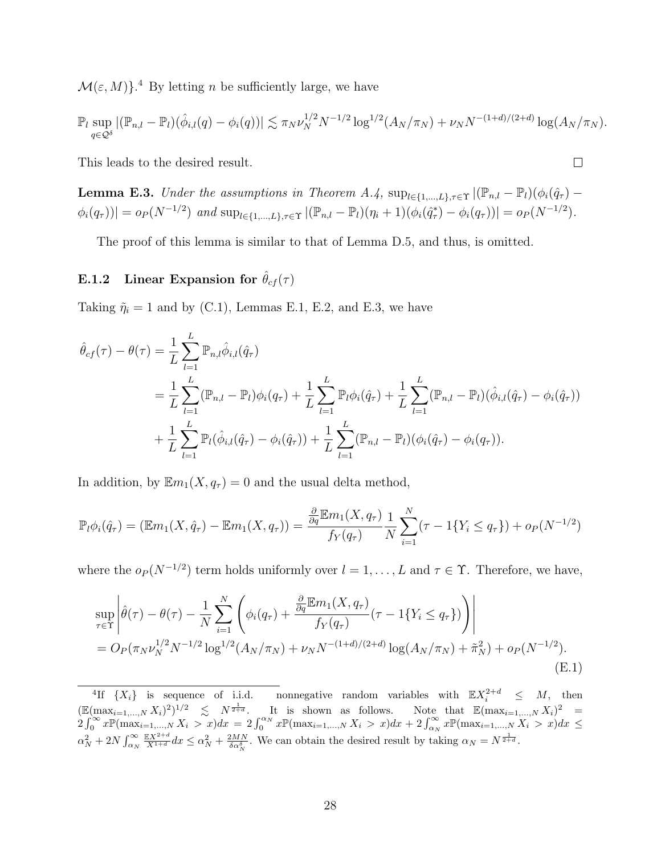$\mathcal{M}(\varepsilon, M)$ <sup>[4](#page-27-1)</sup> By letting *n* be sufficiently large, we have

$$
\mathbb{P}_l \sup_{q \in \mathcal{Q}^\delta} |(\mathbb{P}_{n,l} - \mathbb{P}_l)(\hat{\phi}_{i,l}(q) - \phi_i(q))| \lesssim \pi_N \nu_N^{1/2} N^{-1/2} \log^{1/2}(A_N/\pi_N) + \nu_N N^{-(1+d)/(2+d)} \log(A_N/\pi_N).
$$

This leads to the desired result.

<span id="page-27-2"></span>**Lemma E.3.** Under the assumptions in Theorem [A.4,](#page-2-1)  $\sup_{l\in\{1,\ldots,L\},\tau\in\Upsilon} |(\mathbb{P}_{n,l} - \mathbb{P}_l)(\phi_i(\hat{q}_\tau) \phi_i(q_\tau))| = o_P(N^{-1/2})$  and  $\sup_{l \in \{1,\dots,L\},\tau \in \Upsilon} |(\mathbb{P}_{n,l} - \mathbb{P}_l)(\eta_i + 1)(\phi_i(\hat{q}_\tau^*) - \phi_i(q_\tau))| = o_P(N^{-1/2}).$ 

The proof of this lemma is similar to that of Lemma [D.5,](#page-16-0) and thus, is omitted.

# <span id="page-27-0"></span>E.1.2 Linear Expansion for  $\hat{\theta}_{cf}(\tau)$

Taking  $\tilde{\eta}_i = 1$  and by [\(C.1\)](#page-3-1), Lemmas [E.1,](#page-24-2) [E.2,](#page-25-0) and [E.3,](#page-27-2) we have

$$
\hat{\theta}_{cf}(\tau) - \theta(\tau) = \frac{1}{L} \sum_{l=1}^{L} \mathbb{P}_{n,l} \hat{\phi}_{i,l}(\hat{q}_{\tau})
$$
\n
$$
= \frac{1}{L} \sum_{l=1}^{L} (\mathbb{P}_{n,l} - \mathbb{P}_l) \phi_i(q_{\tau}) + \frac{1}{L} \sum_{l=1}^{L} \mathbb{P}_l \phi_i(\hat{q}_{\tau}) + \frac{1}{L} \sum_{l=1}^{L} (\mathbb{P}_{n,l} - \mathbb{P}_l) (\hat{\phi}_{i,l}(\hat{q}_{\tau}) - \phi_i(\hat{q}_{\tau}))
$$
\n
$$
+ \frac{1}{L} \sum_{l=1}^{L} \mathbb{P}_l (\hat{\phi}_{i,l}(\hat{q}_{\tau}) - \phi_i(\hat{q}_{\tau})) + \frac{1}{L} \sum_{l=1}^{L} (\mathbb{P}_{n,l} - \mathbb{P}_l) (\phi_i(\hat{q}_{\tau}) - \phi_i(q_{\tau})).
$$

In addition, by  $\mathbb{E}m_1(X, q_\tau) = 0$  and the usual delta method,

$$
\mathbb{P}_{l}\phi_{i}(\hat{q}_{\tau}) = (\mathbb{E}m_{1}(X,\hat{q}_{\tau}) - \mathbb{E}m_{1}(X,q_{\tau})) = \frac{\frac{\partial}{\partial q}\mathbb{E}m_{1}(X,q_{\tau})}{f_{Y}(q_{\tau})}\frac{1}{N}\sum_{i=1}^{N}(\tau - 1\{Y_{i} \leq q_{\tau}\}) + o_{P}(N^{-1/2})
$$

where the  $o_P(N^{-1/2})$  term holds uniformly over  $l = 1, ..., L$  and  $\tau \in \Upsilon$ . Therefore, we have,

<span id="page-27-3"></span>
$$
\sup_{\tau \in \Upsilon} \left| \hat{\theta}(\tau) - \theta(\tau) - \frac{1}{N} \sum_{i=1}^{N} \left( \phi_i(q_\tau) + \frac{\frac{\partial}{\partial q} \mathbb{E} m_1(X, q_\tau)}{f_Y(q_\tau)} (\tau - 1\{Y_i \le q_\tau\}) \right) \right|
$$
  
=  $O_P(\pi_N \nu_N^{1/2} N^{-1/2} \log^{1/2} (A_N/\pi_N) + \nu_N N^{-(1+d)/(2+d)} \log(A_N/\pi_N) + \tilde{\pi}_N^2) + o_P(N^{-1/2}).$  (E.1)

 $\Box$ 

<span id="page-27-1"></span><sup>&</sup>lt;sup>4</sup>If  $\{X_i\}$  is sequence of i.i.d. nonnegative random variables with  $\mathbb{E} X_i^{2+d} \leq M$ , then  $(\mathbb{E}(\max_{i=1,\ldots,N} X_i)^2)^{1/2} \leq N^{\frac{1}{2+d}}$ . It is shown as follows. Note that  $\mathbb{E}(\max_{i=1,\ldots,N} X_i)^2 =$  $2\int_0^\infty x \mathbb{P}(\max_{i=1,\dots,N} X_i > x) dx = 2\int_0^{\alpha_N} x \mathbb{P}(\max_{i=1,\dots,N} X_i > x) dx + 2\int_{\alpha_N}^\infty x \mathbb{P}(\max_{i=1,\dots,N} X_i > x) dx \le$  $\alpha_N^2 + 2N \int_{\alpha_N}^{\infty}$  $\frac{\mathbb{E}X^{2+d}}{X^{1+d}}dx \leq \alpha_N^2 + \frac{2MN}{\delta \alpha_N^{\delta}}$ . We can obtain the desired result by taking  $\alpha_N = N^{\frac{1}{2+d}}$ .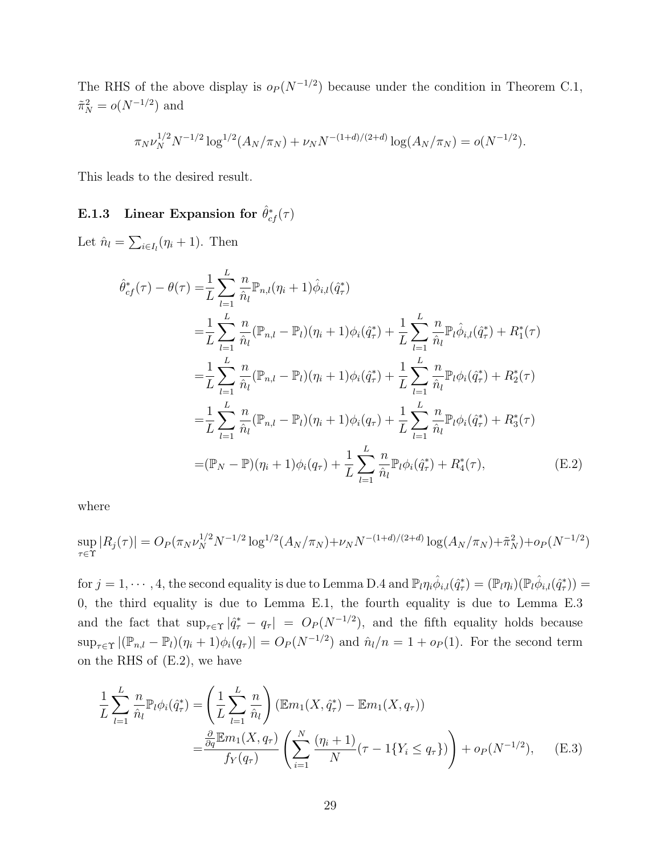The RHS of the above display is  $o_P (N^{-1/2})$  because under the condition in Theorem [C.1,](#page-5-2)  $\tilde{\pi}_N^2 = o(N^{-1/2})$  and

$$
\pi_N \nu_N^{1/2} N^{-1/2} \log^{1/2} (A_N/\pi_N) + \nu_N N^{-(1+d)/(2+d)} \log(A_N/\pi_N) = o(N^{-1/2}).
$$

This leads to the desired result.

# <span id="page-28-0"></span>E.1.3 Linear Expansion for  $\hat{\theta}^*_{cf}(\tau)$

Let  $\hat{n}_l = \sum_{i \in I_l} (\eta_i + 1)$ . Then

<span id="page-28-1"></span>
$$
\hat{\theta}_{cf}^{*}(\tau) - \theta(\tau) = \frac{1}{L} \sum_{l=1}^{L} \frac{n}{\hat{n}_{l}} \mathbb{P}_{n,l}(\eta_{i} + 1) \hat{\phi}_{i,l}(\hat{q}_{\tau}^{*})
$$
\n
$$
= \frac{1}{L} \sum_{l=1}^{L} \frac{n}{\hat{n}_{l}} (\mathbb{P}_{n,l} - \mathbb{P}_{l})(\eta_{i} + 1) \phi_{i}(\hat{q}_{\tau}^{*}) + \frac{1}{L} \sum_{l=1}^{L} \frac{n}{\hat{n}_{l}} \mathbb{P}_{l} \hat{\phi}_{i,l}(\hat{q}_{\tau}^{*}) + R_{1}^{*}(\tau)
$$
\n
$$
= \frac{1}{L} \sum_{l=1}^{L} \frac{n}{\hat{n}_{l}} (\mathbb{P}_{n,l} - \mathbb{P}_{l})(\eta_{i} + 1) \phi_{i}(\hat{q}_{\tau}^{*}) + \frac{1}{L} \sum_{l=1}^{L} \frac{n}{\hat{n}_{l}} \mathbb{P}_{l} \phi_{i}(\hat{q}_{\tau}^{*}) + R_{2}^{*}(\tau)
$$
\n
$$
= \frac{1}{L} \sum_{l=1}^{L} \frac{n}{\hat{n}_{l}} (\mathbb{P}_{n,l} - \mathbb{P}_{l})(\eta_{i} + 1) \phi_{i}(q_{\tau}) + \frac{1}{L} \sum_{l=1}^{L} \frac{n}{\hat{n}_{l}} \mathbb{P}_{l} \phi_{i}(\hat{q}_{\tau}^{*}) + R_{3}^{*}(\tau)
$$
\n
$$
= (\mathbb{P}_{N} - \mathbb{P})(\eta_{i} + 1) \phi_{i}(q_{\tau}) + \frac{1}{L} \sum_{l=1}^{L} \frac{n}{\hat{n}_{l}} \mathbb{P}_{l} \phi_{i}(\hat{q}_{\tau}^{*}) + R_{4}^{*}(\tau), \qquad (E.2)
$$

where

$$
\sup_{\tau \in \Upsilon} |R_j(\tau)| = O_P(\pi_N \nu_N^{1/2} N^{-1/2} \log^{1/2} (A_N/\pi_N) + \nu_N N^{-(1+d)/(2+d)} \log(A_N/\pi_N) + \tilde{\pi}_N^2) + o_P(N^{-1/2})
$$

for  $j = 1, \dots, 4$ , the second equality is due to Lemma [D.4](#page-14-0) and  $\mathbb{P}_{l}\eta_{i}\hat{\phi}_{i,l}(\hat{q}_{\tau}^{*}) = (\mathbb{P}_{l}\eta_{i})(\mathbb{P}_{l}\hat{\phi}_{i,l}(\hat{q}_{\tau}^{*})) =$ 0, the third equality is due to Lemma [E.1,](#page-24-2) the fourth equality is due to Lemma [E.3](#page-27-2) and the fact that  $\sup_{\tau \in \Upsilon} |\hat{q}^*_{\tau} - q_{\tau}| = O_P(N^{-1/2})$ , and the fifth equality holds because  $\sup_{\tau \in \Upsilon} |(\mathbb{P}_{n,l} - \mathbb{P}_l)(\eta_i + 1)\phi_i(q_\tau)| = O_P(N^{-1/2})$  and  $\hat{n}_l/n = 1 + o_P(1)$ . For the second term on the RHS of [\(E.2\)](#page-28-1), we have

<span id="page-28-2"></span>
$$
\frac{1}{L} \sum_{l=1}^{L} \frac{n}{\hat{n}_l} \mathbb{P}_l \phi_i(\hat{q}_\tau^*) = \left(\frac{1}{L} \sum_{l=1}^{L} \frac{n}{\hat{n}_l}\right) (\mathbb{E}m_1(X, \hat{q}_\tau^*) - \mathbb{E}m_1(X, q_\tau))
$$
\n
$$
= \frac{\frac{\partial}{\partial q} \mathbb{E}m_1(X, q_\tau)}{f_Y(q_\tau)} \left(\sum_{i=1}^{N} \frac{(\eta_i + 1)}{N} (\tau - 1\{Y_i \le q_\tau\})\right) + o_P(N^{-1/2}), \quad (E.3)
$$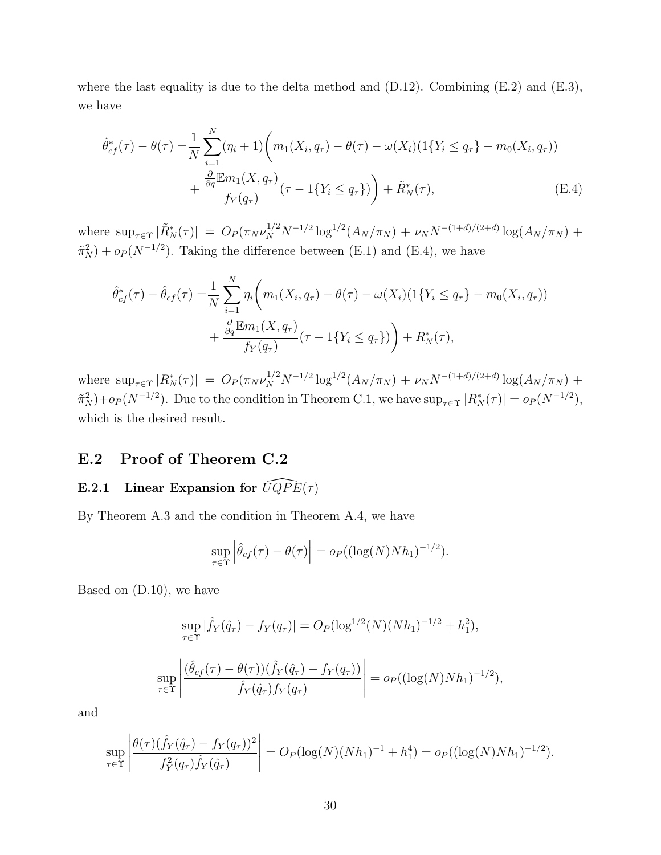where the last equality is due to the delta method and  $(D.12)$ . Combining  $(E.2)$  and  $(E.3)$ , we have

<span id="page-29-0"></span>
$$
\hat{\theta}_{cf}^*(\tau) - \theta(\tau) = \frac{1}{N} \sum_{i=1}^N (\eta_i + 1) \bigg( m_1(X_i, q_\tau) - \theta(\tau) - \omega(X_i) (1\{Y_i \le q_\tau\} - m_0(X_i, q_\tau)) + \frac{\frac{\partial}{\partial q} \mathbb{E} m_1(X, q_\tau)}{f_Y(q_\tau)} (\tau - 1\{Y_i \le q_\tau\}) \bigg) + \tilde{R}_N^*(\tau), \tag{E.4}
$$

where  $\sup_{\tau \in \Upsilon} |\tilde{R}_N^*(\tau)| = O_P(\pi_N \nu_N^{1/2} N^{-1/2} \log^{1/2}(A_N/\pi_N) + \nu_N N^{-(1+d)/(2+d)} \log(A_N/\pi_N) +$  $\tilde{\pi}_N^2$  +  $o_P(N^{-1/2})$ . Taking the difference between [\(E.1\)](#page-27-3) and [\(E.4\)](#page-29-0), we have

$$
\hat{\theta}_{cf}^*(\tau) - \hat{\theta}_{cf}(\tau) = \frac{1}{N} \sum_{i=1}^N \eta_i \bigg( m_1(X_i, q_\tau) - \theta(\tau) - \omega(X_i) (1\{Y_i \le q_\tau\} - m_0(X_i, q_\tau)) + \frac{\frac{\partial}{\partial q} \mathbb{E} m_1(X, q_\tau)}{f_Y(q_\tau)} (\tau - 1\{Y_i \le q_\tau\}) + R_N^*(\tau),
$$

where  $\sup_{\tau \in \Upsilon} |R_N^*(\tau)| = O_P(\pi_N \nu_N^{1/2} N^{-1/2} \log^{1/2}(A_N/\pi_N) + \nu_N N^{-(1+d)/(2+d)} \log(A_N/\pi_N) +$  $\tilde{\pi}_N^2$  +  $o_P(N^{-1/2})$ . Due to the condition in Theorem [C.1,](#page-5-2) we have  $\sup_{\tau \in \Upsilon} |R_N^*(\tau)| = o_P(N^{-1/2})$ , which is the desired result.

### E.2 Proof of Theorem [C.2](#page-6-1)

### E.2.1 Linear Expansion for  $\widehat{UQPE}(\tau )$

By Theorem [A.3](#page-1-9) and the condition in Theorem [A.4,](#page-2-1) we have

$$
\sup_{\tau \in \Upsilon} \left| \hat{\theta}_{cf}(\tau) - \theta(\tau) \right| = o_P((\log(N)Nh_1)^{-1/2}).
$$

Based on [\(D.10\)](#page-20-0), we have

$$
\sup_{\tau \in \Upsilon} |\hat{f}_Y(\hat{q}_\tau) - f_Y(q_\tau)| = O_P(\log^{1/2}(N)(Nh_1)^{-1/2} + h_1^2),
$$
  

$$
\sup_{\tau \in \Upsilon} \left| \frac{(\hat{\theta}_{cf}(\tau) - \theta(\tau))(\hat{f}_Y(\hat{q}_\tau) - f_Y(q_\tau))}{\hat{f}_Y(\hat{q}_\tau)f_Y(q_\tau)} \right| = o_P((\log(N)Nh_1)^{-1/2}),
$$

and

$$
\sup_{\tau \in \Upsilon} \left| \frac{\theta(\tau)(\hat{f}_Y(\hat{q}_\tau) - f_Y(q_\tau))^2}{f_Y^2(q_\tau)\hat{f}_Y(\hat{q}_\tau)} \right| = O_P(\log(N)(Nh_1)^{-1} + h_1^4) = o_P((\log(N)Nh_1)^{-1/2}).
$$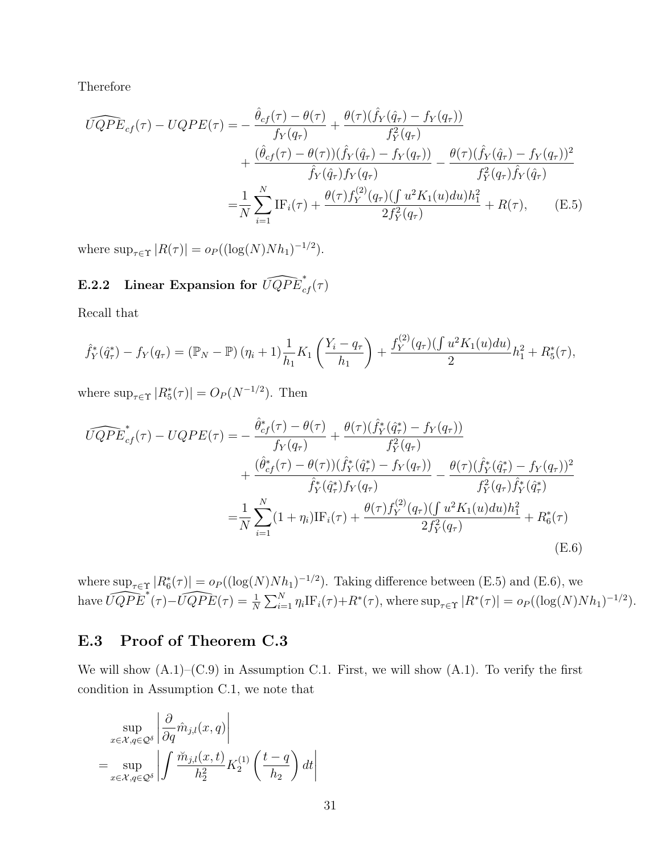Therefore

<span id="page-30-0"></span>
$$
\widehat{UQPE}_{cf}(\tau) - UQPE(\tau) = -\frac{\hat{\theta}_{cf}(\tau) - \theta(\tau)}{f_Y(q_\tau)} + \frac{\theta(\tau)(\hat{f}_Y(\hat{q}_\tau) - f_Y(q_\tau))}{f_Y^2(q_\tau)} \n+ \frac{(\hat{\theta}_{cf}(\tau) - \theta(\tau))(\hat{f}_Y(\hat{q}_\tau) - f_Y(q_\tau))}{\hat{f}_Y(\hat{q}_\tau)f_Y(q_\tau)} - \frac{\theta(\tau)(\hat{f}_Y(\hat{q}_\tau) - f_Y(q_\tau))^2}{f_Y^2(q_\tau)\hat{f}_Y(\hat{q}_\tau)} \n= \frac{1}{N} \sum_{i=1}^N \text{IF}_i(\tau) + \frac{\theta(\tau)f_Y^{(2)}(q_\tau)(\int u^2 K_1(u) du)h_1^2}{2f_Y^2(q_\tau)} + R(\tau), \quad (E.5)
$$

where  $\sup_{\tau \in \Upsilon} |R(\tau)| = o_P((\log(N)Nh_1)^{-1/2}).$ 

# E.2.2 Linear Expansion for  $\widehat{UQPE}^*_{cf}(\tau)$

Recall that

$$
\hat{f}_Y^*(\hat{q}_\tau^*) - f_Y(q_\tau) = (\mathbb{P}_N - \mathbb{P}) (\eta_i + 1) \frac{1}{h_1} K_1 \left( \frac{Y_i - q_\tau}{h_1} \right) + \frac{f_Y^{(2)}(q_\tau) (\int u^2 K_1(u) du)}{2} h_1^2 + R_5^*(\tau),
$$

where  $\sup_{\tau \in \Upsilon} |R_5^*(\tau)| = O_P(N^{-1/2})$ . Then

$$
\widehat{UQPE}_{cf}^*(\tau) - UQPE(\tau) = -\frac{\hat{\theta}_{cf}^*(\tau) - \theta(\tau)}{f_Y(q_\tau)} + \frac{\theta(\tau)(\hat{f}_Y^*(\hat{q}_\tau^*) - f_Y(q_\tau))}{f_Y^2(q_\tau)} \n+ \frac{(\hat{\theta}_{cf}^*(\tau) - \theta(\tau))(\hat{f}_Y^*(\hat{q}_\tau^*) - f_Y(q_\tau))}{\hat{f}_Y^*(\hat{q}_\tau^*)f_Y(q_\tau)} - \frac{\theta(\tau)(\hat{f}_Y^*(\hat{q}_\tau^*) - f_Y(q_\tau))^2}{f_Y^2(q_\tau)\hat{f}_Y^*(\hat{q}_\tau^*)} \n= \frac{1}{N} \sum_{i=1}^N (1 + \eta_i) \text{IF}_i(\tau) + \frac{\theta(\tau)f_Y^{(2)}(q_\tau)(\int u^2 K_1(u) du)h_1^2}{2f_Y^2(q_\tau)} + R_6^*(\tau) \n\tag{E.6}
$$

<span id="page-30-1"></span>where  $\sup_{\tau \in \Upsilon} |R_6^*(\tau)| = o_P((\log(N)Nh_1)^{-1/2})$ . Taking difference between [\(E.5\)](#page-30-0) and [\(E.6\)](#page-30-1), we have  $\widehat{UQPE}^*(\tau) - \widehat{UQPE}(\tau) = \frac{1}{N} \sum_{i=1}^N \eta_i \text{IF}_i(\tau) + R^*(\tau)$ , where  $\sup_{\tau \in \Upsilon} |R^*(\tau)| = o_P((\log(N)Nh_1)^{-1/2})$ .

### E.3 Proof of Theorem [C.3](#page-7-1)

We will show  $(A.1)$ – $(C.9)$  in Assumption [C.1.](#page-4-0) First, we will show  $(A.1)$ . To verify the first condition in Assumption [C.1,](#page-4-0) we note that

$$
\sup_{x \in \mathcal{X}, q \in \mathcal{Q}^\delta} \left| \frac{\partial}{\partial q} \hat{m}_{j,l}(x, q) \right|
$$
  
= 
$$
\sup_{x \in \mathcal{X}, q \in \mathcal{Q}^\delta} \left| \int \frac{\check{m}_{j,l}(x, t)}{h_2^2} K_2^{(1)} \left( \frac{t - q}{h_2} \right) dt \right|
$$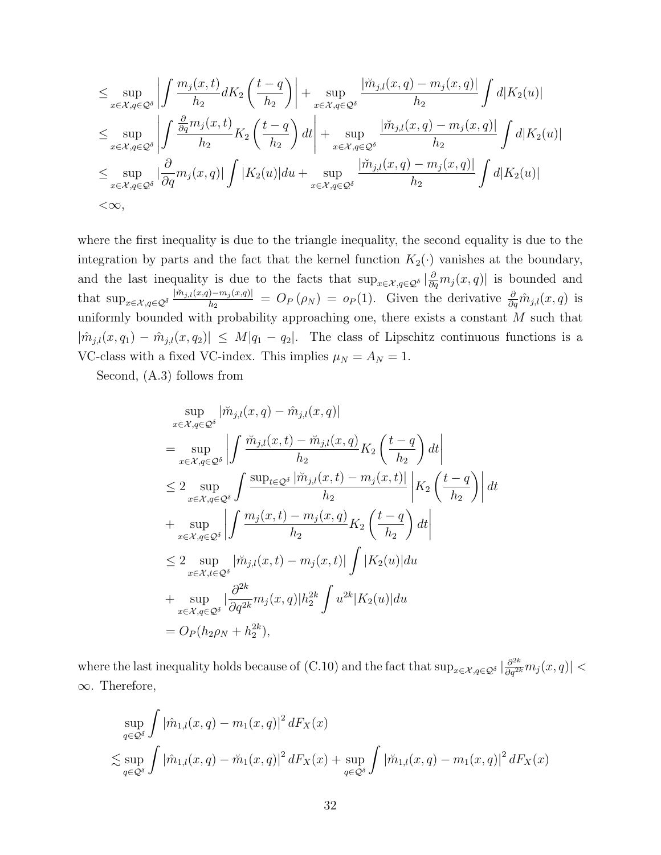$$
\leq \sup_{x \in \mathcal{X}, q \in \mathcal{Q}^\delta} \left| \int \frac{m_j(x, t)}{h_2} dK_2 \left( \frac{t - q}{h_2} \right) \right| + \sup_{x \in \mathcal{X}, q \in \mathcal{Q}^\delta} \frac{|\breve{m}_{j,l}(x, q) - m_j(x, q)|}{h_2} \int d|K_2(u)|
$$
\n
$$
\leq \sup_{x \in \mathcal{X}, q \in \mathcal{Q}^\delta} \left| \int \frac{\frac{\partial}{\partial q} m_j(x, t)}{h_2} K_2 \left( \frac{t - q}{h_2} \right) dt \right| + \sup_{x \in \mathcal{X}, q \in \mathcal{Q}^\delta} \frac{|\breve{m}_{j,l}(x, q) - m_j(x, q)|}{h_2} \int d|K_2(u)|
$$
\n
$$
\leq \sup_{x \in \mathcal{X}, q \in \mathcal{Q}^\delta} \left| \frac{\partial}{\partial q} m_j(x, q) \right| \int |K_2(u)| du + \sup_{x \in \mathcal{X}, q \in \mathcal{Q}^\delta} \frac{|\breve{m}_{j,l}(x, q) - m_j(x, q)|}{h_2} \int d|K_2(u)|
$$
\n
$$
< \infty,
$$

where the first inequality is due to the triangle inequality, the second equality is due to the integration by parts and the fact that the kernel function  $K_2(\cdot)$  vanishes at the boundary, and the last inequality is due to the facts that  $\sup_{x \in \mathcal{X}, q \in \mathcal{Q}^\delta} |\frac{\partial}{\partial q} m_j(x, q)|$  is bounded and that sup $\max_{x \in \mathcal{X}, q \in \mathcal{Q}^\delta} \frac{|\breve{m}_{j,l}(x,q) - m_j(x,q)|}{h_2}$  $\frac{\partial [-m_j(x,q)]}{\partial q} = O_P(\rho_N) = o_P(1)$ . Given the derivative  $\frac{\partial}{\partial q} \hat{m}_{j,l}(x,q)$  is uniformly bounded with probability approaching one, there exists a constant  $M$  such that  $|\hat{m}_{j,l}(x,q_1) - \hat{m}_{j,l}(x,q_2)| \leq M|q_1 - q_2|$ . The class of Lipschitz continuous functions is a VC-class with a fixed VC-index. This implies  $\mu_N = A_N = 1$ .

Second, [\(A.3\)](#page-1-4) follows from

$$
\sup_{x \in \mathcal{X}, q \in \mathcal{Q}^\delta} |\breve{m}_{j,l}(x, q) - \hat{m}_{j,l}(x, q)|
$$
\n
$$
= \sup_{x \in \mathcal{X}, q \in \mathcal{Q}^\delta} \left| \int \frac{\breve{m}_{j,l}(x, t) - \breve{m}_{j,l}(x, q)}{h_2} K_2 \left( \frac{t - q}{h_2} \right) dt \right|
$$
\n
$$
\leq 2 \sup_{x \in \mathcal{X}, q \in \mathcal{Q}^\delta} \int \frac{\sup_{t \in \mathcal{Q}^\delta} |\breve{m}_{j,l}(x, t) - m_j(x, t)|}{h_2} \left| K_2 \left( \frac{t - q}{h_2} \right) \right| dt
$$
\n
$$
+ \sup_{x \in \mathcal{X}, q \in \mathcal{Q}^\delta} \left| \int \frac{m_j(x, t) - m_j(x, q)}{h_2} K_2 \left( \frac{t - q}{h_2} \right) dt \right|
$$
\n
$$
\leq 2 \sup_{x \in \mathcal{X}, t \in \mathcal{Q}^\delta} |\breve{m}_{j,l}(x, t) - m_j(x, t)| \int |K_2(u)| du
$$
\n
$$
+ \sup_{x \in \mathcal{X}, q \in \mathcal{Q}^\delta} |\frac{\partial^{2k}}{\partial q^{2k}} m_j(x, q)| h_2^{2k} \int u^{2k} |K_2(u)| du
$$
\n
$$
= O_P(h_2 \rho_N + h_2^{2k}),
$$

where the last inequality holds because of  $(C.10)$  and the fact that  $\sup_{x \in \mathcal{X}, q \in \mathcal{Q}^\delta} |\frac{\partial^{2k}}{\partial q^{2k}} m_j(x, q)|$ ∞. Therefore,

$$
\sup_{q \in \mathcal{Q}^\delta} \int |\hat{m}_{1,l}(x,q) - m_1(x,q)|^2 dF_X(x)
$$
  

$$
\lesssim \sup_{q \in \mathcal{Q}^\delta} \int |\hat{m}_{1,l}(x,q) - \check{m}_1(x,q)|^2 dF_X(x) + \sup_{q \in \mathcal{Q}^\delta} \int |\check{m}_{1,l}(x,q) - m_1(x,q)|^2 dF_X(x)
$$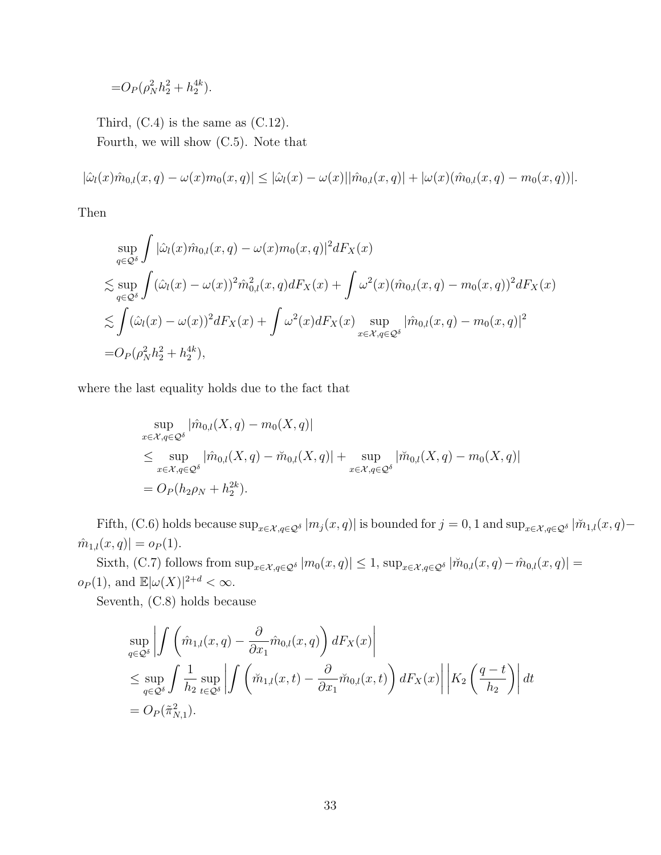$$
=O_P(\rho_N^2 h_2^2 + h_2^{4k}).
$$

Third,  $(C.4)$  is the same as  $(C.12)$ . Fourth, we will show [\(C.5\)](#page-5-5). Note that

$$
|\hat{\omega}_l(x)\hat{m}_{0,l}(x,q) - \omega(x)m_0(x,q)| \leq |\hat{\omega}_l(x) - \omega(x)||\hat{m}_{0,l}(x,q)| + |\omega(x)(\hat{m}_{0,l}(x,q) - m_0(x,q))|.
$$

Then

$$
\sup_{q\in\mathcal{Q}^\delta} \int |\hat{\omega}_l(x)\hat{m}_{0,l}(x,q) - \omega(x)m_0(x,q)|^2 dF_X(x)
$$
\n
$$
\lesssim \sup_{q\in\mathcal{Q}^\delta} \int (\hat{\omega}_l(x) - \omega(x))^2 \hat{m}_{0,l}^2(x,q) dF_X(x) + \int \omega^2(x) (\hat{m}_{0,l}(x,q) - m_0(x,q))^2 dF_X(x)
$$
\n
$$
\lesssim \int (\hat{\omega}_l(x) - \omega(x))^2 dF_X(x) + \int \omega^2(x) dF_X(x) \sup_{x \in \mathcal{X}, q \in \mathcal{Q}^\delta} |\hat{m}_{0,l}(x,q) - m_0(x,q)|^2
$$
\n
$$
= O_P(\rho_N^2 h_2^2 + h_2^{4k}),
$$

where the last equality holds due to the fact that

$$
\sup_{x \in \mathcal{X}, q \in \mathcal{Q}^\delta} |\hat{m}_{0,l}(X, q) - m_0(X, q)|
$$
\n
$$
\leq \sup_{x \in \mathcal{X}, q \in \mathcal{Q}^\delta} |\hat{m}_{0,l}(X, q) - \tilde{m}_{0,l}(X, q)| + \sup_{x \in \mathcal{X}, q \in \mathcal{Q}^\delta} |\tilde{m}_{0,l}(X, q) - m_0(X, q)|
$$
\n
$$
= O_P(h_2 \rho_N + h_2^{2k}).
$$

Fifth, [\(C.6\)](#page-5-6) holds because  $\sup_{x \in \mathcal{X}, q \in \mathcal{Q}^\delta} |m_j(x, q)|$  is bounded for  $j = 0, 1$  and  $\sup_{x \in \mathcal{X}, q \in \mathcal{Q}^\delta} |m_{1,l}(x, q) \hat{m}_{1,l}(x,q)| = o_P(1).$ 

Sixth, [\(C.7\)](#page-5-7) follows from  $\sup_{x \in \mathcal{X}, q \in \mathcal{Q}^\delta} |m_0(x, q)| \leq 1$ ,  $\sup_{x \in \mathcal{X}, q \in \mathcal{Q}^\delta} |\tilde{m}_{0,l}(x, q) - \hat{m}_{0,l}(x, q)| =$  $o_P(1)$ , and  $\mathbb{E}|\omega(X)|^{2+d} < \infty$ .

Seventh, [\(C.8\)](#page-5-1) holds because

$$
\sup_{q\in\mathcal{Q}^\delta} \left| \int \left( \hat{m}_{1,l}(x, q) - \frac{\partial}{\partial x_1} \hat{m}_{0,l}(x, q) \right) dF_X(x) \right|
$$
  
\n
$$
\leq \sup_{q\in\mathcal{Q}^\delta} \int \frac{1}{h_2} \sup_{t\in\mathcal{Q}^\delta} \left| \int \left( \check{m}_{1,l}(x, t) - \frac{\partial}{\partial x_1} \check{m}_{0,l}(x, t) \right) dF_X(x) \right| \left| K_2 \left( \frac{q-t}{h_2} \right) \right| dt
$$
  
\n
$$
= O_P(\tilde{\pi}_{N,1}^2).
$$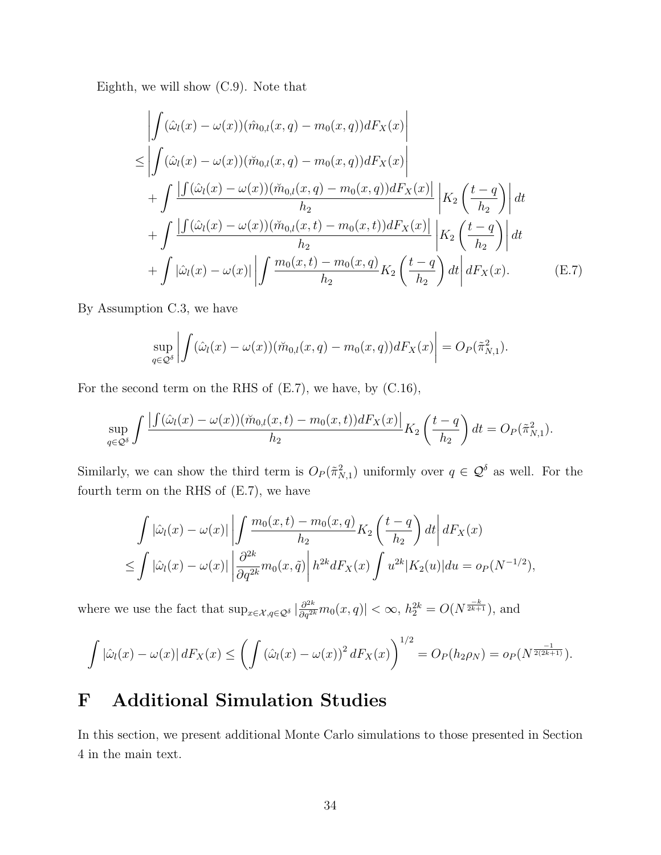Eighth, we will show [\(C.9\)](#page-5-3). Note that

$$
\left| \int (\hat{\omega}_l(x) - \omega(x)) (\hat{m}_{0,l}(x, q) - m_0(x, q)) dF_X(x) \right|
$$
  
\n
$$
\leq \left| \int (\hat{\omega}_l(x) - \omega(x)) (\check{m}_{0,l}(x, q) - m_0(x, q)) dF_X(x) \right|
$$
  
\n
$$
+ \int \frac{\left| \int (\hat{\omega}_l(x) - \omega(x)) (\check{m}_{0,l}(x, q) - m_0(x, q)) dF_X(x) \right|}{h_2} \left| K_2 \left( \frac{t - q}{h_2} \right) \right| dt
$$
  
\n
$$
+ \int \frac{\left| \int (\hat{\omega}_l(x) - \omega(x)) (\check{m}_{0,l}(x, t) - m_0(x, t)) dF_X(x) \right|}{h_2} \left| K_2 \left( \frac{t - q}{h_2} \right) \right| dt
$$
  
\n
$$
+ \int |\hat{\omega}_l(x) - \omega(x)| \left| \int \frac{m_0(x, t) - m_0(x, q)}{h_2} K_2 \left( \frac{t - q}{h_2} \right) dt \right| dF_X(x).
$$
 (E.7)

By Assumption [C.3,](#page-7-2) we have

<span id="page-33-1"></span>
$$
\sup_{q\in\mathcal{Q}^\delta}\left|\int(\hat{\omega}_l(x)-\omega(x))(\breve{m}_{0,l}(x,q)-m_0(x,q))dF_X(x)\right|=O_P(\tilde{\pi}_{N,1}^2).
$$

For the second term on the RHS of [\(E.7\)](#page-33-1), we have, by [\(C.16\)](#page-7-2),

$$
\sup_{q\in\mathcal{Q}^\delta}\int\frac{\left|\int(\hat{\omega}_l(x)-\omega(x))(\breve{m}_{0,l}(x,t)-m_0(x,t))dF_X(x)\right|}{h_2}K_2\left(\frac{t-q}{h_2}\right)dt=O_P(\tilde{\pi}_{N,1}^2).
$$

Similarly, we can show the third term is  $O_P(\tilde{\pi}_{N,1}^2)$  uniformly over  $q \in \mathcal{Q}^{\delta}$  as well. For the fourth term on the RHS of [\(E.7\)](#page-33-1), we have

$$
\int |\hat{\omega}_l(x) - \omega(x)| \left| \int \frac{m_0(x, t) - m_0(x, q)}{h_2} K_2\left(\frac{t - q}{h_2}\right) dt \right| dF_X(x)
$$
  

$$
\leq \int |\hat{\omega}_l(x) - \omega(x)| \left| \frac{\partial^{2k}}{\partial q^{2k}} m_0(x, \tilde{q}) \right| h^{2k} dF_X(x) \int u^{2k} |K_2(u)| du = o_P(N^{-1/2}),
$$

where we use the fact that  $\sup_{x \in \mathcal{X}, q \in \mathcal{Q}^\delta} |\frac{\partial^{2k}}{\partial q^{2k}} m_0(x, q)| < \infty$ ,  $h_2^{2k} = O(N^{\frac{-k}{2k+1}})$ , and

$$
\int |\hat{\omega}_l(x) - \omega(x)| dF_X(x) \le \left( \int (\hat{\omega}_l(x) - \omega(x))^2 dF_X(x) \right)^{1/2} = O_P(h_2\rho_N) = o_P(N^{\frac{-1}{2(2k+1)}}).
$$

# <span id="page-33-0"></span>F Additional Simulation Studies

In this section, we present additional Monte Carlo simulations to those presented in Section [4](#page-7-0) in the main text.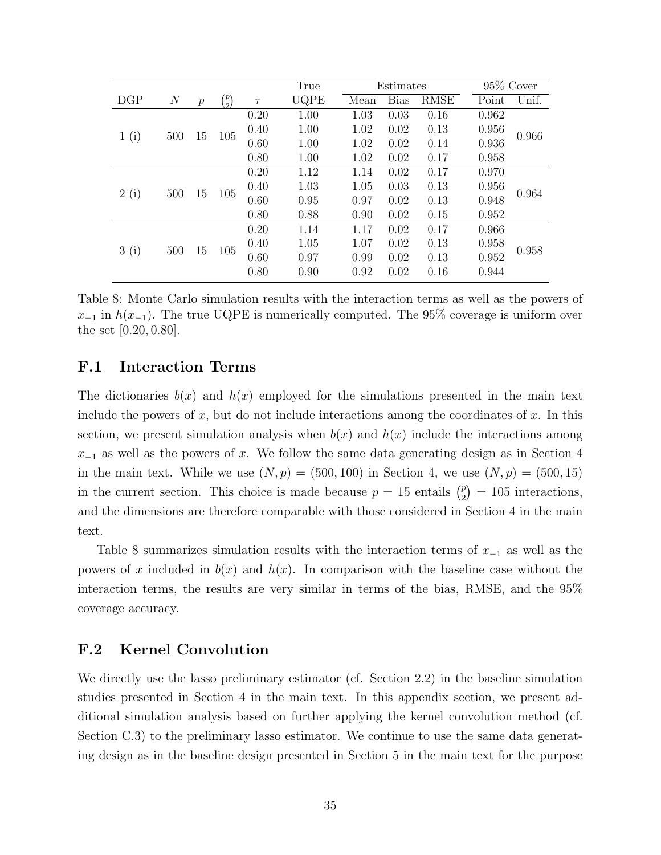|      |          |                  |                |        | True | Estimates |             |             | 95% Cover |       |       |       |       |
|------|----------|------------------|----------------|--------|------|-----------|-------------|-------------|-----------|-------|-------|-------|-------|
| DGP  | $\cal N$ | $\boldsymbol{p}$ | $\binom{p}{2}$ | $\tau$ | UQPE | Mean      | <b>Bias</b> | <b>RMSE</b> | Point     | Unif. |       |       |       |
|      |          |                  |                | 0.20   | 1.00 | 1.03      | 0.03        | 0.16        | 0.962     |       |       |       |       |
| 1(i) | 500      | 15               | 105            | 0.40   | 1.00 | 1.02      | 0.02        | 0.13        | 0.956     | 0.966 |       |       |       |
|      |          |                  |                | 0.60   | 1.00 | 1.02      | 0.02        | 0.14        | 0.936     |       |       |       |       |
|      |          |                  |                |        |      | 0.80      | 1.00        | 1.02        | 0.02      | 0.17  | 0.958 |       |       |
|      | 500      |                  | 105            | 0.20   | 1.12 | 1.14      | 0.02        | 0.17        | 0.970     |       |       |       |       |
|      |          | 15               |                |        |      |           | 0.40        | 1.03        | 1.05      | 0.03  | 0.13  | 0.956 | 0.964 |
| 2(i) |          |                  |                | 0.60   | 0.95 | 0.97      | 0.02        | 0.13        | 0.948     |       |       |       |       |
|      |          |                  |                | 0.80   | 0.88 | 0.90      | 0.02        | 0.15        | 0.952     |       |       |       |       |
|      |          |                  | 15<br>105      | 0.20   | 1.14 | 1.17      | 0.02        | 0.17        | 0.966     |       |       |       |       |
| 3(i) | 500      |                  |                | 0.40   | 1.05 | 1.07      | 0.02        | 0.13        | 0.958     | 0.958 |       |       |       |
|      |          |                  |                | 0.60   | 0.97 | 0.99      | 0.02        | 0.13        | 0.952     |       |       |       |       |
|      |          |                  |                | 0.80   | 0.90 | 0.92      | 0.02        | 0.16        | 0.944     |       |       |       |       |

<span id="page-34-0"></span>Table 8: Monte Carlo simulation results with the interaction terms as well as the powers of  $x_{-1}$  in  $h(x_{-1})$ . The true UQPE is numerically computed. The 95% coverage is uniform over the set [0.20, 0.80].

### F.1 Interaction Terms

The dictionaries  $b(x)$  and  $h(x)$  employed for the simulations presented in the main text include the powers of x, but do not include interactions among the coordinates of x. In this section, we present simulation analysis when  $b(x)$  and  $h(x)$  include the interactions among  $x_{-1}$  as well as the powers of x. We follow the same data generating design as in Section [4](#page-7-0) in the main text. While we use  $(N, p) = (500, 100)$  in Section [4,](#page-7-0) we use  $(N, p) = (500, 15)$ in the current section. This choice is made because  $p = 15$  entails  $\binom{p}{2}$  $\binom{p}{2} = 105$  interactions, and the dimensions are therefore comparable with those considered in Section [4](#page-7-0) in the main text.

Table [8](#page-34-0) summarizes simulation results with the interaction terms of  $x_{-1}$  as well as the powers of x included in  $b(x)$  and  $h(x)$ . In comparison with the baseline case without the interaction terms, the results are very similar in terms of the bias, RMSE, and the 95% coverage accuracy.

### F.2 Kernel Convolution

We directly use the lasso preliminary estimator (cf. Section [2.2\)](#page-0-0) in the baseline simulation studies presented in Section [4](#page-7-0) in the main text. In this appendix section, we present additional simulation analysis based on further applying the kernel convolution method (cf. Section [C.3\)](#page-6-0) to the preliminary lasso estimator. We continue to use the same data generating design as in the baseline design presented in Section [5](#page-24-0) in the main text for the purpose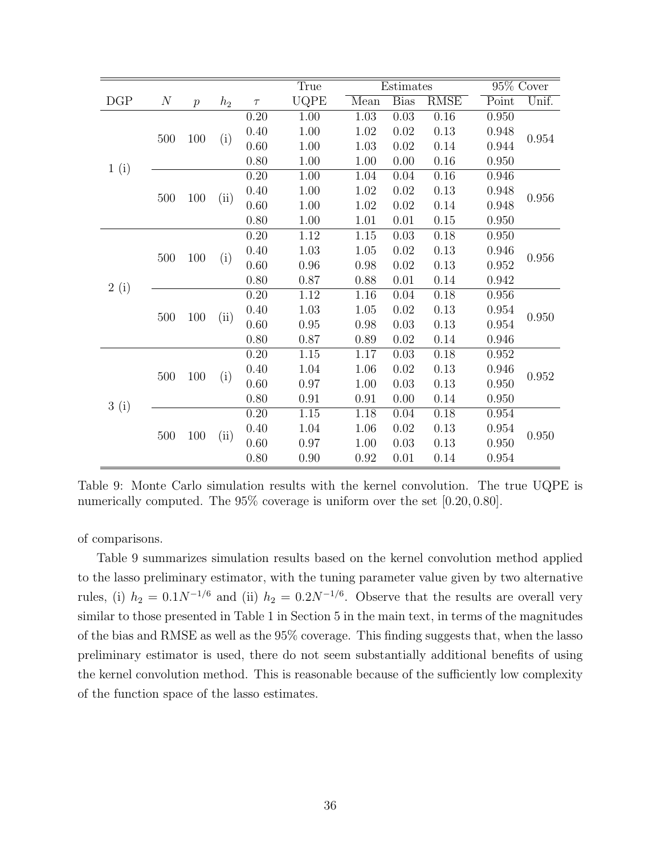|           |                  |                |       |        | True              |          | Estimates   | 95% Cover         |       |       |
|-----------|------------------|----------------|-------|--------|-------------------|----------|-------------|-------------------|-------|-------|
| $\rm DGP$ | $\boldsymbol{N}$ | $\overline{p}$ | $h_2$ | $\tau$ | UQPE              | Mean     | <b>Bias</b> | <b>RMSE</b>       | Point | Unif. |
|           |                  |                |       | 0.20   | 1.00              | 1.03     | 0.03        | 0.16              | 0.950 | 0.954 |
|           |                  | 100            |       | 0.40   | 1.00              | 1.02     | 0.02        | 0.13              | 0.948 |       |
|           | 500              |                | (i)   | 0.60   | 1.00              | 1.03     | $0.02\,$    | 0.14              | 0.944 |       |
|           |                  |                |       | 0.80   | 1.00              | 1.00     | 0.00        | 0.16              | 0.950 |       |
| 1(i)      |                  |                |       | 0.20   | $\overline{1.00}$ | 1.04     | 0.04        | $\overline{0.16}$ | 0.946 |       |
|           | 500              | 100            | (ii)  | 0.40   | 1.00              | 1.02     | 0.02        | 0.13              | 0.948 | 0.956 |
|           |                  |                |       | 0.60   | 1.00              | 1.02     | 0.02        | 0.14              | 0.948 |       |
|           |                  |                |       | 0.80   | 1.00              | 1.01     | 0.01        | 0.15              | 0.950 |       |
|           |                  | 100            |       | 0.20   | 1.12              | 1.15     | 0.03        | 0.18              | 0.950 | 0.956 |
|           | 500              |                | (i)   | 0.40   | 1.03              | 1.05     | 0.02        | 0.13              | 0.946 |       |
|           |                  |                |       | 0.60   | 0.96              | 0.98     | 0.02        | 0.13              | 0.952 |       |
| 2(i)      |                  |                |       | 0.80   | 0.87              | 0.88     | 0.01        | 0.14              | 0.942 |       |
|           |                  | 100            |       | 0.20   | 1.12              | 1.16     | 0.04        | 0.18              | 0.956 | 0.950 |
|           | 500              |                | (ii)  | 0.40   | 1.03              | $1.05\,$ | 0.02        | 0.13              | 0.954 |       |
|           |                  |                |       | 0.60   | 0.95              | 0.98     | 0.03        | 0.13              | 0.954 |       |
|           |                  |                |       | 0.80   | 0.87              | 0.89     | 0.02        | 0.14              | 0.946 |       |
|           |                  |                |       | 0.20   | 1.15              | $1.17\,$ | 0.03        | 0.18              | 0.952 |       |
|           | 500              | 100            | (i)   | 0.40   | 1.04              | 1.06     | 0.02        | 0.13              | 0.946 | 0.952 |
| 3(i)      |                  |                |       | 0.60   | 0.97              | 1.00     | 0.03        | 0.13              | 0.950 |       |
|           |                  |                |       | 0.80   | 0.91              | 0.91     | 0.00        | 0.14              | 0.950 |       |
|           |                  | 100            |       | 0.20   | 1.15              | 1.18     | 0.04        | 0.18              | 0.954 |       |
|           | 500              |                |       | 0.40   | 1.04              | 1.06     | 0.02        | 0.13              | 0.954 | 0.950 |
|           |                  |                | (ii)  | 0.60   | 0.97              | 1.00     | 0.03        | $0.13\,$          | 0.950 |       |
|           |                  |                |       | 0.80   | 0.90              | 0.92     | 0.01        | 0.14              | 0.954 |       |

<span id="page-35-0"></span>Table 9: Monte Carlo simulation results with the kernel convolution. The true UQPE is numerically computed. The  $95\%$  coverage is uniform over the set [0.20, 0.80].

of comparisons.

Table [9](#page-35-0) summarizes simulation results based on the kernel convolution method applied to the lasso preliminary estimator, with the tuning parameter value given by two alternative rules, (i)  $h_2 = 0.1 N^{-1/6}$  and (ii)  $h_2 = 0.2 N^{-1/6}$ . Observe that the results are overall very similar to those presented in Table [1](#page-0-0) in Section [5](#page-24-0) in the main text, in terms of the magnitudes of the bias and RMSE as well as the 95% coverage. This finding suggests that, when the lasso preliminary estimator is used, there do not seem substantially additional benefits of using the kernel convolution method. This is reasonable because of the sufficiently low complexity of the function space of the lasso estimates.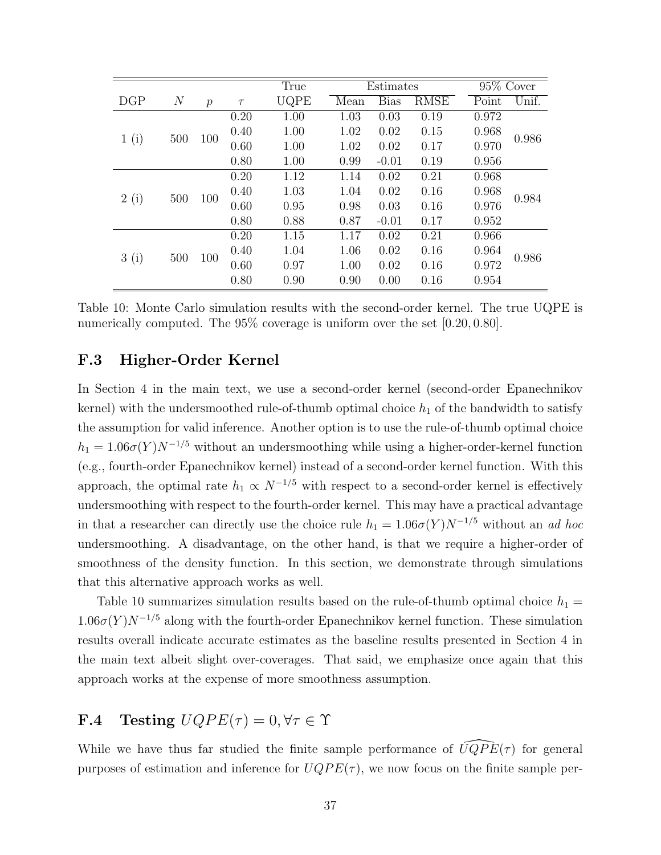|      |                |                  |        | True | Estimates |             |             | 95% Cover |       |
|------|----------------|------------------|--------|------|-----------|-------------|-------------|-----------|-------|
| DGP  | $\overline{N}$ | $\boldsymbol{p}$ | $\tau$ | UQPE | Mean      | <b>Bias</b> | <b>RMSE</b> | Point     | Unif. |
|      |                |                  | 0.20   | 1.00 | 1.03      | 0.03        | 0.19        | 0.972     |       |
|      | 500            | 100              | 0.40   | 1.00 | 1.02      | 0.02        | 0.15        | 0.968     | 0.986 |
| 1(i) |                |                  | 0.60   | 1.00 | 1.02      | 0.02        | 0.17        | 0.970     |       |
|      |                |                  | 0.80   | 1.00 | 0.99      | $-0.01$     | 0.19        | 0.956     |       |
|      | 500            |                  | 0.20   | 1.12 | 1.14      | 0.02        | 0.21        | 0.968     | 0.984 |
|      |                | 100              | 0.40   | 1.03 | 1.04      | 0.02        | 0.16        | 0.968     |       |
| 2(i) |                |                  | 0.60   | 0.95 | 0.98      | 0.03        | 0.16        | 0.976     |       |
|      |                |                  | 0.80   | 0.88 | 0.87      | $-0.01$     | 0.17        | 0.952     |       |
|      |                |                  | 0.20   | 1.15 | 1.17      | 0.02        | 0.21        | 0.966     |       |
| 3(i) |                | 100              | 0.40   | 1.04 | 1.06      | 0.02        | 0.16        | 0.964     | 0.986 |
|      | 500            |                  | 0.60   | 0.97 | 1.00      | 0.02        | 0.16        | 0.972     |       |
|      |                |                  | 0.80   | 0.90 | 0.90      | 0.00        | 0.16        | 0.954     |       |

<span id="page-36-0"></span>Table 10: Monte Carlo simulation results with the second-order kernel. The true UQPE is numerically computed. The 95% coverage is uniform over the set [0.20, 0.80].

### F.3 Higher-Order Kernel

In Section [4](#page-7-0) in the main text, we use a second-order kernel (second-order Epanechnikov kernel) with the undersmoothed rule-of-thumb optimal choice  $h_1$  of the bandwidth to satisfy the assumption for valid inference. Another option is to use the rule-of-thumb optimal choice  $h_1 = 1.06\sigma(Y)N^{-1/5}$  without an undersmoothing while using a higher-order-kernel function (e.g., fourth-order Epanechnikov kernel) instead of a second-order kernel function. With this approach, the optimal rate  $h_1 \propto N^{-1/5}$  with respect to a second-order kernel is effectively undersmoothing with respect to the fourth-order kernel. This may have a practical advantage in that a researcher can directly use the choice rule  $h_1 = 1.06\sigma(Y)N^{-1/5}$  without an *ad hoc* undersmoothing. A disadvantage, on the other hand, is that we require a higher-order of smoothness of the density function. In this section, we demonstrate through simulations that this alternative approach works as well.

Table [10](#page-36-0) summarizes simulation results based on the rule-of-thumb optimal choice  $h_1 =$  $1.06\sigma(Y)N^{-1/5}$  along with the fourth-order Epanechnikov kernel function. These simulation results overall indicate accurate estimates as the baseline results presented in Section [4](#page-7-0) in the main text albeit slight over-coverages. That said, we emphasize once again that this approach works at the expense of more smoothness assumption.

# **F.4** Testing  $UQPE(\tau) = 0, \forall \tau \in \Upsilon$

While we have thus far studied the finite sample performance of  $\widehat{UQPE}(\tau)$  for general purposes of estimation and inference for  $UQPE(\tau)$ , we now focus on the finite sample per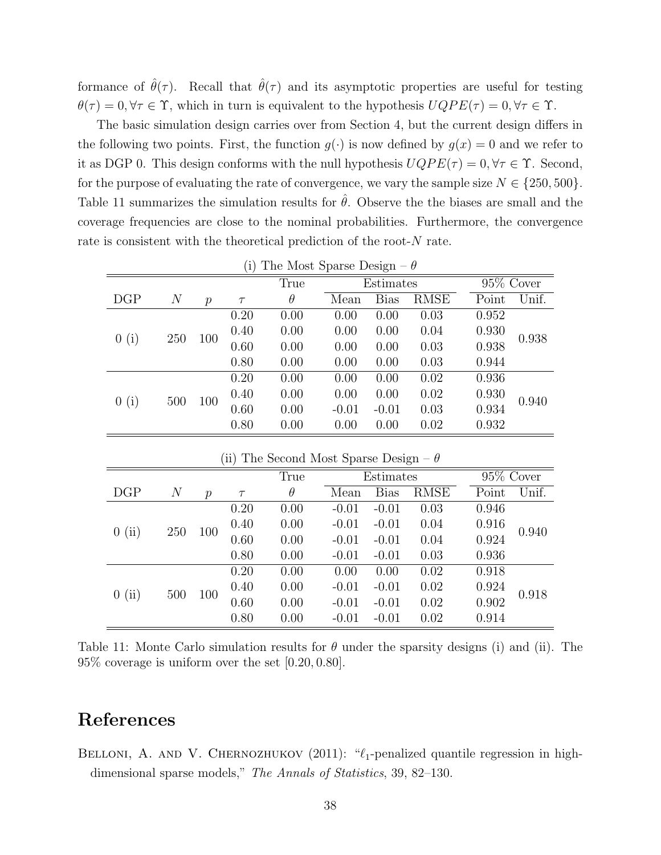formance of  $\hat{\theta}(\tau)$ . Recall that  $\hat{\theta}(\tau)$  and its asymptotic properties are useful for testing  $\theta(\tau) = 0, \forall \tau \in \Upsilon$ , which in turn is equivalent to the hypothesis  $UQPE(\tau) = 0, \forall \tau \in \Upsilon$ .

The basic simulation design carries over from Section [4,](#page-7-0) but the current design differs in the following two points. First, the function  $g(\cdot)$  is now defined by  $g(x) = 0$  and we refer to it as DGP 0. This design conforms with the null hypothesis  $UQPE(\tau) = 0, \forall \tau \in \Upsilon$ . Second, for the purpose of evaluating the rate of convergence, we vary the sample size  $N \in \{250, 500\}.$ Table [11](#page-37-1) summarizes the simulation results for  $\hat{\theta}$ . Observe the the biases are small and the coverage frequencies are close to the nominal probabilities. Furthermore, the convergence rate is consistent with the theoretical prediction of the root-N rate.

| (1)<br>THE MOST OPAIN DUSTER |       |               |        |          |           |             |      |           |       |
|------------------------------|-------|---------------|--------|----------|-----------|-------------|------|-----------|-------|
|                              |       |               |        | True     | Estimates |             |      | 95% Cover |       |
| DGP                          | $\,N$ | $\mathcal{p}$ | $\tau$ | $\theta$ | Mean      | <b>Bias</b> | RMSE | Point     | Unif. |
| 0(i)                         | 250   | 100           | 0.20   | 0.00     | 0.00      | 0.00        | 0.03 | 0.952     | 0.938 |
|                              |       |               | 0.40   | 0.00     | 0.00      | 0.00        | 0.04 | 0.930     |       |
|                              |       |               | 0.60   | 0.00     | 0.00      | 0.00        | 0.03 | 0.938     |       |
|                              |       |               | 0.80   | 0.00     | 0.00      | 0.00        | 0.03 | 0.944     |       |
|                              |       |               | 0.20   | 0.00     | 0.00      | 0.00        | 0.02 | 0.936     |       |
| (i)<br>0                     | 500   | 100           | 0.40   | 0.00     | 0.00      | 0.00        | 0.02 | 0.930     | 0.940 |
|                              |       |               | 0.60   | 0.00     | $-0.01$   | $-0.01$     | 0.03 | 0.934     |       |
|                              |       |               |        | 0.80     | 0.00      | 0.00        | 0.00 | 0.02      | 0.932 |

(i) The Most Sparse Design –  $\theta$ 

| (ii) The Second Most Sparse Design $-\theta$ |                |               |        |          |         |             |      |              |       |  |
|----------------------------------------------|----------------|---------------|--------|----------|---------|-------------|------|--------------|-------|--|
|                                              |                |               |        | True     |         | Estimates   |      | $95\%$ Cover |       |  |
| DGP                                          | $\overline{N}$ | $\mathcal{p}$ | $\tau$ | $\theta$ | Mean    | <b>Bias</b> | RMSE | Point        | Unif. |  |
| 0(i)                                         | 250            |               | 0.20   | 0.00     | $-0.01$ | $-0.01$     | 0.03 | 0.946        | 0.940 |  |
|                                              |                | 100           | 0.40   | 0.00     | $-0.01$ | $-0.01$     | 0.04 | 0.916        |       |  |
|                                              |                |               | 0.60   | 0.00     | $-0.01$ | $-0.01$     | 0.04 | 0.924        |       |  |
|                                              |                |               | 0.80   | 0.00     | $-0.01$ | $-0.01$     | 0.03 | 0.936        |       |  |
|                                              | 500            |               | 0.20   | 0.00     | 0.00    | 0.00        | 0.02 | 0.918        |       |  |
| (ii)<br>$\theta$                             |                | 100           | 0.40   | 0.00     | $-0.01$ | $-0.01$     | 0.02 | 0.924        | 0.918 |  |
|                                              |                |               | 0.60   | 0.00     | $-0.01$ | $-0.01$     | 0.02 | 0.902        |       |  |
|                                              |                |               | 0.80   | 0.00     | $-0.01$ | $-0.01$     | 0.02 | 0.914        |       |  |

<span id="page-37-1"></span>Table 11: Monte Carlo simulation results for  $\theta$  under the sparsity designs (i) and (ii). The 95% coverage is uniform over the set [0.20, 0.80].

# References

<span id="page-37-0"></span>BELLONI, A. AND V. CHERNOZHUKOV (2011): " $\ell_1$ -penalized quantile regression in highdimensional sparse models," The Annals of Statistics, 39, 82–130.